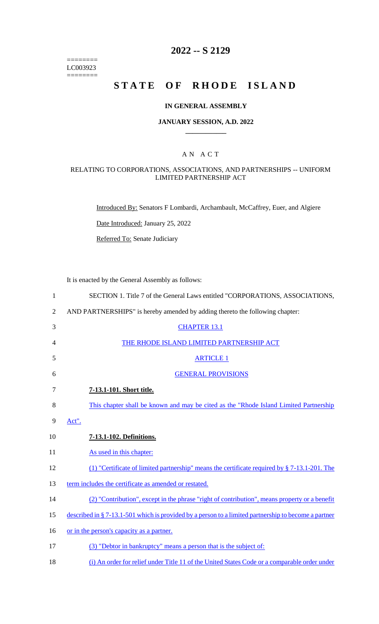======== LC003923  $=$ 

## **2022 -- S 2129**

# **STATE OF RHODE ISLAND**

#### **IN GENERAL ASSEMBLY**

#### **JANUARY SESSION, A.D. 2022 \_\_\_\_\_\_\_\_\_\_\_\_**

### A N A C T

#### RELATING TO CORPORATIONS, ASSOCIATIONS, AND PARTNERSHIPS -- UNIFORM LIMITED PARTNERSHIP ACT

Introduced By: Senators F Lombardi, Archambault, McCaffrey, Euer, and Algiere

Date Introduced: January 25, 2022

Referred To: Senate Judiciary

It is enacted by the General Assembly as follows:

| $\mathbf{1}$   | SECTION 1. Title 7 of the General Laws entitled "CORPORATIONS, ASSOCIATIONS,                         |
|----------------|------------------------------------------------------------------------------------------------------|
| $\overline{2}$ | AND PARTNERSHIPS" is hereby amended by adding thereto the following chapter:                         |
| 3              | <b>CHAPTER 13.1</b>                                                                                  |
| 4              | THE RHODE ISLAND LIMITED PARTNERSHIP ACT                                                             |
| 5              | <b>ARTICLE 1</b>                                                                                     |
| 6              | <b>GENERAL PROVISIONS</b>                                                                            |
| 7              | 7-13.1-101. Short title.                                                                             |
| 8              | This chapter shall be known and may be cited as the "Rhode Island Limited Partnership"               |
| 9              | Act".                                                                                                |
| 10             | 7-13.1-102. Definitions.                                                                             |
| 11             | As used in this chapter:                                                                             |
| 12             | (1) "Certificate of limited partnership" means the certificate required by $\S$ 7-13.1-201. The      |
| 13             | term includes the certificate as amended or restated.                                                |
| 14             | (2) "Contribution", except in the phrase "right of contribution", means property or a benefit        |
| 15             | described in § 7-13.1-501 which is provided by a person to a limited partnership to become a partner |
| 16             | or in the person's capacity as a partner.                                                            |
| 17             | (3) "Debtor in bankruptcy" means a person that is the subject of:                                    |
| 18             | (i) An order for relief under Title 11 of the United States Code or a comparable order under         |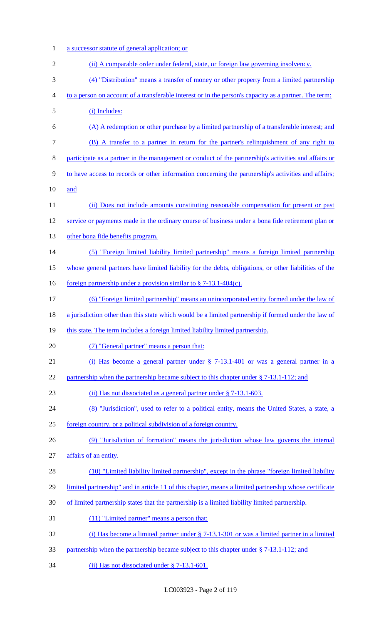a successor statute of general application; or (ii) A comparable order under federal, state, or foreign law governing insolvency. (4) "Distribution" means a transfer of money or other property from a limited partnership to a person on account of a transferable interest or in the person's capacity as a partner. The term: (i) Includes: (A) A redemption or other purchase by a limited partnership of a transferable interest; and (B) A transfer to a partner in return for the partner's relinquishment of any right to participate as a partner in the management or conduct of the partnership's activities and affairs or to have access to records or other information concerning the partnership's activities and affairs; and 11 (ii) Does not include amounts constituting reasonable compensation for present or past service or payments made in the ordinary course of business under a bona fide retirement plan or other bona fide benefits program. (5) "Foreign limited liability limited partnership" means a foreign limited partnership whose general partners have limited liability for the debts, obligations, or other liabilities of the 16 foreign partnership under a provision similar to § 7-13.1-404(c). (6) "Foreign limited partnership" means an unincorporated entity formed under the law of 18 a jurisdiction other than this state which would be a limited partnership if formed under the law of 19 this state. The term includes a foreign limited liability limited partnership. 20 (7) "General partner" means a person that: (i) Has become a general partner under § 7-13.1-401 or was a general partner in a 22 partnership when the partnership became subject to this chapter under § 7-13.1-112; and 23 (ii) Has not dissociated as a general partner under § 7-13.1-603. (8) "Jurisdiction", used to refer to a political entity, means the United States, a state, a foreign country, or a political subdivision of a foreign country. (9) "Jurisdiction of formation" means the jurisdiction whose law governs the internal affairs of an entity. 28 (10) "Limited liability limited partnership", except in the phrase "foreign limited liability 29 limited partnership" and in article 11 of this chapter, means a limited partnership whose certificate of limited partnership states that the partnership is a limited liability limited partnership. (11) "Limited partner" means a person that: (i) Has become a limited partner under § 7-13.1-301 or was a limited partner in a limited 33 partnership when the partnership became subject to this chapter under § 7-13.1-112; and 34 (ii) Has not dissociated under § 7-13.1-601.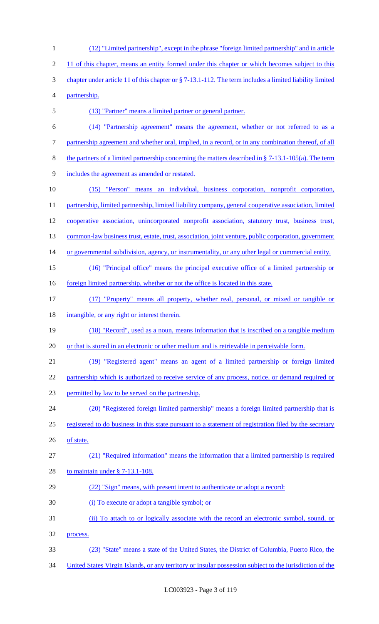(12) "Limited partnership", except in the phrase "foreign limited partnership" and in article 2 11 of this chapter, means an entity formed under this chapter or which becomes subject to this chapter under article 11 of this chapter or § 7-13.1-112. The term includes a limited liability limited partnership. (13) "Partner" means a limited partner or general partner. (14) "Partnership agreement" means the agreement, whether or not referred to as a partnership agreement and whether oral, implied, in a record, or in any combination thereof, of all the partners of a limited partnership concerning the matters described in § 7-13.1-105(a). The term includes the agreement as amended or restated. (15) "Person" means an individual, business corporation, nonprofit corporation, 11 partnership, limited partnership, limited liability company, general cooperative association, limited cooperative association, unincorporated nonprofit association, statutory trust, business trust, 13 common-law business trust, estate, trust, association, joint venture, public corporation, government 14 or governmental subdivision, agency, or instrumentality, or any other legal or commercial entity. (16) "Principal office" means the principal executive office of a limited partnership or 16 foreign limited partnership, whether or not the office is located in this state. 17 (17) "Property" means all property, whether real, personal, or mixed or tangible or 18 intangible, or any right or interest therein. (18) "Record", used as a noun, means information that is inscribed on a tangible medium 20 or that is stored in an electronic or other medium and is retrievable in perceivable form. (19) "Registered agent" means an agent of a limited partnership or foreign limited 22 partnership which is authorized to receive service of any process, notice, or demand required or permitted by law to be served on the partnership. (20) "Registered foreign limited partnership" means a foreign limited partnership that is 25 registered to do business in this state pursuant to a statement of registration filed by the secretary 26 of state. (21) "Required information" means the information that a limited partnership is required to maintain under § 7-13.1-108. (22) "Sign" means, with present intent to authenticate or adopt a record: (i) To execute or adopt a tangible symbol; or (ii) To attach to or logically associate with the record an electronic symbol, sound, or process. (23) "State" means a state of the United States, the District of Columbia, Puerto Rico, the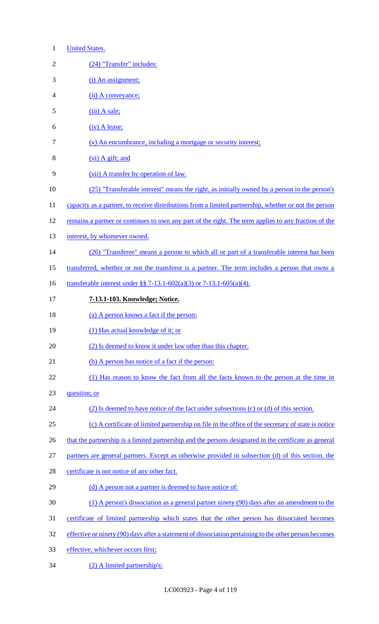| $\mathbf{1}$ | <b>United States.</b>                                                                                  |
|--------------|--------------------------------------------------------------------------------------------------------|
| $\mathbf{2}$ | (24) "Transfer" includes:                                                                              |
| 3            | (i) An assignment;                                                                                     |
| 4            | (ii) A conveyance;                                                                                     |
| 5            | $(iii)$ A sale;                                                                                        |
| 6            | (iv) A lease;                                                                                          |
| 7            | (v) An encumbrance, including a mortgage or security interest;                                         |
| 8            | $(vi)$ A gift; and                                                                                     |
| 9            | (vii) A transfer by operation of law.                                                                  |
| 10           | (25) "Transferable interest" means the right, as initially owned by a person in the person's           |
| 11           | capacity as a partner, to receive distributions from a limited partnership, whether or not the person  |
| 12           | remains a partner or continues to own any part of the right. The term applies to any fraction of the   |
| 13           | interest, by whomever owned.                                                                           |
| 14           | (26) "Transferee" means a person to which all or part of a transferable interest has been              |
| 15           | transferred, whether or not the transferor is a partner. The term includes a person that owns a        |
| 16           | transferable interest under §§ 7-13.1-602(a)(3) or 7-13.1-605(a)(4).                                   |
| 17           | 7-13.1-103. Knowledge; Notice.                                                                         |
| 18           | (a) A person knows a fact if the person:                                                               |
| 19           | (1) Has actual knowledge of it; or                                                                     |
| 20           | (2) Is deemed to know it under law other than this chapter.                                            |
| 21           | (b) A person has notice of a fact if the person:                                                       |
| 22           | (1) Has reason to know the fact from all the facts known to the person at the time in                  |
| 23           | question; or                                                                                           |
| 24           | (2) Is deemed to have notice of the fact under subsections (c) or (d) of this section.                 |
| 25           | (c) A certificate of limited partnership on file in the office of the secretary of state is notice     |
| 26           | that the partnership is a limited partnership and the persons designated in the certificate as general |
| 27           | partners are general partners. Except as otherwise provided in subsection (d) of this section, the     |
| 28           | certificate is not notice of any other fact.                                                           |
| 29           | (d) A person not a partner is deemed to have notice of:                                                |
| 30           | $(1)$ A person's dissociation as a general partner ninety (90) days after an amendment to the          |
| 31           | certificate of limited partnership which states that the other person has dissociated becomes          |
| 32           | effective or ninety (90) days after a statement of dissociation pertaining to the other person becomes |
| 33           | effective, whichever occurs first;                                                                     |
|              |                                                                                                        |

(2) A limited partnership's: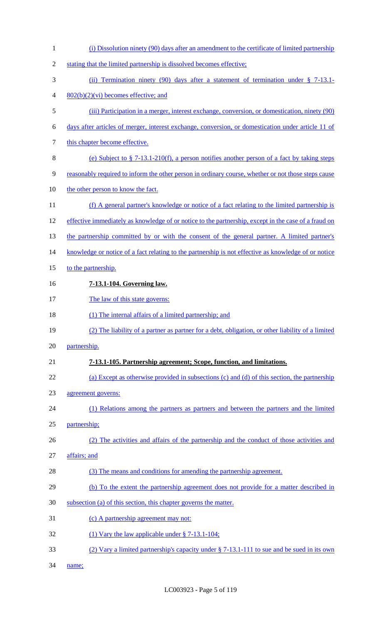| $\mathbf{1}$     | (i) Dissolution ninety (90) days after an amendment to the certificate of limited partnership        |
|------------------|------------------------------------------------------------------------------------------------------|
| $\overline{2}$   | stating that the limited partnership is dissolved becomes effective;                                 |
| $\mathfrak{Z}$   | (ii) Termination ninety (90) days after a statement of termination under $\S$ 7-13.1-                |
| $\overline{4}$   | $802(b)(2)(vi)$ becomes effective; and                                                               |
| $\mathfrak s$    | (iii) Participation in a merger, interest exchange, conversion, or domestication, ninety (90)        |
| 6                | days after articles of merger, interest exchange, conversion, or domestication under article 11 of   |
| $\boldsymbol{7}$ | this chapter become effective.                                                                       |
| $8\,$            | (e) Subject to § 7-13.1-210(f), a person notifies another person of a fact by taking steps           |
| 9                | reasonably required to inform the other person in ordinary course, whether or not those steps cause  |
| 10               | the other person to know the fact.                                                                   |
| 11               | (f) A general partner's knowledge or notice of a fact relating to the limited partnership is         |
| 12               | effective immediately as knowledge of or notice to the partnership, except in the case of a fraud on |
| 13               | the partnership committed by or with the consent of the general partner. A limited partner's         |
| 14               | knowledge or notice of a fact relating to the partnership is not effective as knowledge of or notice |
| 15               | to the partnership.                                                                                  |
| 16               | 7-13.1-104. Governing law.                                                                           |
| 17               | The law of this state governs:                                                                       |
| 18               | (1) The internal affairs of a limited partnership; and                                               |
| 19               | (2) The liability of a partner as partner for a debt, obligation, or other liability of a limited    |
| 20               | partnership.                                                                                         |
| 21               | 7-13.1-105. Partnership agreement; Scope, function, and limitations.                                 |
| 22               | (a) Except as otherwise provided in subsections (c) and (d) of this section, the partnership         |
| 23               | agreement governs:                                                                                   |
| 24               | (1) Relations among the partners as partners and between the partners and the limited                |
| 25               | partnership;                                                                                         |
| 26               | (2) The activities and affairs of the partnership and the conduct of those activities and            |
| 27               | affairs; and                                                                                         |
| 28               | (3) The means and conditions for amending the partnership agreement.                                 |
| 29               | (b) To the extent the partnership agreement does not provide for a matter described in               |
| 30               | subsection (a) of this section, this chapter governs the matter.                                     |
| 31               | (c) A partnership agreement may not:                                                                 |
| 32               | (1) Vary the law applicable under $\S$ 7-13.1-104;                                                   |
| 33               | (2) Vary a limited partnership's capacity under $\S$ 7-13.1-111 to sue and be sued in its own        |
| 34               | name;                                                                                                |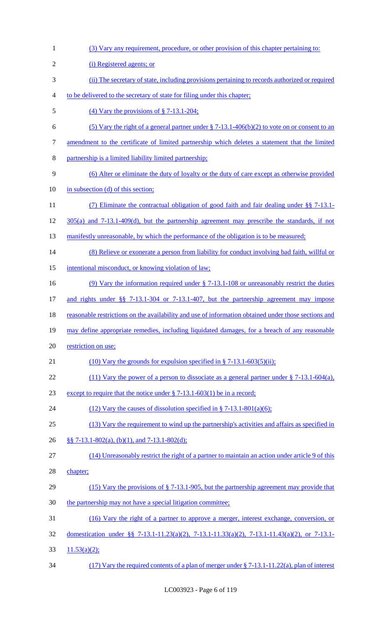(3) Vary any requirement, procedure, or other provision of this chapter pertaining to: (i) Registered agents; or (ii) The secretary of state, including provisions pertaining to records authorized or required to be delivered to the secretary of state for filing under this chapter; (4) Vary the provisions of § 7-13.1-204; 6 (5) Vary the right of a general partner under  $\S 7-13.1-406(b)(2)$  to vote on or consent to an amendment to the certificate of limited partnership which deletes a statement that the limited partnership is a limited liability limited partnership; (6) Alter or eliminate the duty of loyalty or the duty of care except as otherwise provided 10 in subsection (d) of this section; (7) Eliminate the contractual obligation of good faith and fair dealing under §§ 7-13.1- 305(a) and 7-13.1-409(d), but the partnership agreement may prescribe the standards, if not 13 manifestly unreasonable, by which the performance of the obligation is to be measured; (8) Relieve or exonerate a person from liability for conduct involving bad faith, willful or 15 intentional misconduct, or knowing violation of law; (9) Vary the information required under § 7-13.1-108 or unreasonably restrict the duties and rights under §§ 7-13.1-304 or 7-13.1-407, but the partnership agreement may impose 18 reasonable restrictions on the availability and use of information obtained under those sections and may define appropriate remedies, including liquidated damages, for a breach of any reasonable restriction on use; 21 (10) Vary the grounds for expulsion specified in  $\S$  7-13.1-603(5)(ii); 22 (11) Vary the power of a person to dissociate as a general partner under § 7-13.1-604(a), except to require that the notice under § 7-13.1-603(1) be in a record; 24 (12) Vary the causes of dissolution specified in § 7-13.1-801(a)(6); (13) Vary the requirement to wind up the partnership's activities and affairs as specified in §§ 7-13.1-802(a), (b)(1), and 7-13.1-802(d); (14) Unreasonably restrict the right of a partner to maintain an action under article 9 of this chapter; (15) Vary the provisions of § 7-13.1-905, but the partnership agreement may provide that 30 the partnership may not have a special litigation committee; (16) Vary the right of a partner to approve a merger, interest exchange, conversion, or domestication under §§ 7-13.1-11.23(a)(2), 7-13.1-11.33(a)(2), 7-13.1-11.43(a)(2), or 7-13.1-  $11.53(a)(2)$ ; (17) Vary the required contents of a plan of merger under § 7-13.1-11.22(a), plan of interest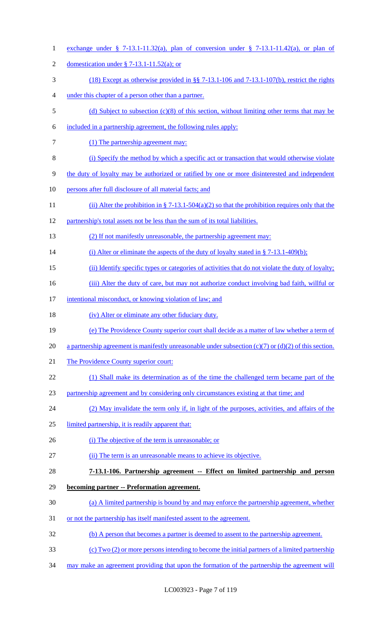exchange under § 7-13.1-11.32(a), plan of conversion under § 7-13.1-11.42(a), or plan of domestication under § 7-13.1-11.52(a); or (18) Except as otherwise provided in §§ 7-13.1-106 and 7-13.1-107(b), restrict the rights under this chapter of a person other than a partner. (d) Subject to subsection (c)(8) of this section, without limiting other terms that may be included in a partnership agreement, the following rules apply: 7 (1) The partnership agreement may: (i) Specify the method by which a specific act or transaction that would otherwise violate the duty of loyalty may be authorized or ratified by one or more disinterested and independent 10 persons after full disclosure of all material facts; and 11 (ii) Alter the prohibition in § 7-13.1-504(a)(2) so that the prohibition requires only that the partnership's total assets not be less than the sum of its total liabilities. 13 (2) If not manifestly unreasonable, the partnership agreement may: 14 (i) Alter or eliminate the aspects of the duty of loyalty stated in § 7-13.1-409(b); (ii) Identify specific types or categories of activities that do not violate the duty of loyalty; 16 (iii) Alter the duty of care, but may not authorize conduct involving bad faith, willful or 17 intentional misconduct, or knowing violation of law; and 18 (iv) Alter or eliminate any other fiduciary duty. (e) The Providence County superior court shall decide as a matter of law whether a term of a partnership agreement is manifestly unreasonable under subsection (c)(7) or (d)(2) of this section. 21 The Providence County superior court: (1) Shall make its determination as of the time the challenged term became part of the partnership agreement and by considering only circumstances existing at that time; and (2) May invalidate the term only if, in light of the purposes, activities, and affairs of the limited partnership, it is readily apparent that: 26 (i) The objective of the term is unreasonable; or (ii) The term is an unreasonable means to achieve its objective. **7-13.1-106. Partnership agreement -- Effect on limited partnership and person becoming partner -- Preformation agreement.** (a) A limited partnership is bound by and may enforce the partnership agreement, whether or not the partnership has itself manifested assent to the agreement. (b) A person that becomes a partner is deemed to assent to the partnership agreement. (c) Two (2) or more persons intending to become the initial partners of a limited partnership may make an agreement providing that upon the formation of the partnership the agreement will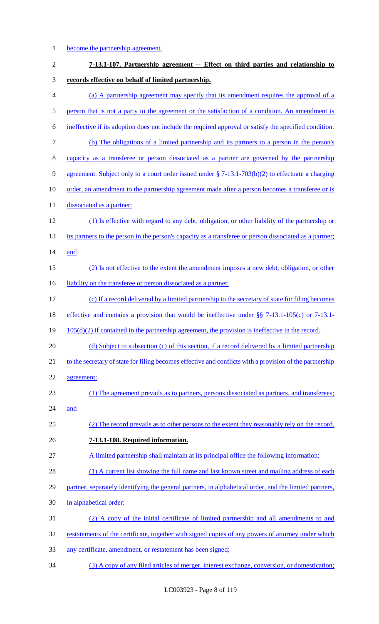## 1 become the partnership agreement.

| $\overline{2}$ | 7-13.1-107. Partnership agreement -- Effect on third parties and relationship to                         |
|----------------|----------------------------------------------------------------------------------------------------------|
| 3              | records effective on behalf of limited partnership.                                                      |
| $\overline{4}$ | (a) A partnership agreement may specify that its amendment requires the approval of a                    |
| 5              | person that is not a party to the agreement or the satisfaction of a condition. An amendment is          |
| 6              | ineffective if its adoption does not include the required approval or satisfy the specified condition.   |
| $\tau$         | (b) The obligations of a limited partnership and its partners to a person in the person's                |
| $8\,$          | capacity as a transferee or person dissociated as a partner are governed by the partnership              |
| $\mathbf{9}$   | agreement. Subject only to a court order issued under $\S 7-13.1-703(b)(2)$ to effectuate a charging     |
| 10             | <u>order, an amendment to the partnership agreement made after a person becomes a transferee or is</u>   |
| 11             | dissociated as a partner:                                                                                |
| 12             | (1) Is effective with regard to any debt, obligation, or other liability of the partnership or           |
| 13             | its partners to the person in the person's capacity as a transferee or person dissociated as a partner;  |
| 14             | and                                                                                                      |
| 15             | (2) Is not effective to the extent the amendment imposes a new debt, obligation, or other                |
| 16             | liability on the transferee or person dissociated as a partner.                                          |
| 17             | (c) If a record delivered by a limited partnership to the secretary of state for filing becomes          |
| 18             | effective and contains a provision that would be ineffective under $\S$ § 7-13.1-105(c) or 7-13.1-       |
| 19             | $105(d)(2)$ if contained in the partnership agreement, the provision is ineffective in the record.       |
| 20             | (d) Subject to subsection (c) of this section, if a record delivered by a limited partnership            |
| 21             | to the secretary of state for filing becomes effective and conflicts with a provision of the partnership |
| 22             | agreement:                                                                                               |
| 23             | (1) The agreement prevails as to partners, persons dissociated as partners, and transferees;             |
| 24             | and                                                                                                      |
| 25             | (2) The record prevails as to other persons to the extent they reasonably rely on the record.            |
| 26             | 7-13.1-108. Required information.                                                                        |
| 27             | A limited partnership shall maintain at its principal office the following information:                  |
| 28             | (1) A current list showing the full name and last known street and mailing address of each               |
| 29             | partner, separately identifying the general partners, in alphabetical order, and the limited partners,   |
| 30             | in alphabetical order;                                                                                   |
| 31             | (2) A copy of the initial certificate of limited partnership and all amendments to and                   |
| 32             | restatements of the certificate, together with signed copies of any powers of attorney under which       |
| 33             | any certificate, amendment, or restatement has been signed;                                              |
| 34             | (3) A copy of any filed articles of merger, interest exchange, conversion, or domestication;             |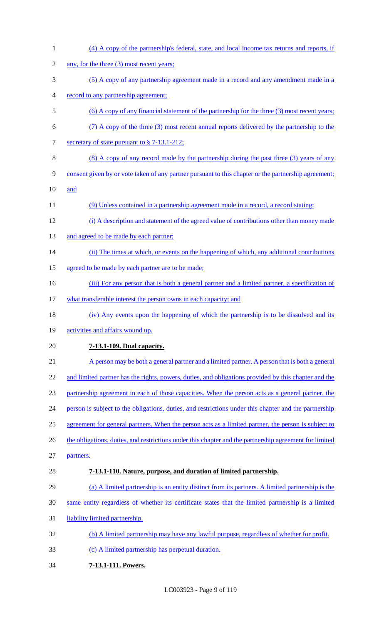(4) A copy of the partnership's federal, state, and local income tax returns and reports, if 2 any, for the three (3) most recent years; (5) A copy of any partnership agreement made in a record and any amendment made in a record to any partnership agreement; (6) A copy of any financial statement of the partnership for the three (3) most recent years; (7) A copy of the three (3) most recent annual reports delivered by the partnership to the 7 secretary of state pursuant to § 7-13.1-212; (8) A copy of any record made by the partnership during the past three (3) years of any consent given by or vote taken of any partner pursuant to this chapter or the partnership agreement; and (9) Unless contained in a partnership agreement made in a record, a record stating: (i) A description and statement of the agreed value of contributions other than money made 13 and agreed to be made by each partner; 14 (ii) The times at which, or events on the happening of which, any additional contributions 15 agreed to be made by each partner are to be made; 16 (iii) For any person that is both a general partner and a limited partner, a specification of 17 what transferable interest the person owns in each capacity; and (iv) Any events upon the happening of which the partnership is to be dissolved and its 19 activities and affairs wound up. **7-13.1-109. Dual capacity.** A person may be both a general partner and a limited partner. A person that is both a general 22 and limited partner has the rights, powers, duties, and obligations provided by this chapter and the partnership agreement in each of those capacities. When the person acts as a general partner, the 24 person is subject to the obligations, duties, and restrictions under this chapter and the partnership agreement for general partners. When the person acts as a limited partner, the person is subject to 26 the obligations, duties, and restrictions under this chapter and the partnership agreement for limited partners. **7-13.1-110. Nature, purpose, and duration of limited partnership.** (a) A limited partnership is an entity distinct from its partners. A limited partnership is the same entity regardless of whether its certificate states that the limited partnership is a limited liability limited partnership. (b) A limited partnership may have any lawful purpose, regardless of whether for profit. (c) A limited partnership has perpetual duration. **7-13.1-111. Powers.**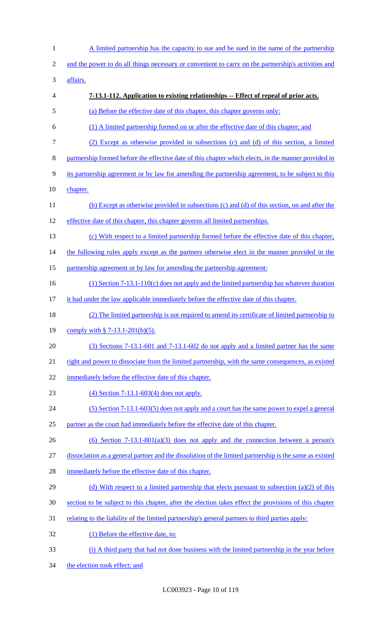| $\mathbf{1}$   | A limited partnership has the capacity to sue and be sued in the name of the partnership                |
|----------------|---------------------------------------------------------------------------------------------------------|
| $\overline{2}$ | and the power to do all things necessary or convenient to carry on the partnership's activities and     |
| 3              | affairs.                                                                                                |
| 4              | 7-13.1-112. Application to existing relationships -- Effect of repeal of prior acts.                    |
| 5              | (a) Before the effective date of this chapter, this chapter governs only:                               |
| 6              | (1) A limited partnership formed on or after the effective date of this chapter; and                    |
| 7              | (2) Except as otherwise provided in subsections (c) and (d) of this section, a limited                  |
| 8              | partnership formed before the effective date of this chapter which elects, in the manner provided in    |
| 9              | its partnership agreement or by law for amending the partnership agreement, to be subject to this       |
| 10             | chapter.                                                                                                |
| 11             | (b) Except as otherwise provided in subsections (c) and (d) of this section, on and after the           |
| 12             | effective date of this chapter, this chapter governs all limited partnerships.                          |
| 13             | (c) With respect to a limited partnership formed before the effective date of this chapter,             |
| 14             | the following rules apply except as the partners otherwise elect in the manner provided in the          |
| 15             | partnership agreement or by law for amending the partnership agreement:                                 |
| 16             | $(1)$ Section 7-13.1-110(c) does not apply and the limited partnership has whatever duration            |
| 17             | it had under the law applicable immediately before the effective date of this chapter.                  |
| 18             | (2) The limited partnership is not required to amend its certificate of limited partnership to          |
| 19             | comply with $\S$ 7-13.1-201(b)(5).                                                                      |
| 20             | $(3)$ Sections 7-13.1-601 and 7-13.1-602 do not apply and a limited partner has the same                |
| 21             | right and power to dissociate from the limited partnership, with the same consequences, as existed      |
| 22             | immediately before the effective date of this chapter.                                                  |
| 23             | $(4)$ Section 7-13.1-603(4) does not apply.                                                             |
| 24             | $(5)$ Section 7-13.1-603(5) does not apply and a court has the same power to expel a general            |
| 25             | partner as the court had immediately before the effective date of this chapter.                         |
| 26             | $(6)$ Section 7-13.1-801(a)(3) does not apply and the connection between a person's                     |
| 27             | dissociation as a general partner and the dissolution of the limited partnership is the same as existed |
| 28             | immediately before the effective date of this chapter.                                                  |
| 29             | (d) With respect to a limited partnership that elects pursuant to subsection $(a)(2)$ of this           |
| 30             | section to be subject to this chapter, after the election takes effect the provisions of this chapter   |
| 31             | relating to the liability of the limited partnership's general partners to third parties apply:         |
| 32             | (1) Before the effective date, to:                                                                      |
| 33             | (i) A third party that had not done business with the limited partnership in the year before            |
| 34             | the election took effect; and                                                                           |
|                |                                                                                                         |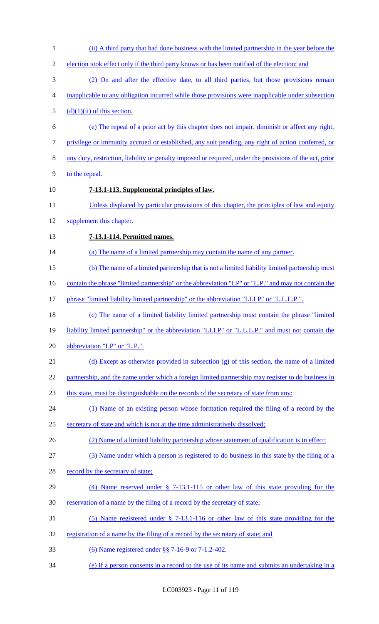| $\mathbf{1}$   | (ii) A third party that had done business with the limited partnership in the year before the           |
|----------------|---------------------------------------------------------------------------------------------------------|
| $\overline{2}$ | election took effect only if the third party knows or has been notified of the election; and            |
| 3              | (2) On and after the effective date, to all third parties, but those provisions remain                  |
| $\overline{4}$ | inapplicable to any obligation incurred while those provisions were inapplicable under subsection       |
| 5              | $(d)(1)(ii)$ of this section.                                                                           |
| 6              | (e) The repeal of a prior act by this chapter does not impair, diminish or affect any right,            |
| $\tau$         | privilege or immunity accrued or established, any suit pending, any right of action conferred, or       |
| $8\,$          | any duty, restriction, liability or penalty imposed or required, under the provisions of the act, prior |
| 9              | to the repeal.                                                                                          |
| 10             | 7-13.1-113. Supplemental principles of law.                                                             |
| 11             | Unless displaced by particular provisions of this chapter, the principles of law and equity             |
| 12             | supplement this chapter.                                                                                |
| 13             | 7-13.1-114. Permitted names.                                                                            |
| 14             | (a) The name of a limited partnership may contain the name of any partner.                              |
| 15             | (b) The name of a limited partnership that is not a limited liability limited partnership must          |
| 16             | contain the phrase "limited partnership" or the abbreviation "LP" or "L.P." and may not contain the     |
| 17             | phrase "limited liability limited partnership" or the abbreviation "LLLP" or "L.L.L.P.".                |
| 18             | (c) The name of a limited liability limited partnership must contain the phrase "limited"               |
| 19             | liability limited partnership" or the abbreviation "LLLP" or "L.L.L.P." and must not contain the        |
| 20             | abbreviation "LP" or "L.P.".                                                                            |
| 21             | (d) Except as otherwise provided in subsection (g) of this section, the name of a limited               |
| 22             | partnership, and the name under which a foreign limited partnership may register to do business in      |
| 23             | this state, must be distinguishable on the records of the secretary of state from any:                  |
| 24             | (1) Name of an existing person whose formation required the filing of a record by the                   |
| 25             | secretary of state and which is not at the time administratively dissolved;                             |
| 26             | (2) Name of a limited liability partnership whose statement of qualification is in effect;              |
| 27             | (3) Name under which a person is registered to do business in this state by the filing of a             |
| 28             | record by the secretary of state;                                                                       |
| 29             | (4) Name reserved under $\S$ 7-13.1-115 or other law of this state providing for the                    |
| 30             | reservation of a name by the filing of a record by the secretary of state;                              |
| 31             | (5) Name registered under $\S$ 7-13.1-116 or other law of this state providing for the                  |
| 32             | registration of a name by the filing of a record by the secretary of state; and                         |
| 33             | <u>(6) Name registered under §§ 7-16-9 or 7-1.2-402.</u>                                                |
| 34             | (e) If a person consents in a record to the use of its name and submits an undertaking in a             |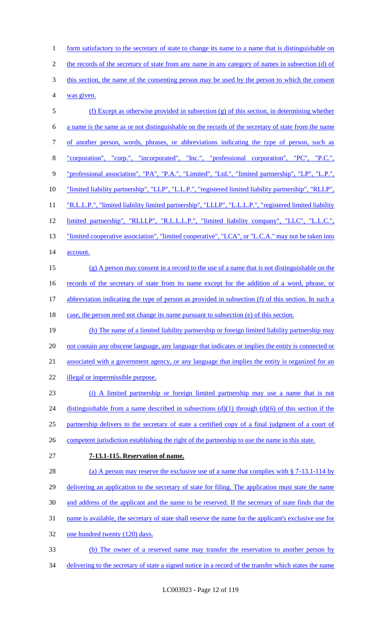1 form satisfactory to the secretary of state to change its name to a name that is distinguishable on 2 the records of the secretary of state from any name in any category of names in subsection (d) of 3 this section, the name of the consenting person may be used by the person to which the consent 4 was given. 5 (f) Except as otherwise provided in subsection (g) of this section, in determining whether 6 a name is the same as or not distinguishable on the records of the secretary of state from the name 7 of another person, words, phrases, or abbreviations indicating the type of person, such as 8 "corporation", "corp.", "incorporated", "Inc.", "professional corporation", "PC", "P.C.", 9 "professional association", "PA", "P.A.", "Limited", "Ltd.", "limited partnership", "LP", "L.P.", 10 "limited liability partnership", "LLP", "L.L.P.", "registered limited liability partnership", "RLLP", 11 "R.L.L.P.", "limited liability limited partnership", "LLLP", "L.L.L.P.", "registered limited liability 12 limited partnership", "RLLLP", "R.L.L.L.P.", "limited liability company", "LLC", "L.L.C.", 13 "limited cooperative association", "limited cooperative", "LCA", or "L.C.A." may not be taken into 14 account. 15 (g) A person may consent in a record to the use of a name that is not distinguishable on the 16 records of the secretary of state from its name except for the addition of a word, phrase, or 17 abbreviation indicating the type of person as provided in subsection (f) of this section. In such a 18 case, the person need not change its name pursuant to subsection (e) of this section. 19 (h) The name of a limited liability partnership or foreign limited liability partnership may 20 not contain any obscene language, any language that indicates or implies the entity is connected or 21 associated with a government agency, or any language that implies the entity is organized for an 22 illegal or impermissible purpose. 23 (i) A limited partnership or foreign limited partnership may use a name that is not 24 distinguishable from a name described in subsections  $(d)(1)$  through  $(d)(6)$  of this section if the 25 partnership delivers to the secretary of state a certified copy of a final judgment of a court of

- 26 competent jurisdiction establishing the right of the partnership to use the name in this state.
- 

27 **7-13.1-115. Reservation of name.**

28 (a) A person may reserve the exclusive use of a name that complies with § 7-13.1-114 by 29 delivering an application to the secretary of state for filing. The application must state the name 30 and address of the applicant and the name to be reserved. If the secretary of state finds that the 31 name is available, the secretary of state shall reserve the name for the applicant's exclusive use for 32 one hundred twenty (120) days.

33 (b) The owner of a reserved name may transfer the reservation to another person by 34 delivering to the secretary of state a signed notice in a record of the transfer which states the name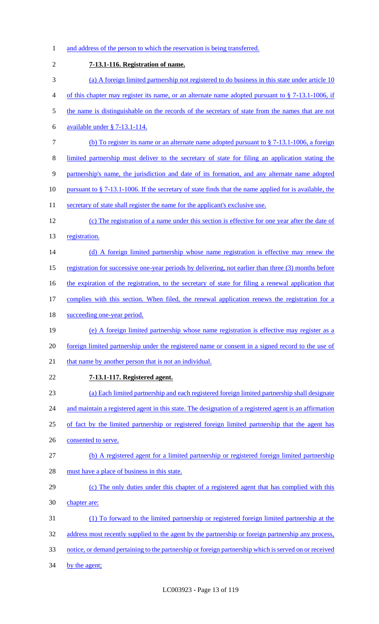1 and address of the person to which the reservation is being transferred.

 **7-13.1-116. Registration of name.** (a) A foreign limited partnership not registered to do business in this state under article 10 of this chapter may register its name, or an alternate name adopted pursuant to § 7-13.1-1006, if 5 the name is distinguishable on the records of the secretary of state from the names that are not available under § 7-13.1-114. (b) To register its name or an alternate name adopted pursuant to § 7-13.1-1006, a foreign limited partnership must deliver to the secretary of state for filing an application stating the partnership's name, the jurisdiction and date of its formation, and any alternate name adopted 10 pursuant to § 7-13.1-1006. If the secretary of state finds that the name applied for is available, the 11 secretary of state shall register the name for the applicant's exclusive use. (c) The registration of a name under this section is effective for one year after the date of 13 registration. 14 (d) A foreign limited partnership whose name registration is effective may renew the registration for successive one-year periods by delivering, not earlier than three (3) months before 16 the expiration of the registration, to the secretary of state for filing a renewal application that complies with this section. When filed, the renewal application renews the registration for a 18 succeeding one-year period. (e) A foreign limited partnership whose name registration is effective may register as a foreign limited partnership under the registered name or consent in a signed record to the use of 21 that name by another person that is not an individual. **7-13.1-117. Registered agent.** (a) Each limited partnership and each registered foreign limited partnership shall designate 24 and maintain a registered agent in this state. The designation of a registered agent is an affirmation of fact by the limited partnership or registered foreign limited partnership that the agent has 26 consented to serve. (b) A registered agent for a limited partnership or registered foreign limited partnership must have a place of business in this state. 29 (c) The only duties under this chapter of a registered agent that has complied with this chapter are: (1) To forward to the limited partnership or registered foreign limited partnership at the 32 address most recently supplied to the agent by the partnership or foreign partnership any process, notice, or demand pertaining to the partnership or foreign partnership which is served on or received 34 by the agent;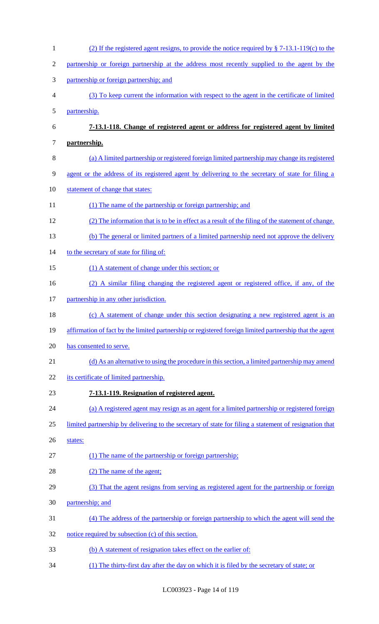(2) If the registered agent resigns, to provide the notice required by § 7-13.1-119(c) to the 2 partnership or foreign partnership at the address most recently supplied to the agent by the partnership or foreign partnership; and (3) To keep current the information with respect to the agent in the certificate of limited partnership. **7-13.1-118. Change of registered agent or address for registered agent by limited partnership.** (a) A limited partnership or registered foreign limited partnership may change its registered agent or the address of its registered agent by delivering to the secretary of state for filing a statement of change that states: 11 (1) The name of the partnership or foreign partnership; and (2) The information that is to be in effect as a result of the filing of the statement of change. (b) The general or limited partners of a limited partnership need not approve the delivery to the secretary of state for filing of: 15 (1) A statement of change under this section; or (2) A similar filing changing the registered agent or registered office, if any, of the 17 partnership in any other jurisdiction. (c) A statement of change under this section designating a new registered agent is an 19 affirmation of fact by the limited partnership or registered foreign limited partnership that the agent has consented to serve. (d) As an alternative to using the procedure in this section, a limited partnership may amend 22 its certificate of limited partnership. **7-13.1-119. Resignation of registered agent.** (a) A registered agent may resign as an agent for a limited partnership or registered foreign limited partnership by delivering to the secretary of state for filing a statement of resignation that states: (1) The name of the partnership or foreign partnership; 28 (2) The name of the agent; 29 (3) That the agent resigns from serving as registered agent for the partnership or foreign partnership; and (4) The address of the partnership or foreign partnership to which the agent will send the notice required by subsection (c) of this section. (b) A statement of resignation takes effect on the earlier of: (1) The thirty-first day after the day on which it is filed by the secretary of state; or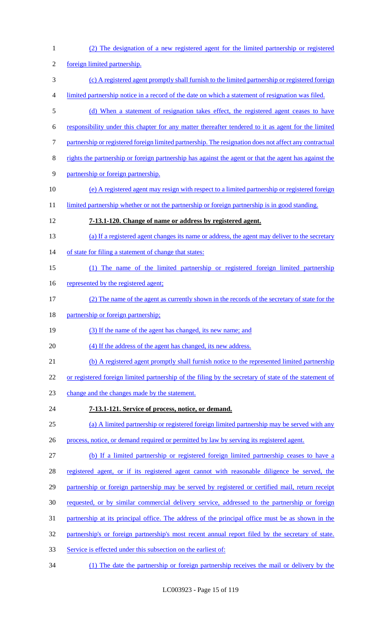| $\mathbf{1}$   | (2) The designation of a new registered agent for the limited partnership or registered                |
|----------------|--------------------------------------------------------------------------------------------------------|
| $\overline{2}$ | foreign limited partnership.                                                                           |
| 3              | (c) A registered agent promptly shall furnish to the limited partnership or registered foreign         |
| 4              | limited partnership notice in a record of the date on which a statement of resignation was filed.      |
| 5              | (d) When a statement of resignation takes effect, the registered agent ceases to have                  |
| 6              | responsibility under this chapter for any matter thereafter tendered to it as agent for the limited    |
| 7              | partnership or registered foreign limited partnership. The resignation does not affect any contractual |
| 8              | rights the partnership or foreign partnership has against the agent or that the agent has against the  |
| 9              | partnership or foreign partnership.                                                                    |
| 10             | (e) A registered agent may resign with respect to a limited partnership or registered foreign          |
| 11             | limited partnership whether or not the partnership or foreign partnership is in good standing.         |
| 12             | 7-13.1-120. Change of name or address by registered agent.                                             |
| 13             | (a) If a registered agent changes its name or address, the agent may deliver to the secretary          |
| 14             | of state for filing a statement of change that states:                                                 |
| 15             | (1) The name of the limited partnership or registered foreign limited partnership                      |
| 16             | represented by the registered agent;                                                                   |
| 17             | (2) The name of the agent as currently shown in the records of the secretary of state for the          |
| 18             | partnership or foreign partnership;                                                                    |
| 19             | (3) If the name of the agent has changed, its new name; and                                            |
| 20             | (4) If the address of the agent has changed, its new address.                                          |
| 21             | (b) A registered agent promptly shall furnish notice to the represented limited partnership            |
| 22             | or registered foreign limited partnership of the filing by the secretary of state of the statement of  |
| 23             | change and the changes made by the statement.                                                          |
| 24             | 7-13.1-121. Service of process, notice, or demand.                                                     |
| 25             | (a) A limited partnership or registered foreign limited partnership may be served with any             |
| 26             | process, notice, or demand required or permitted by law by serving its registered agent.               |
| 27             | (b) If a limited partnership or registered foreign limited partnership ceases to have a                |
| 28             | registered agent, or if its registered agent cannot with reasonable diligence be served, the           |
| 29             | partnership or foreign partnership may be served by registered or certified mail, return receipt       |
| 30             | requested, or by similar commercial delivery service, addressed to the partnership or foreign          |
| 31             | partnership at its principal office. The address of the principal office must be as shown in the       |
| 32             | partnership's or foreign partnership's most recent annual report filed by the secretary of state.      |
| 33             | Service is effected under this subsection on the earliest of:                                          |
| 34             | (1) The date the partnership or foreign partnership receives the mail or delivery by the               |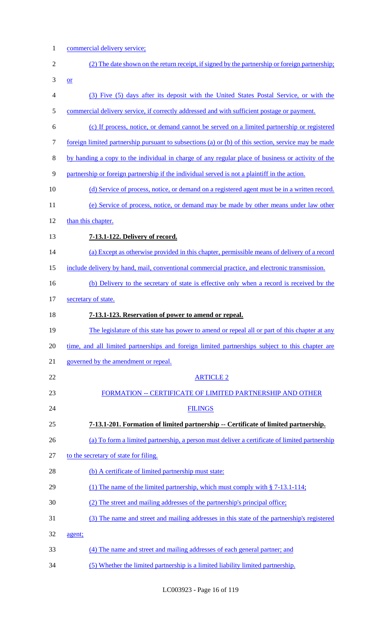1 commercial delivery service;

| $\overline{2}$ | (2) The date shown on the return receipt, if signed by the partnership or foreign partnership;      |
|----------------|-----------------------------------------------------------------------------------------------------|
| 3              | $or$                                                                                                |
| 4              | (3) Five (5) days after its deposit with the United States Postal Service, or with the              |
| 5              | commercial delivery service, if correctly addressed and with sufficient postage or payment.         |
| 6              | (c) If process, notice, or demand cannot be served on a limited partnership or registered           |
| $\tau$         | foreign limited partnership pursuant to subsections (a) or (b) of this section, service may be made |
| $\,8\,$        | by handing a copy to the individual in charge of any regular place of business or activity of the   |
| 9              | partnership or foreign partnership if the individual served is not a plaintiff in the action.       |
| 10             | (d) Service of process, notice, or demand on a registered agent must be in a written record.        |
| 11             | (e) Service of process, notice, or demand may be made by other means under law other                |
| 12             | than this chapter.                                                                                  |
| 13             | 7-13.1-122. Delivery of record.                                                                     |
| 14             | (a) Except as otherwise provided in this chapter, permissible means of delivery of a record         |
| 15             | include delivery by hand, mail, conventional commercial practice, and electronic transmission.      |
| 16             | (b) Delivery to the secretary of state is effective only when a record is received by the           |
| 17             | secretary of state.                                                                                 |
| 18             | 7-13.1-123. Reservation of power to amend or repeal.                                                |
| 19             | The legislature of this state has power to amend or repeal all or part of this chapter at any       |
| 20             | time, and all limited partnerships and foreign limited partnerships subject to this chapter are     |
| 21             | governed by the amendment or repeal.                                                                |
| 22             | <b>ARTICLE 2</b>                                                                                    |
| 23             | FORMATION -- CERTIFICATE OF LIMITED PARTNERSHIP AND OTHER                                           |
| 24             | <b>FILINGS</b>                                                                                      |
| 25             | 7-13.1-201. Formation of limited partnership -- Certificate of limited partnership.                 |
| 26             | (a) To form a limited partnership, a person must deliver a certificate of limited partnership       |
| 27             | to the secretary of state for filing.                                                               |
| 28             | (b) A certificate of limited partnership must state:                                                |
| 29             | (1) The name of the limited partnership, which must comply with $\S$ 7-13.1-114;                    |
| 30             | (2) The street and mailing addresses of the partnership's principal office;                         |
| 31             | (3) The name and street and mailing addresses in this state of the partnership's registered         |
| 32             | agent;                                                                                              |
| 33             | (4) The name and street and mailing addresses of each general partner; and                          |
| 34             | (5) Whether the limited partnership is a limited liability limited partnership.                     |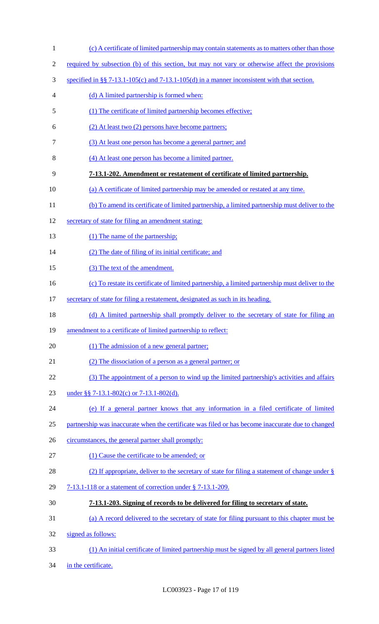| $\mathbf{1}$   | (c) A certificate of limited partnership may contain statements as to matters other than those    |
|----------------|---------------------------------------------------------------------------------------------------|
| $\overline{2}$ | required by subsection (b) of this section, but may not vary or otherwise affect the provisions   |
| 3              | specified in §§ 7-13.1-105(c) and 7-13.1-105(d) in a manner inconsistent with that section.       |
| $\overline{4}$ | (d) A limited partnership is formed when:                                                         |
| 5              | (1) The certificate of limited partnership becomes effective;                                     |
| 6              | (2) At least two (2) persons have become partners;                                                |
| 7              | (3) At least one person has become a general partner; and                                         |
| 8              | (4) At least one person has become a limited partner.                                             |
| 9              | 7-13.1-202. Amendment or restatement of certificate of limited partnership.                       |
| 10             | (a) A certificate of limited partnership may be amended or restated at any time.                  |
| 11             | (b) To amend its certificate of limited partnership, a limited partnership must deliver to the    |
| 12             | secretary of state for filing an amendment stating:                                               |
| 13             | (1) The name of the partnership;                                                                  |
| 14             | (2) The date of filing of its initial certificate; and                                            |
| 15             | (3) The text of the amendment.                                                                    |
| 16             | (c) To restate its certificate of limited partnership, a limited partnership must deliver to the  |
| 17             | secretary of state for filing a restatement, designated as such in its heading.                   |
| 18             | (d) A limited partnership shall promptly deliver to the secretary of state for filing an          |
| 19             | amendment to a certificate of limited partnership to reflect:                                     |
| 20             | (1) The admission of a new general partner;                                                       |
| 21             | (2) The dissociation of a person as a general partner; or                                         |
| 22             | (3) The appointment of a person to wind up the limited partnership's activities and affairs       |
| 23             | under §§ 7-13.1-802(c) or 7-13.1-802(d).                                                          |
| 24             | (e) If a general partner knows that any information in a filed certificate of limited             |
| 25             | partnership was inaccurate when the certificate was filed or has become inaccurate due to changed |
| 26             | circumstances, the general partner shall promptly:                                                |
| 27             | (1) Cause the certificate to be amended; or                                                       |
| 28             | (2) If appropriate, deliver to the secretary of state for filing a statement of change under $\S$ |
| 29             | 7-13.1-118 or a statement of correction under § 7-13.1-209.                                       |
| 30             | 7-13.1-203. Signing of records to be delivered for filing to secretary of state.                  |
| 31             | (a) A record delivered to the secretary of state for filing pursuant to this chapter must be      |
| 32             | signed as follows:                                                                                |
| 33             | (1) An initial certificate of limited partnership must be signed by all general partners listed   |
| 34             | in the certificate.                                                                               |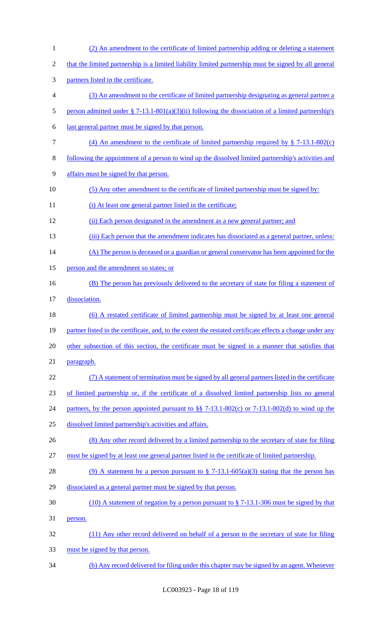| $\mathbf{1}$   | (2) An amendment to the certificate of limited partnership adding or deleting a statement                 |
|----------------|-----------------------------------------------------------------------------------------------------------|
| $\overline{2}$ | that the limited partnership is a limited liability limited partnership must be signed by all general     |
| 3              | partners listed in the certificate.                                                                       |
| $\overline{4}$ | (3) An amendment to the certificate of limited partnership designating as general partner a               |
| $\mathfrak{S}$ | person admitted under § 7-13.1-801(a)(3)(ii) following the dissociation of a limited partnership's        |
| 6              | last general partner must be signed by that person.                                                       |
| $\tau$         | (4) An amendment to the certificate of limited partnership required by $\S$ 7-13.1-802(c)                 |
| $8\,$          | following the appointment of a person to wind up the dissolved limited partnership's activities and       |
| 9              | affairs must be signed by that person.                                                                    |
| 10             | (5) Any other amendment to the certificate of limited partnership must be signed by:                      |
| 11             | (i) At least one general partner listed in the certificate;                                               |
| 12             | (ii) Each person designated in the amendment as a new general partner; and                                |
| 13             | (iii) Each person that the amendment indicates has dissociated as a general partner, unless:              |
| 14             | (A) The person is deceased or a guardian or general conservator has been appointed for the                |
| 15             | person and the amendment so states; or                                                                    |
| 16             | (B) The person has previously delivered to the secretary of state for filing a statement of               |
| 17             | dissociation.                                                                                             |
| 18             | (6) A restated certificate of limited partnership must be signed by at least one general                  |
| 19             | partner listed in the certificate, and, to the extent the restated certificate effects a change under any |
| 20             | other subsection of this section, the certificate must be signed in a manner that satisfies that          |
| 21             | paragraph.                                                                                                |
| 22             | (7) A statement of termination must be signed by all general partners listed in the certificate           |
| 23             | of limited partnership or, if the certificate of a dissolved limited partnership lists no general         |
| 24             | partners, by the person appointed pursuant to §§ 7-13.1-802(c) or 7-13.1-802(d) to wind up the            |
| 25             | dissolved limited partnership's activities and affairs.                                                   |
| 26             | (8) Any other record delivered by a limited partnership to the secretary of state for filing              |
| 27             | must be signed by at least one general partner listed in the certificate of limited partnership.          |
| 28             | (9) A statement by a person pursuant to $\S$ 7-13.1-605(a)(3) stating that the person has                 |
| 29             | dissociated as a general partner must be signed by that person.                                           |
| 30             | (10) A statement of negation by a person pursuant to $\S$ 7-13.1-306 must be signed by that               |
| 31             | person.                                                                                                   |
| 32             | (11) Any other record delivered on behalf of a person to the secretary of state for filing                |
| 33             | must be signed by that person.                                                                            |
| 34             | (b) Any record delivered for filing under this chapter may be signed by an agent. Whenever                |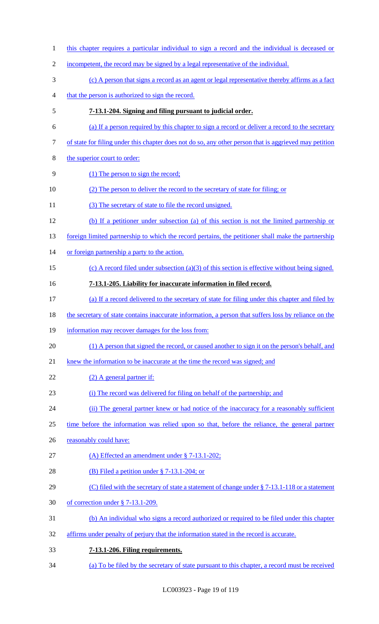- 1 this chapter requires a particular individual to sign a record and the individual is deceased or
- 2 incompetent, the record may be signed by a legal representative of the individual.
- (c) A person that signs a record as an agent or legal representative thereby affirms as a fact
- that the person is authorized to sign the record.

### **7-13.1-204. Signing and filing pursuant to judicial order.**

- (a) If a person required by this chapter to sign a record or deliver a record to the secretary
- of state for filing under this chapter does not do so, any other person that is aggrieved may petition
- the superior court to order:
- (1) The person to sign the record;
- (2) The person to deliver the record to the secretary of state for filing; or
- 11 (3) The secretary of state to file the record unsigned.
- (b) If a petitioner under subsection (a) of this section is not the limited partnership or
- 13 foreign limited partnership to which the record pertains, the petitioner shall make the partnership
- 14 or foreign partnership a party to the action.
- (c) A record filed under subsection (a)(3) of this section is effective without being signed.
- **7-13.1-205. Liability for inaccurate information in filed record.**
- (a) If a record delivered to the secretary of state for filing under this chapter and filed by
- 18 the secretary of state contains inaccurate information, a person that suffers loss by reliance on the
- information may recover damages for the loss from:
- (1) A person that signed the record, or caused another to sign it on the person's behalf, and
- 21 knew the information to be inaccurate at the time the record was signed; and
- 22 (2) A general partner if:
- (i) The record was delivered for filing on behalf of the partnership; and
- 24 (ii) The general partner knew or had notice of the inaccuracy for a reasonably sufficient
- time before the information was relied upon so that, before the reliance, the general partner
- 26 reasonably could have:
- (A) Effected an amendment under § 7-13.1-202;
- **(B)** Filed a petition under § 7-13.1-204; or
- (C) filed with the secretary of state a statement of change under § 7-13.1-118 or a statement
- of correction under § 7-13.1-209.
- (b) An individual who signs a record authorized or required to be filed under this chapter
- affirms under penalty of perjury that the information stated in the record is accurate.
- **7-13.1-206. Filing requirements.**
- (a) To be filed by the secretary of state pursuant to this chapter, a record must be received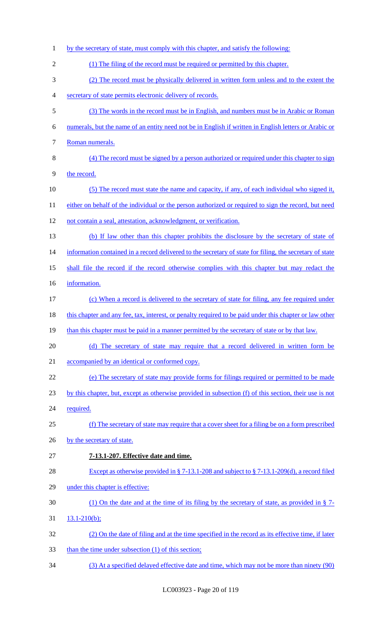1 by the secretary of state, must comply with this chapter, and satisfy the following: (1) The filing of the record must be required or permitted by this chapter. (2) The record must be physically delivered in written form unless and to the extent the secretary of state permits electronic delivery of records. (3) The words in the record must be in English, and numbers must be in Arabic or Roman numerals, but the name of an entity need not be in English if written in English letters or Arabic or Roman numerals. (4) The record must be signed by a person authorized or required under this chapter to sign the record. (5) The record must state the name and capacity, if any, of each individual who signed it, 11 either on behalf of the individual or the person authorized or required to sign the record, but need not contain a seal, attestation, acknowledgment, or verification. (b) If law other than this chapter prohibits the disclosure by the secretary of state of 14 information contained in a record delivered to the secretary of state for filing, the secretary of state shall file the record if the record otherwise complies with this chapter but may redact the information. (c) When a record is delivered to the secretary of state for filing, any fee required under 18 this chapter and any fee, tax, interest, or penalty required to be paid under this chapter or law other 19 than this chapter must be paid in a manner permitted by the secretary of state or by that law. (d) The secretary of state may require that a record delivered in written form be accompanied by an identical or conformed copy. (e) The secretary of state may provide forms for filings required or permitted to be made by this chapter, but, except as otherwise provided in subsection (f) of this section, their use is not 24 required. (f) The secretary of state may require that a cover sheet for a filing be on a form prescribed 26 by the secretary of state. **7-13.1-207. Effective date and time.** Except as otherwise provided in § 7-13.1-208 and subject to § 7-13.1-209(d), a record filed under this chapter is effective: (1) On the date and at the time of its filing by the secretary of state, as provided in § 7-  $31 \quad 13.1 - 210(b)$ ; (2) On the date of filing and at the time specified in the record as its effective time, if later than the time under subsection (1) of this section; (3) At a specified delayed effective date and time, which may not be more than ninety (90)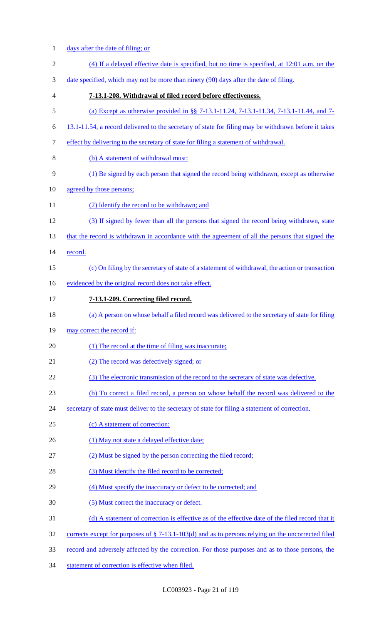| $\mathbf{1}$   | days after the date of filing; or                                                                     |
|----------------|-------------------------------------------------------------------------------------------------------|
| $\overline{2}$ | (4) If a delayed effective date is specified, but no time is specified, at 12:01 a.m. on the          |
| 3              | date specified, which may not be more than ninety (90) days after the date of filing.                 |
| 4              | 7-13.1-208. Withdrawal of filed record before effectiveness.                                          |
| 5              | (a) Except as otherwise provided in §§ 7-13.1-11.24, 7-13.1-11.34, 7-13.1-11.44, and 7-               |
| 6              | 13.1-11.54, a record delivered to the secretary of state for filing may be withdrawn before it takes  |
| $\tau$         | effect by delivering to the secretary of state for filing a statement of withdrawal.                  |
| $8\,$          | (b) A statement of withdrawal must:                                                                   |
| 9              | (1) Be signed by each person that signed the record being withdrawn, except as otherwise              |
| 10             | agreed by those persons;                                                                              |
| 11             | (2) Identify the record to be withdrawn; and                                                          |
| 12             | (3) If signed by fewer than all the persons that signed the record being withdrawn, state             |
| 13             | that the record is withdrawn in accordance with the agreement of all the persons that signed the      |
| 14             | record.                                                                                               |
| 15             | (c) On filing by the secretary of state of a statement of withdrawal, the action or transaction       |
| 16             | evidenced by the original record does not take effect.                                                |
| 17             | 7-13.1-209. Correcting filed record.                                                                  |
| 18             | (a) A person on whose behalf a filed record was delivered to the secretary of state for filing        |
| 19             | may correct the record if:                                                                            |
| 20             | (1) The record at the time of filing was inaccurate;                                                  |
| 21             | (2) The record was defectively signed; or                                                             |
| 22             | (3) The electronic transmission of the record to the secretary of state was defective.                |
| 23             | (b) To correct a filed record, a person on whose behalf the record was delivered to the               |
| 24             | secretary of state must deliver to the secretary of state for filing a statement of correction.       |
| 25             | (c) A statement of correction:                                                                        |
| 26             | (1) May not state a delayed effective date;                                                           |
| 27             | (2) Must be signed by the person correcting the filed record;                                         |
| 28             | (3) Must identify the filed record to be corrected;                                                   |
| 29             | (4) Must specify the inaccuracy or defect to be corrected; and                                        |
| 30             | (5) Must correct the inaccuracy or defect.                                                            |
| 31             | (d) A statement of correction is effective as of the effective date of the filed record that it       |
| 32             | corrects except for purposes of $\S$ 7-13.1-103(d) and as to persons relying on the uncorrected filed |
| 33             | record and adversely affected by the correction. For those purposes and as to those persons, the      |
| 34             | statement of correction is effective when filed.                                                      |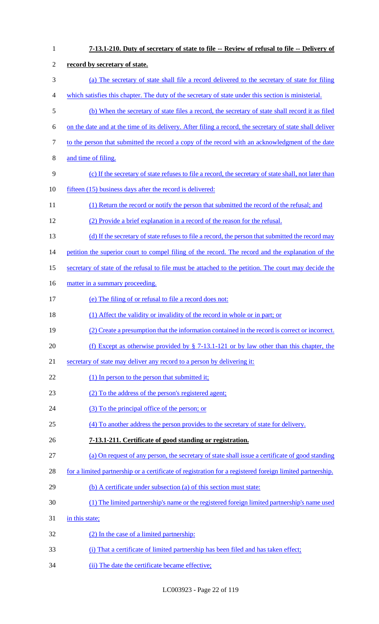| $\mathbf{1}$   | 7-13.1-210. Duty of secretary of state to file -- Review of refusal to file -- Delivery of               |
|----------------|----------------------------------------------------------------------------------------------------------|
| $\overline{c}$ | record by secretary of state.                                                                            |
| 3              | (a) The secretary of state shall file a record delivered to the secretary of state for filing            |
| 4              | which satisfies this chapter. The duty of the secretary of state under this section is ministerial.      |
| 5              | (b) When the secretary of state files a record, the secretary of state shall record it as filed          |
| 6              | on the date and at the time of its delivery. After filing a record, the secretary of state shall deliver |
| 7              | to the person that submitted the record a copy of the record with an acknowledgment of the date          |
| $8\,$          | and time of filing.                                                                                      |
| 9              | (c) If the secretary of state refuses to file a record, the secretary of state shall, not later than     |
| 10             | fifteen (15) business days after the record is delivered:                                                |
| 11             | (1) Return the record or notify the person that submitted the record of the refusal; and                 |
| 12             | (2) Provide a brief explanation in a record of the reason for the refusal.                               |
| 13             | (d) If the secretary of state refuses to file a record, the person that submitted the record may         |
| 14             | petition the superior court to compel filing of the record. The record and the explanation of the        |
| 15             | secretary of state of the refusal to file must be attached to the petition. The court may decide the     |
| 16             | matter in a summary proceeding.                                                                          |
| 17             | (e) The filing of or refusal to file a record does not:                                                  |
| 18             | (1) Affect the validity or invalidity of the record in whole or in part; or                              |
| 19             | (2) Create a presumption that the information contained in the record is correct or incorrect.           |
| 20             | (f) Except as otherwise provided by $\S$ 7-13.1-121 or by law other than this chapter, the               |
| 21             | secretary of state may deliver any record to a person by delivering it:                                  |
| 22             | (1) In person to the person that submitted it;                                                           |
| 23             | (2) To the address of the person's registered agent;                                                     |
| 24             | (3) To the principal office of the person; or                                                            |
| 25             | (4) To another address the person provides to the secretary of state for delivery.                       |
| 26             | 7-13.1-211. Certificate of good standing or registration.                                                |
| 27             | (a) On request of any person, the secretary of state shall issue a certificate of good standing          |
| 28             | for a limited partnership or a certificate of registration for a registered foreign limited partnership. |
| 29             | (b) A certificate under subsection (a) of this section must state:                                       |
| 30             | (1) The limited partnership's name or the registered foreign limited partnership's name used             |
| 31             | in this state;                                                                                           |
| 32             | (2) In the case of a limited partnership:                                                                |
| 33             | (i) That a certificate of limited partnership has been filed and has taken effect;                       |
| 34             | (ii) The date the certificate became effective;                                                          |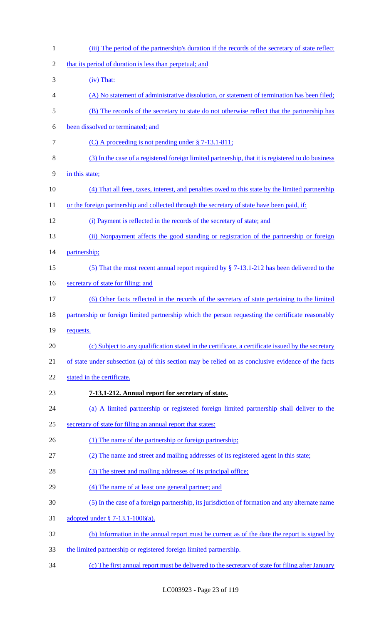| 1              | (iii) The period of the partnership's duration if the records of the secretary of state reflect    |
|----------------|----------------------------------------------------------------------------------------------------|
| $\overline{2}$ | that its period of duration is less than perpetual; and                                            |
| 3              | (iv) That:                                                                                         |
| 4              | (A) No statement of administrative dissolution, or statement of termination has been filed;        |
| 5              | (B) The records of the secretary to state do not otherwise reflect that the partnership has        |
| 6              | been dissolved or terminated; and                                                                  |
| 7              | $(C)$ A proceeding is not pending under § 7-13.1-811;                                              |
| 8              | (3) In the case of a registered foreign limited partnership, that it is registered to do business  |
| 9              | in this state;                                                                                     |
| 10             | (4) That all fees, taxes, interest, and penalties owed to this state by the limited partnership    |
| 11             | or the foreign partnership and collected through the secretary of state have been paid, if:        |
| 12             | (i) Payment is reflected in the records of the secretary of state; and                             |
| 13             | (ii) Nonpayment affects the good standing or registration of the partnership or foreign            |
| 14             | partnership;                                                                                       |
| 15             | (5) That the most recent annual report required by $\S$ 7-13.1-212 has been delivered to the       |
| 16             | secretary of state for filing; and                                                                 |
| 17             | (6) Other facts reflected in the records of the secretary of state pertaining to the limited       |
| 18             | partnership or foreign limited partnership which the person requesting the certificate reasonably  |
| 19             | requests.                                                                                          |
| 20             | (c) Subject to any qualification stated in the certificate, a certificate issued by the secretary  |
| 21             | of state under subsection (a) of this section may be relied on as conclusive evidence of the facts |
| 22             | stated in the certificate.                                                                         |
| 23             | 7-13.1-212. Annual report for secretary of state.                                                  |
| 24             | (a) A limited partnership or registered foreign limited partnership shall deliver to the           |
| 25             | secretary of state for filing an annual report that states:                                        |
| 26             | (1) The name of the partnership or foreign partnership;                                            |
| 27             | (2) The name and street and mailing addresses of its registered agent in this state;               |
| 28             | (3) The street and mailing addresses of its principal office;                                      |
| 29             | (4) The name of at least one general partner; and                                                  |
| 30             | (5) In the case of a foreign partnership, its jurisdiction of formation and any alternate name     |
| 31             | <u>adopted under § 7-13.1-1006(a).</u>                                                             |
| 32             | (b) Information in the annual report must be current as of the date the report is signed by        |
| 33             | the limited partnership or registered foreign limited partnership.                                 |
|                |                                                                                                    |

(c) The first annual report must be delivered to the secretary of state for filing after January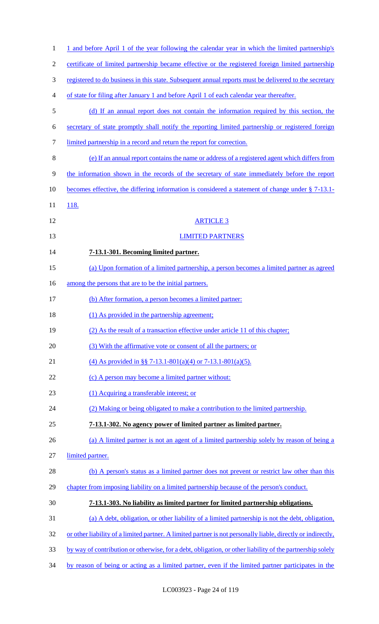| $\mathbf{1}$   | 1 and before April 1 of the year following the calendar year in which the limited partnership's              |
|----------------|--------------------------------------------------------------------------------------------------------------|
| $\overline{2}$ | certificate of limited partnership became effective or the registered foreign limited partnership            |
| $\mathfrak{Z}$ | registered to do business in this state. Subsequent annual reports must be delivered to the secretary        |
| 4              | of state for filing after January 1 and before April 1 of each calendar year thereafter.                     |
| 5              | (d) If an annual report does not contain the information required by this section, the                       |
| 6              | secretary of state promptly shall notify the reporting limited partnership or registered foreign             |
| $\tau$         | limited partnership in a record and return the report for correction.                                        |
| 8              | (e) If an annual report contains the name or address of a registered agent which differs from                |
| 9              | the information shown in the records of the secretary of state immediately before the report                 |
| 10             | becomes effective, the differing information is considered a statement of change under $\S$ 7-13.1-          |
| 11             | 118.                                                                                                         |
| 12             | <b>ARTICLE 3</b>                                                                                             |
| 13             | <b>LIMITED PARTNERS</b>                                                                                      |
| 14             | 7-13.1-301. Becoming limited partner.                                                                        |
| 15             | (a) Upon formation of a limited partnership, a person becomes a limited partner as agreed                    |
| 16             | among the persons that are to be the initial partners.                                                       |
| 17             | (b) After formation, a person becomes a limited partner:                                                     |
| 18             | (1) As provided in the partnership agreement;                                                                |
| 19             | (2) As the result of a transaction effective under article 11 of this chapter;                               |
| 20             | (3) With the affirmative vote or consent of all the partners; or                                             |
| 21             | (4) As provided in §§ 7-13.1-801(a)(4) or 7-13.1-801(a)(5).                                                  |
| 22             | (c) A person may become a limited partner without:                                                           |
| 23             | (1) Acquiring a transferable interest; or                                                                    |
| 24             | (2) Making or being obligated to make a contribution to the limited partnership.                             |
| 25             | 7-13.1-302. No agency power of limited partner as limited partner.                                           |
| 26             | (a) A limited partner is not an agent of a limited partnership solely by reason of being a                   |
| 27             | limited partner.                                                                                             |
| 28             | (b) A person's status as a limited partner does not prevent or restrict law other than this                  |
| 29             | chapter from imposing liability on a limited partnership because of the person's conduct.                    |
| 30             | 7-13.1-303. No liability as limited partner for limited partnership obligations.                             |
| 31             | (a) A debt, obligation, or other liability of a limited partnership is not the debt, obligation,             |
| 32             | or other liability of a limited partner. A limited partner is not personally liable, directly or indirectly, |
| 33             | by way of contribution or otherwise, for a debt, obligation, or other liability of the partnership solely    |
| 34             | by reason of being or acting as a limited partner, even if the limited partner participates in the           |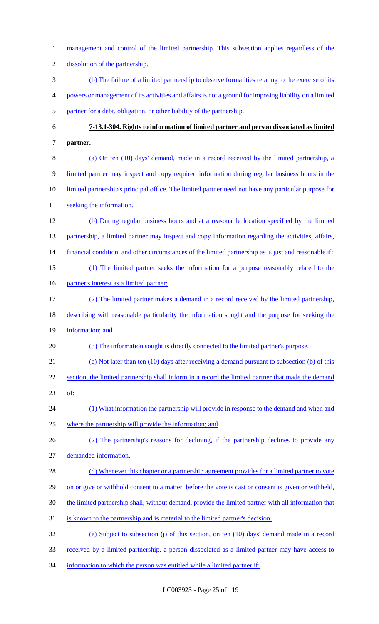| $\mathbf{1}$ | management and control of the limited partnership. This subsection applies regardless of the           |
|--------------|--------------------------------------------------------------------------------------------------------|
| $\sqrt{2}$   | dissolution of the partnership.                                                                        |
| 3            | (b) The failure of a limited partnership to observe formalities relating to the exercise of its        |
| 4            | powers or management of its activities and affairs is not a ground for imposing liability on a limited |
| 5            | partner for a debt, obligation, or other liability of the partnership.                                 |
| 6            | 7-13.1-304. Rights to information of limited partner and person dissociated as limited                 |
| 7            | partner.                                                                                               |
| $8\,$        | (a) On ten (10) days' demand, made in a record received by the limited partnership, a                  |
| 9            | limited partner may inspect and copy required information during regular business hours in the         |
| 10           | limited partnership's principal office. The limited partner need not have any particular purpose for   |
| 11           | seeking the information.                                                                               |
| 12           | (b) During regular business hours and at a reasonable location specified by the limited                |
| 13           | partnership, a limited partner may inspect and copy information regarding the activities, affairs,     |
| 14           | financial condition, and other circumstances of the limited partnership as is just and reasonable if:  |
| 15           | (1) The limited partner seeks the information for a purpose reasonably related to the                  |
| 16           | partner's interest as a limited partner;                                                               |
| 17           | (2) The limited partner makes a demand in a record received by the limited partnership,                |
| 18           | describing with reasonable particularity the information sought and the purpose for seeking the        |
| 19           | information; and                                                                                       |
| 20           | (3) The information sought is directly connected to the limited partner's purpose.                     |
| 21           | (c) Not later than ten (10) days after receiving a demand pursuant to subsection (b) of this           |
| 22           | section, the limited partnership shall inform in a record the limited partner that made the demand     |
| 23           | $of$ :                                                                                                 |
| 24           | (1) What information the partnership will provide in response to the demand and when and               |
| 25           | where the partnership will provide the information; and                                                |
| 26           | (2) The partnership's reasons for declining, if the partnership declines to provide any                |
| 27           | demanded information.                                                                                  |
| 28           | (d) Whenever this chapter or a partnership agreement provides for a limited partner to vote            |
| 29           | on or give or withhold consent to a matter, before the vote is cast or consent is given or withheld,   |
| 30           | the limited partnership shall, without demand, provide the limited partner with all information that   |
| 31           | is known to the partnership and is material to the limited partner's decision.                         |
| 32           | (e) Subject to subsection (j) of this section, on ten (10) days' demand made in a record               |
| 33           | received by a limited partnership, a person dissociated as a limited partner may have access to        |
| 34           | information to which the person was entitled while a limited partner if:                               |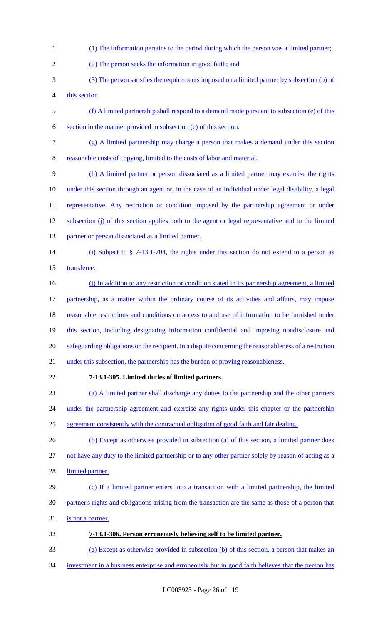(1) The information pertains to the period during which the person was a limited partner; (2) The person seeks the information in good faith; and (3) The person satisfies the requirements imposed on a limited partner by subsection (b) of this section. (f) A limited partnership shall respond to a demand made pursuant to subsection (e) of this section in the manner provided in subsection (c) of this section. (g) A limited partnership may charge a person that makes a demand under this section reasonable costs of copying, limited to the costs of labor and material. (h) A limited partner or person dissociated as a limited partner may exercise the rights under this section through an agent or, in the case of an individual under legal disability, a legal 11 representative. Any restriction or condition imposed by the partnership agreement or under 12 subsection (j) of this section applies both to the agent or legal representative and to the limited 13 partner or person dissociated as a limited partner. (i) Subject to § 7-13.1-704, the rights under this section do not extend to a person as 15 transferee. (j) In addition to any restriction or condition stated in its partnership agreement, a limited partnership, as a matter within the ordinary course of its activities and affairs, may impose 18 reasonable restrictions and conditions on access to and use of information to be furnished under this section, including designating information confidential and imposing nondisclosure and 20 safeguarding obligations on the recipient. In a dispute concerning the reasonableness of a restriction under this subsection, the partnership has the burden of proving reasonableness. **7-13.1-305. Limited duties of limited partners.** (a) A limited partner shall discharge any duties to the partnership and the other partners 24 under the partnership agreement and exercise any rights under this chapter or the partnership agreement consistently with the contractual obligation of good faith and fair dealing. (b) Except as otherwise provided in subsection (a) of this section, a limited partner does not have any duty to the limited partnership or to any other partner solely by reason of acting as a limited partner. (c) If a limited partner enters into a transaction with a limited partnership, the limited partner's rights and obligations arising from the transaction are the same as those of a person that 31 is not a partner. **7-13.1-306. Person erroneously believing self to be limited partner.** (a) Except as otherwise provided in subsection (b) of this section, a person that makes an investment in a business enterprise and erroneously but in good faith believes that the person has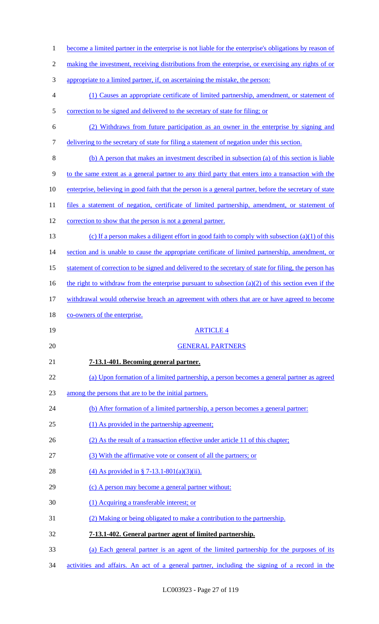| $\mathbf{1}$   | become a limited partner in the enterprise is not liable for the enterprise's obligations by reason of  |
|----------------|---------------------------------------------------------------------------------------------------------|
| $\overline{2}$ | making the investment, receiving distributions from the enterprise, or exercising any rights of or      |
| 3              | appropriate to a limited partner, if, on ascertaining the mistake, the person:                          |
| 4              | (1) Causes an appropriate certificate of limited partnership, amendment, or statement of                |
| 5              | correction to be signed and delivered to the secretary of state for filing; or                          |
| 6              | (2) Withdraws from future participation as an owner in the enterprise by signing and                    |
| $\overline{7}$ | delivering to the secretary of state for filing a statement of negation under this section.             |
| 8              | (b) A person that makes an investment described in subsection (a) of this section is liable             |
| 9              | to the same extent as a general partner to any third party that enters into a transaction with the      |
| 10             | enterprise, believing in good faith that the person is a general partner, before the secretary of state |
| 11             | files a statement of negation, certificate of limited partnership, amendment, or statement of           |
| 12             | correction to show that the person is not a general partner.                                            |
| 13             | (c) If a person makes a diligent effort in good faith to comply with subsection $(a)(1)$ of this        |
| 14             | section and is unable to cause the appropriate certificate of limited partnership, amendment, or        |
| 15             | statement of correction to be signed and delivered to the secretary of state for filing, the person has |
| 16             | the right to withdraw from the enterprise pursuant to subsection $(a)(2)$ of this section even if the   |
| 17             | withdrawal would otherwise breach an agreement with others that are or have agreed to become            |
| 18             | co-owners of the enterprise.                                                                            |
| 19             | <b>ARTICLE 4</b>                                                                                        |
| 20             | <b>GENERAL PARTNERS</b>                                                                                 |
| 21             | 7-13.1-401. Becoming general partner.                                                                   |
| 22             | (a) Upon formation of a limited partnership, a person becomes a general partner as agreed               |
| 23             | among the persons that are to be the initial partners.                                                  |
| 24             |                                                                                                         |
| 25             | (b) After formation of a limited partnership, a person becomes a general partner:                       |
|                | (1) As provided in the partnership agreement;                                                           |
|                | (2) As the result of a transaction effective under article 11 of this chapter;                          |
|                | (3) With the affirmative vote or consent of all the partners; or                                        |
| 26<br>27<br>28 | (4) As provided in § 7-13.1-801(a)(3)(ii).                                                              |
| 29             | (c) A person may become a general partner without:                                                      |
| 30             | (1) Acquiring a transferable interest; or                                                               |
| 31             | (2) Making or being obligated to make a contribution to the partnership.                                |
| 32             | 7-13.1-402. General partner agent of limited partnership.                                               |
| 33             | (a) Each general partner is an agent of the limited partnership for the purposes of its                 |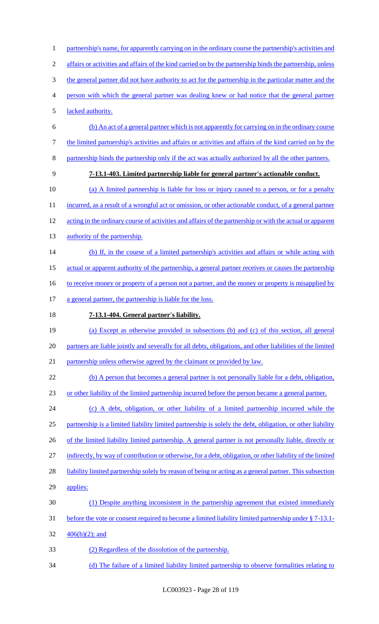1 partnership's name, for apparently carrying on in the ordinary course the partnership's activities and 2 affairs or activities and affairs of the kind carried on by the partnership binds the partnership, unless the general partner did not have authority to act for the partnership in the particular matter and the person with which the general partner was dealing knew or had notice that the general partner lacked authority. (b) An act of a general partner which is not apparently for carrying on in the ordinary course the limited partnership's activities and affairs or activities and affairs of the kind carried on by the partnership binds the partnership only if the act was actually authorized by all the other partners. **7-13.1-403. Limited partnership liable for general partner's actionable conduct.** (a) A limited partnership is liable for loss or injury caused to a person, or for a penalty 11 incurred, as a result of a wrongful act or omission, or other actionable conduct, of a general partner acting in the ordinary course of activities and affairs of the partnership or with the actual or apparent 13 authority of the partnership. (b) If, in the course of a limited partnership's activities and affairs or while acting with actual or apparent authority of the partnership, a general partner receives or causes the partnership 16 to receive money or property of a person not a partner, and the money or property is misapplied by 17 a general partner, the partnership is liable for the loss. **7-13.1-404. General partner's liability.** (a) Except as otherwise provided in subsections (b) and (c) of this section, all general partners are liable jointly and severally for all debts, obligations, and other liabilities of the limited 21 partnership unless otherwise agreed by the claimant or provided by law. (b) A person that becomes a general partner is not personally liable for a debt, obligation, or other liability of the limited partnership incurred before the person became a general partner. (c) A debt, obligation, or other liability of a limited partnership incurred while the partnership is a limited liability limited partnership is solely the debt, obligation, or other liability 26 of the limited liability limited partnership. A general partner is not personally liable, directly or indirectly, by way of contribution or otherwise, for a debt, obligation, or other liability of the limited 28 liability limited partnership solely by reason of being or acting as a general partner. This subsection applies: (1) Despite anything inconsistent in the partnership agreement that existed immediately before the vote or consent required to become a limited liability limited partnership under § 7-13.1-  $\frac{406(b)(2)}{3}$ ; and (2) Regardless of the dissolution of the partnership. (d) The failure of a limited liability limited partnership to observe formalities relating to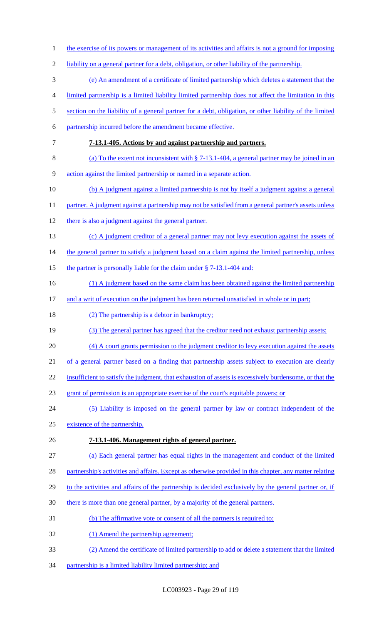1 the exercise of its powers or management of its activities and affairs is not a ground for imposing 2 liability on a general partner for a debt, obligation, or other liability of the partnership. 3 (e) An amendment of a certificate of limited partnership which deletes a statement that the 4 limited partnership is a limited liability limited partnership does not affect the limitation in this 5 section on the liability of a general partner for a debt, obligation, or other liability of the limited 6 partnership incurred before the amendment became effective. 7 **7-13.1-405. Actions by and against partnership and partners.** 8 (a) To the extent not inconsistent with § 7-13.1-404, a general partner may be joined in an 9 action against the limited partnership or named in a separate action. 10 (b) A judgment against a limited partnership is not by itself a judgment against a general 11 partner. A judgment against a partnership may not be satisfied from a general partner's assets unless 12 there is also a judgment against the general partner. 13 (c) A judgment creditor of a general partner may not levy execution against the assets of 14 the general partner to satisfy a judgment based on a claim against the limited partnership, unless 15 the partner is personally liable for the claim under § 7-13.1-404 and: 16 (1) A judgment based on the same claim has been obtained against the limited partnership 17 and a writ of execution on the judgment has been returned unsatisfied in whole or in part; 18 (2) The partnership is a debtor in bankruptcy; 19 (3) The general partner has agreed that the creditor need not exhaust partnership assets; 20 (4) A court grants permission to the judgment creditor to levy execution against the assets 21 of a general partner based on a finding that partnership assets subject to execution are clearly 22 insufficient to satisfy the judgment, that exhaustion of assets is excessively burdensome, or that the 23 grant of permission is an appropriate exercise of the court's equitable powers; or 24 (5) Liability is imposed on the general partner by law or contract independent of the 25 existence of the partnership. 26 **7-13.1-406. Management rights of general partner.** 27 (a) Each general partner has equal rights in the management and conduct of the limited 28 partnership's activities and affairs. Except as otherwise provided in this chapter, any matter relating 29 to the activities and affairs of the partnership is decided exclusively by the general partner or, if 30 there is more than one general partner, by a majority of the general partners. 31 (b) The affirmative vote or consent of all the partners is required to: 32 (1) Amend the partnership agreement; 33 (2) Amend the certificate of limited partnership to add or delete a statement that the limited 34 partnership is a limited liability limited partnership; and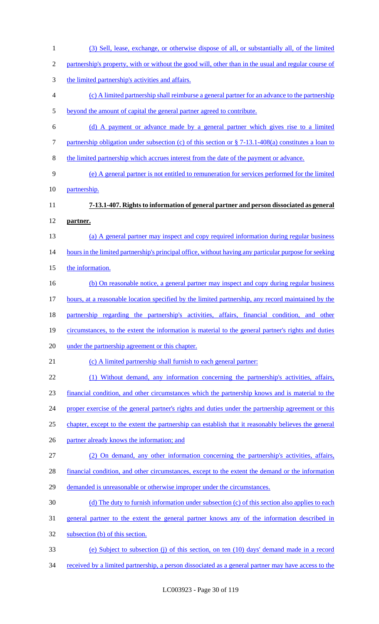| $\mathbf{1}$   | (3) Sell, lease, exchange, or otherwise dispose of all, or substantially all, of the limited            |
|----------------|---------------------------------------------------------------------------------------------------------|
| $\sqrt{2}$     | partnership's property, with or without the good will, other than in the usual and regular course of    |
| 3              | the limited partnership's activities and affairs.                                                       |
| $\overline{4}$ | (c) A limited partnership shall reimburse a general partner for an advance to the partnership           |
| 5              | beyond the amount of capital the general partner agreed to contribute.                                  |
| 6              | (d) A payment or advance made by a general partner which gives rise to a limited                        |
| $\tau$         | partnership obligation under subsection (c) of this section or $\S$ 7-13.1-408(a) constitutes a loan to |
| 8              | the limited partnership which accrues interest from the date of the payment or advance.                 |
| 9              | (e) A general partner is not entitled to remuneration for services performed for the limited            |
| 10             | partnership.                                                                                            |
| 11             | 7-13.1-407. Rights to information of general partner and person dissociated as general                  |
| 12             | partner.                                                                                                |
| 13             | (a) A general partner may inspect and copy required information during regular business                 |
| 14             | hours in the limited partnership's principal office, without having any particular purpose for seeking  |
| 15             | the information.                                                                                        |
| 16             | (b) On reasonable notice, a general partner may inspect and copy during regular business                |
| 17             | hours, at a reasonable location specified by the limited partnership, any record maintained by the      |
| 18             | partnership regarding the partnership's activities, affairs, financial condition, and other             |
| 19             | circumstances, to the extent the information is material to the general partner's rights and duties     |
| 20             | under the partnership agreement or this chapter.                                                        |
| 21             | (c) A limited partnership shall furnish to each general partner:                                        |
| 22             | (1) Without demand, any information concerning the partnership's activities, affairs,                   |
| 23             | financial condition, and other circumstances which the partnership knows and is material to the         |
| 24             | proper exercise of the general partner's rights and duties under the partnership agreement or this      |
| 25             | chapter, except to the extent the partnership can establish that it reasonably believes the general     |
| 26             | partner already knows the information; and                                                              |
| 27             | (2) On demand, any other information concerning the partnership's activities, affairs,                  |
| 28             | financial condition, and other circumstances, except to the extent the demand or the information        |
| 29             | demanded is unreasonable or otherwise improper under the circumstances.                                 |
| 30             | (d) The duty to furnish information under subsection (c) of this section also applies to each           |
| 31             | general partner to the extent the general partner knows any of the information described in             |
| 32             | subsection (b) of this section.                                                                         |
| 33             | (e) Subject to subsection (j) of this section, on ten (10) days' demand made in a record                |
| 34             | received by a limited partnership, a person dissociated as a general partner may have access to the     |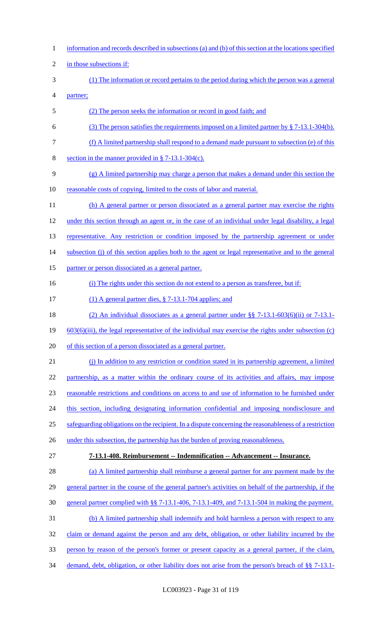1 information and records described in subsections (a) and (b) of this section at the locations specified 2 in those subsections if: 3 (1) The information or record pertains to the period during which the person was a general 4 partner; 5 (2) The person seeks the information or record in good faith; and 6 (3) The person satisfies the requirements imposed on a limited partner by § 7-13.1-304(b). 7 (f) A limited partnership shall respond to a demand made pursuant to subsection (e) of this 8 section in the manner provided in § 7-13.1-304(c). 9 (g) A limited partnership may charge a person that makes a demand under this section the 10 reasonable costs of copying, limited to the costs of labor and material. 11 (h) A general partner or person dissociated as a general partner may exercise the rights 12 under this section through an agent or, in the case of an individual under legal disability, a legal 13 representative. Any restriction or condition imposed by the partnership agreement or under 14 subsection (j) of this section applies both to the agent or legal representative and to the general 15 partner or person dissociated as a general partner. 16 (i) The rights under this section do not extend to a person as transferee, but if: 17 (1) A general partner dies, § 7-13.1-704 applies; and 18 (2) An individual dissociates as a general partner under §§ 7-13.1-603(6)(ii) or 7-13.1- 19 603(6)(iii), the legal representative of the individual may exercise the rights under subsection (c) 20 of this section of a person dissociated as a general partner. 21 (j) In addition to any restriction or condition stated in its partnership agreement, a limited 22 partnership, as a matter within the ordinary course of its activities and affairs, may impose 23 reasonable restrictions and conditions on access to and use of information to be furnished under 24 this section, including designating information confidential and imposing nondisclosure and 25 safeguarding obligations on the recipient. In a dispute concerning the reasonableness of a restriction 26 under this subsection, the partnership has the burden of proving reasonableness. 27 **7-13.1-408. Reimbursement -- Indemnification -- Advancement -- Insurance.** 28 (a) A limited partnership shall reimburse a general partner for any payment made by the 29 general partner in the course of the general partner's activities on behalf of the partnership, if the 30 general partner complied with §§ 7-13.1-406, 7-13.1-409, and 7-13.1-504 in making the payment. 31 (b) A limited partnership shall indemnify and hold harmless a person with respect to any 32 claim or demand against the person and any debt, obligation, or other liability incurred by the 33 person by reason of the person's former or present capacity as a general partner, if the claim, 34 demand, debt, obligation, or other liability does not arise from the person's breach of §§ 7-13.1-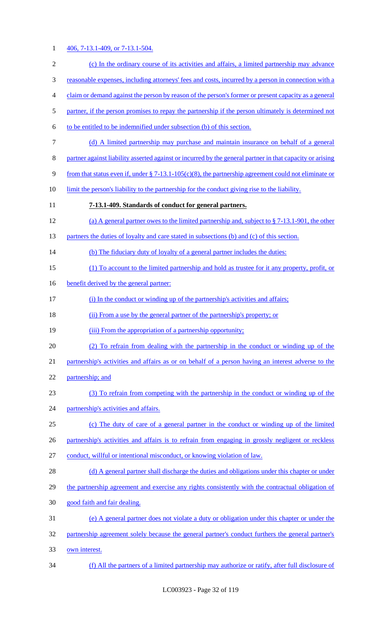## 1 406, 7-13.1-409, or 7-13.1-504.

| $\sqrt{2}$   | (c) In the ordinary course of its activities and affairs, a limited partnership may advance               |
|--------------|-----------------------------------------------------------------------------------------------------------|
| 3            | reasonable expenses, including attorneys' fees and costs, incurred by a person in connection with a       |
| 4            | claim or demand against the person by reason of the person's former or present capacity as a general      |
| 5            | partner, if the person promises to repay the partnership if the person ultimately is determined not       |
| 6            | to be entitled to be indemnified under subsection (b) of this section.                                    |
| $\tau$       | (d) A limited partnership may purchase and maintain insurance on behalf of a general                      |
| $8\,$        | partner against liability asserted against or incurred by the general partner in that capacity or arising |
| $\mathbf{9}$ | from that status even if, under $\S$ 7-13.1-105(c)(8), the partnership agreement could not eliminate or   |
| 10           | limit the person's liability to the partnership for the conduct giving rise to the liability.             |
| 11           | 7-13.1-409. Standards of conduct for general partners.                                                    |
| 12           | (a) A general partner owes to the limited partnership and, subject to $\S$ 7-13.1-901, the other          |
| 13           | partners the duties of loyalty and care stated in subsections (b) and (c) of this section.                |
| 14           | (b) The fiduciary duty of loyalty of a general partner includes the duties:                               |
| 15           | (1) To account to the limited partnership and hold as trustee for it any property, profit, or             |
| 16           | benefit derived by the general partner:                                                                   |
| 17           | (i) In the conduct or winding up of the partnership's activities and affairs;                             |
| 18           | (ii) From a use by the general partner of the partnership's property; or                                  |
| 19           | (iii) From the appropriation of a partnership opportunity;                                                |
| 20           | (2) To refrain from dealing with the partnership in the conduct or winding up of the                      |
| 21           | partnership's activities and affairs as or on behalf of a person having an interest adverse to the        |
| 22           | partnership; and                                                                                          |
| 23           | (3) To refrain from competing with the partnership in the conduct or winding up of the                    |
| 24           | partnership's activities and affairs.                                                                     |
| 25           | (c) The duty of care of a general partner in the conduct or winding up of the limited                     |
| 26           | partnership's activities and affairs is to refrain from engaging in grossly negligent or reckless         |
| 27           | conduct, willful or intentional misconduct, or knowing violation of law.                                  |
| 28           | (d) A general partner shall discharge the duties and obligations under this chapter or under              |
| 29           | the partnership agreement and exercise any rights consistently with the contractual obligation of         |
| 30           | good faith and fair dealing.                                                                              |
| 31           | (e) A general partner does not violate a duty or obligation under this chapter or under the               |
| 32           | partnership agreement solely because the general partner's conduct furthers the general partner's         |
| 33           | own interest.                                                                                             |
| 34           | (f) All the partners of a limited partnership may authorize or ratify, after full disclosure of           |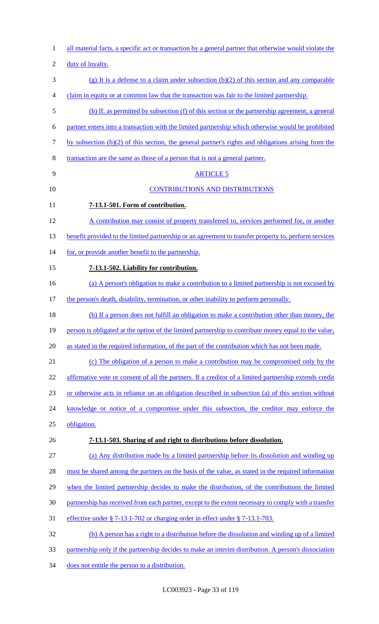| $\mathbf{1}$   | all material facts, a specific act or transaction by a general partner that otherwise would violate the |
|----------------|---------------------------------------------------------------------------------------------------------|
| $\mathfrak{2}$ | duty of loyalty.                                                                                        |
| 3              | $(g)$ It is a defense to a claim under subsection (b)(2) of this section and any comparable             |
| 4              | claim in equity or at common law that the transaction was fair to the limited partnership.              |
| 5              | (h) If, as permitted by subsection (f) of this section or the partnership agreement, a general          |
| 6              | partner enters into a transaction with the limited partnership which otherwise would be prohibited      |
| 7              | by subsection $(b)(2)$ of this section, the general partner's rights and obligations arising from the   |
| 8              | transaction are the same as those of a person that is not a general partner.                            |
| 9              | <b>ARTICLE 5</b>                                                                                        |
| 10             | <b>CONTRIBUTIONS AND DISTRIBUTIONS</b>                                                                  |
| 11             | 7-13.1-501. Form of contribution.                                                                       |
| 12             | A contribution may consist of property transferred to, services performed for, or another               |
| 13             | benefit provided to the limited partnership or an agreement to transfer property to, perform services   |
| 14             | for, or provide another benefit to the partnership.                                                     |
| 15             | 7-13.1-502. Liability for contribution.                                                                 |
| 16             | (a) A person's obligation to make a contribution to a limited partnership is not excused by             |
| 17             | the person's death, disability, termination, or other inability to perform personally.                  |
| 18             | (b) If a person does not fulfill an obligation to make a contribution other than money, the             |
| 19             | person is obligated at the option of the limited partnership to contribute money equal to the value,    |
| 20             | as stated in the required information, of the part of the contribution which has not been made.         |
| 21             | (c) The obligation of a person to make a contribution may be compromised only by the                    |
| 22             | affirmative vote or consent of all the partners. If a creditor of a limited partnership extends credit  |
| 23             | or otherwise acts in reliance on an obligation described in subsection (a) of this section without      |
| 24             | knowledge or notice of a compromise under this subsection, the creditor may enforce the                 |
| 25             | obligation.                                                                                             |
| 26             | 7-13.1-503. Sharing of and right to distributions before dissolution.                                   |
| 27             | (a) Any distribution made by a limited partnership before its dissolution and winding up                |
| 28             | must be shared among the partners on the basis of the value, as stated in the required information      |
| 29             | when the limited partnership decides to make the distribution, of the contributions the limited         |
| 30             | partnership has received from each partner, except to the extent necessary to comply with a transfer    |
| 31             | effective under § 7-13.1-702 or charging order in effect under § 7-13.1-703.                            |
| 32             | (b) A person has a right to a distribution before the dissolution and winding up of a limited           |
| 33             | partnership only if the partnership decides to make an interim distribution. A person's dissociation    |
| 34             | does not entitle the person to a distribution.                                                          |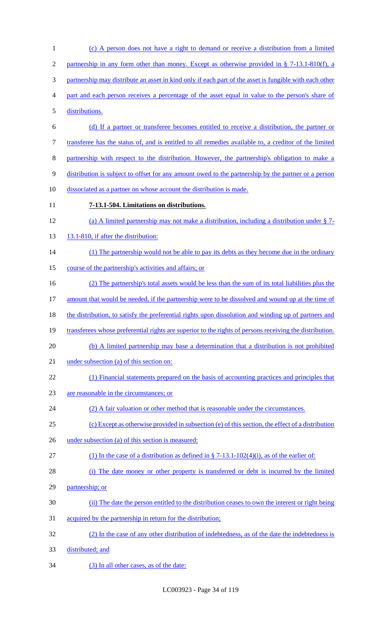(c) A person does not have a right to demand or receive a distribution from a limited 2 partnership in any form other than money. Except as otherwise provided in § 7-13.1-810(f), a partnership may distribute an asset in kind only if each part of the asset is fungible with each other part and each person receives a percentage of the asset equal in value to the person's share of distributions. (d) If a partner or transferee becomes entitled to receive a distribution, the partner or transferee has the status of, and is entitled to all remedies available to, a creditor of the limited partnership with respect to the distribution. However, the partnership's obligation to make a distribution is subject to offset for any amount owed to the partnership by the partner or a person 10 dissociated as a partner on whose account the distribution is made. **7-13.1-504. Limitations on distributions.** (a) A limited partnership may not make a distribution, including a distribution under § 7- 13 13.1-810, if after the distribution: 14 (1) The partnership would not be able to pay its debts as they become due in the ordinary course of the partnership's activities and affairs; or (2) The partnership's total assets would be less than the sum of its total liabilities plus the 17 amount that would be needed, if the partnership were to be dissolved and wound up at the time of 18 the distribution, to satisfy the preferential rights upon dissolution and winding up of partners and transferees whose preferential rights are superior to the rights of persons receiving the distribution. (b) A limited partnership may base a determination that a distribution is not prohibited 21 under subsection (a) of this section on: (1) Financial statements prepared on the basis of accounting practices and principles that are reasonable in the circumstances; or (2) A fair valuation or other method that is reasonable under the circumstances. (c) Except as otherwise provided in subsection (e) of this section, the effect of a distribution 26 under subsection (a) of this section is measured: 27 (1) In the case of a distribution as defined in  $\S 7-13.1-102(4)(i)$ , as of the earlier of: (i) The date money or other property is transferred or debt is incurred by the limited partnership; or (ii) The date the person entitled to the distribution ceases to own the interest or right being acquired by the partnership in return for the distribution; (2) In the case of any other distribution of indebtedness, as of the date the indebtedness is distributed; and 34 (3) In all other cases, as of the date: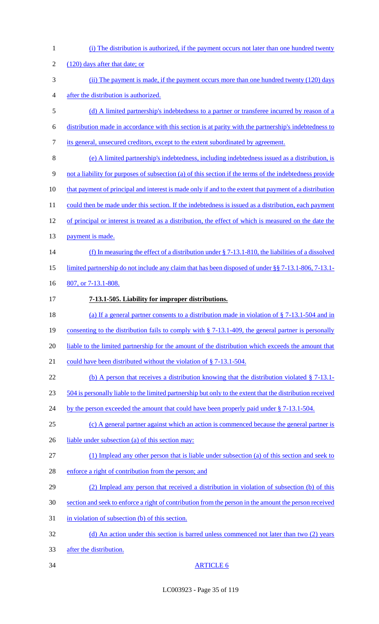| 1              | (i) The distribution is authorized, if the payment occurs not later than one hundred twenty               |
|----------------|-----------------------------------------------------------------------------------------------------------|
| $\overline{c}$ | (120) days after that date; or                                                                            |
| 3              | (ii) The payment is made, if the payment occurs more than one hundred twenty (120) days                   |
| 4              | after the distribution is authorized.                                                                     |
| 5              | (d) A limited partnership's indebtedness to a partner or transferee incurred by reason of a               |
| 6              | distribution made in accordance with this section is at parity with the partnership's indebtedness to     |
| 7              | its general, unsecured creditors, except to the extent subordinated by agreement.                         |
| 8              | (e) A limited partnership's indebtedness, including indebtedness issued as a distribution, is             |
| 9              | not a liability for purposes of subsection (a) of this section if the terms of the indebtedness provide   |
| 10             | that payment of principal and interest is made only if and to the extent that payment of a distribution   |
| 11             | could then be made under this section. If the indebtedness is issued as a distribution, each payment      |
| 12             | of principal or interest is treated as a distribution, the effect of which is measured on the date the    |
| 13             | payment is made.                                                                                          |
| 14             | (f) In measuring the effect of a distribution under $\S$ 7-13.1-810, the liabilities of a dissolved       |
| 15             | limited partnership do not include any claim that has been disposed of under $\S$ § 7-13.1-806, 7-13.1-   |
| 16             | 807, or 7-13.1-808.                                                                                       |
|                |                                                                                                           |
| 17             | 7-13.1-505. Liability for improper distributions.                                                         |
| 18             | (a) If a general partner consents to a distribution made in violation of $\S$ 7-13.1-504 and in           |
| 19             | consenting to the distribution fails to comply with $\S$ 7-13.1-409, the general partner is personally    |
| 20             | liable to the limited partnership for the amount of the distribution which exceeds the amount that        |
| 21             | could have been distributed without the violation of $\S$ 7-13.1-504.                                     |
| 22             | (b) A person that receives a distribution knowing that the distribution violated $\S$ 7-13.1-             |
| 23             | 504 is personally liable to the limited partnership but only to the extent that the distribution received |
| 24             | by the person exceeded the amount that could have been properly paid under $\S$ 7-13.1-504.               |
| 25             | (c) A general partner against which an action is commenced because the general partner is                 |
| 26             | liable under subsection (a) of this section may:                                                          |
| 27             | (1) Implead any other person that is liable under subsection (a) of this section and seek to              |
| 28             | enforce a right of contribution from the person; and                                                      |
| 29             | (2) Implead any person that received a distribution in violation of subsection (b) of this                |
| 30             | section and seek to enforce a right of contribution from the person in the amount the person received     |
| 31             | in violation of subsection (b) of this section.                                                           |
| 32             | (d) An action under this section is barred unless commenced not later than two (2) years                  |

ARTICLE 6

# LC003923 - Page 35 of 119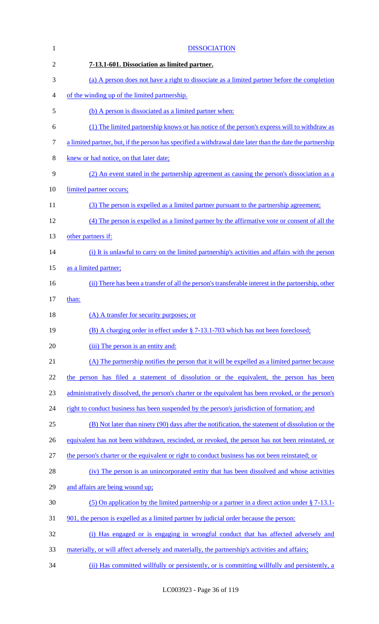| 1              | <b>DISSOCIATION</b>                                                                                       |
|----------------|-----------------------------------------------------------------------------------------------------------|
| $\overline{2}$ | 7-13.1-601. Dissociation as limited partner.                                                              |
| 3              | (a) A person does not have a right to dissociate as a limited partner before the completion               |
| $\overline{4}$ | of the winding up of the limited partnership.                                                             |
| 5              | (b) A person is dissociated as a limited partner when:                                                    |
| 6              | (1) The limited partnership knows or has notice of the person's express will to withdraw as               |
| $\tau$         | a limited partner, but, if the person has specified a withdrawal date later than the date the partnership |
| 8              | knew or had notice, on that later date;                                                                   |
| 9              | (2) An event stated in the partnership agreement as causing the person's dissociation as a                |
| 10             | limited partner occurs;                                                                                   |
| 11             | (3) The person is expelled as a limited partner pursuant to the partnership agreement;                    |
| 12             | (4) The person is expelled as a limited partner by the affirmative vote or consent of all the             |
| 13             | other partners if:                                                                                        |
| 14             | (i) It is unlawful to carry on the limited partnership's activities and affairs with the person           |
| 15             | as a limited partner;                                                                                     |
| 16             | (ii) There has been a transfer of all the person's transferable interest in the partnership, other        |
| 17             | than:                                                                                                     |
| 18             | (A) A transfer for security purposes; or                                                                  |
| 19             | (B) A charging order in effect under § 7-13.1-703 which has not been foreclosed;                          |
| 20             | (iii) The person is an entity and:                                                                        |
| 21             | (A) The partnership notifies the person that it will be expelled as a limited partner because             |
| 22             | the person has filed a statement of dissolution or the equivalent, the person has been                    |
| 23             | administratively dissolved, the person's charter or the equivalent has been revoked, or the person's      |
| 24             | right to conduct business has been suspended by the person's jurisdiction of formation; and               |
| 25             | (B) Not later than ninety (90) days after the notification, the statement of dissolution or the           |
| 26             | equivalent has not been withdrawn, rescinded, or revoked, the person has not been reinstated, or          |
| 27             | the person's charter or the equivalent or right to conduct business has not been reinstated; or           |
| 28             | (iv) The person is an unincorporated entity that has been dissolved and whose activities                  |
| 29             | and affairs are being wound up;                                                                           |
| 30             | (5) On application by the limited partnership or a partner in a direct action under $\S$ 7-13.1-          |
| 31             | 901, the person is expelled as a limited partner by judicial order because the person:                    |
| 32             | (i) Has engaged or is engaging in wrongful conduct that has affected adversely and                        |
| 33             | materially, or will affect adversely and materially, the partnership's activities and affairs;            |
| 34             | (ii) Has committed willfully or persistently, or is committing willfully and persistently, a              |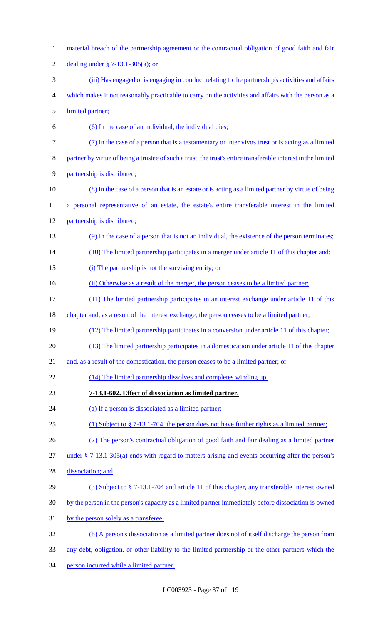material breach of the partnership agreement or the contractual obligation of good faith and fair dealing under § 7-13.1-305(a); or (iii) Has engaged or is engaging in conduct relating to the partnership's activities and affairs which makes it not reasonably practicable to carry on the activities and affairs with the person as a limited partner; (6) In the case of an individual, the individual dies; (7) In the case of a person that is a testamentary or inter vivos trust or is acting as a limited partner by virtue of being a trustee of such a trust, the trust's entire transferable interest in the limited partnership is distributed; (8) In the case of a person that is an estate or is acting as a limited partner by virtue of being 11 a personal representative of an estate, the estate's entire transferable interest in the limited partnership is distributed; (9) In the case of a person that is not an individual, the existence of the person terminates; 14 (10) The limited partnership participates in a merger under article 11 of this chapter and: (i) The partnership is not the surviving entity; or 16 (ii) Otherwise as a result of the merger, the person ceases to be a limited partner; (11) The limited partnership participates in an interest exchange under article 11 of this 18 chapter and, as a result of the interest exchange, the person ceases to be a limited partner; (12) The limited partnership participates in a conversion under article 11 of this chapter; (13) The limited partnership participates in a domestication under article 11 of this chapter 21 and, as a result of the domestication, the person ceases to be a limited partner; or 22 (14) The limited partnership dissolves and completes winding up. **7-13.1-602. Effect of dissociation as limited partner.** 24 (a) If a person is dissociated as a limited partner: (1) Subject to § 7-13.1-704, the person does not have further rights as a limited partner; (2) The person's contractual obligation of good faith and fair dealing as a limited partner under § 7-13.1-305(a) ends with regard to matters arising and events occurring after the person's dissociation; and (3) Subject to § 7-13.1-704 and article 11 of this chapter, any transferable interest owned by the person in the person's capacity as a limited partner immediately before dissociation is owned by the person solely as a transferee. (b) A person's dissociation as a limited partner does not of itself discharge the person from any debt, obligation, or other liability to the limited partnership or the other partners which the 34 person incurred while a limited partner.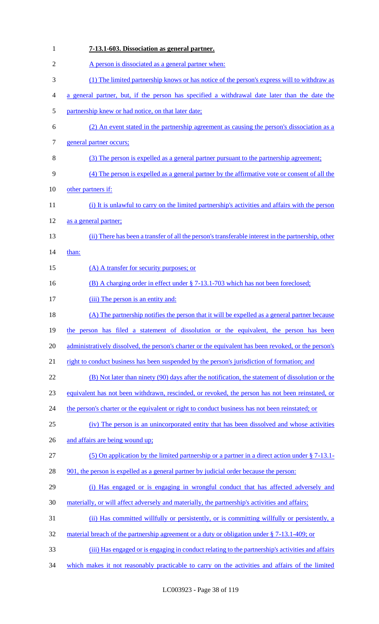| $\mathbf{1}$   | 7-13.1-603. Dissociation as general partner.                                                         |
|----------------|------------------------------------------------------------------------------------------------------|
| $\overline{2}$ | A person is dissociated as a general partner when:                                                   |
| 3              | (1) The limited partnership knows or has notice of the person's express will to withdraw as          |
| 4              | a general partner, but, if the person has specified a withdrawal date later than the date the        |
| 5              | partnership knew or had notice, on that later date;                                                  |
| 6              | (2) An event stated in the partnership agreement as causing the person's dissociation as a           |
| 7              | general partner occurs;                                                                              |
| 8              | (3) The person is expelled as a general partner pursuant to the partnership agreement;               |
| 9              | (4) The person is expelled as a general partner by the affirmative vote or consent of all the        |
| 10             | other partners if:                                                                                   |
| 11             | (i) It is unlawful to carry on the limited partnership's activities and affairs with the person      |
| 12             | as a general partner;                                                                                |
| 13             | (ii) There has been a transfer of all the person's transferable interest in the partnership, other   |
| 14             | than:                                                                                                |
| 15             | (A) A transfer for security purposes; or                                                             |
| 16             | (B) A charging order in effect under § 7-13.1-703 which has not been foreclosed;                     |
| 17             | (iii) The person is an entity and:                                                                   |
| 18             | (A) The partnership notifies the person that it will be expelled as a general partner because        |
| 19             | the person has filed a statement of dissolution or the equivalent, the person has been               |
| 20             | administratively dissolved, the person's charter or the equivalent has been revoked, or the person's |
| 21             | right to conduct business has been suspended by the person's jurisdiction of formation; and          |
| 22             | (B) Not later than ninety (90) days after the notification, the statement of dissolution or the      |
| 23             | equivalent has not been withdrawn, rescinded, or revoked, the person has not been reinstated, or     |
| 24             | the person's charter or the equivalent or right to conduct business has not been reinstated; or      |
| 25             | (iv) The person is an unincorporated entity that has been dissolved and whose activities             |
| 26             | and affairs are being wound up;                                                                      |
| 27             | (5) On application by the limited partnership or a partner in a direct action under $\S$ 7-13.1-     |
| 28             | 901, the person is expelled as a general partner by judicial order because the person:               |
| 29             | (i) Has engaged or is engaging in wrongful conduct that has affected adversely and                   |
| 30             | materially, or will affect adversely and materially, the partnership's activities and affairs;       |
| 31             | (ii) Has committed willfully or persistently, or is committing willfully or persistently, a          |
| 32             | material breach of the partnership agreement or a duty or obligation under $\S$ 7-13.1-409; or       |
| 33             | (iii) Has engaged or is engaging in conduct relating to the partnership's activities and affairs     |
| 34             | which makes it not reasonably practicable to carry on the activities and affairs of the limited      |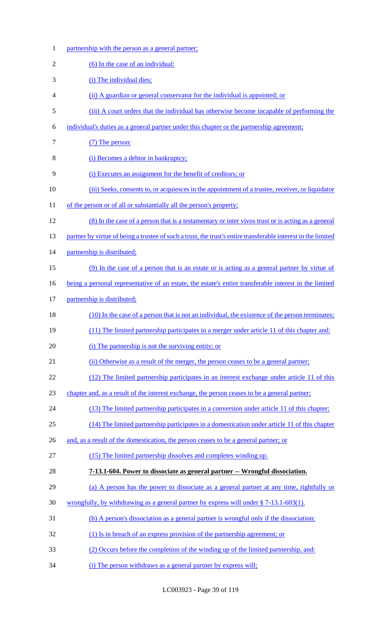| $\mathbf{1}$   | partnership with the person as a general partner.                                                             |
|----------------|---------------------------------------------------------------------------------------------------------------|
| $\overline{2}$ | (6) In the case of an individual:                                                                             |
| 3              | (i) The individual dies;                                                                                      |
| 4              | (ii) A guardian or general conservator for the individual is appointed; or                                    |
| 5              | (iii) A court orders that the individual has otherwise become incapable of performing the                     |
| 6              | individual's duties as a general partner under this chapter or the partnership agreement;                     |
| $\tau$         | (7) The person:                                                                                               |
| 8              | (i) Becomes a debtor in bankruptcy;                                                                           |
| 9              | (i) Executes an assignment for the benefit of creditors; or                                                   |
| 10             | (iii) Seeks, consents to, or acquiesces in the appointment of a trustee, receiver, or liquidator              |
| 11             | of the person or of all or substantially all the person's property;                                           |
| 12             | (8) In the case of a person that is a testamentary or inter vivos trust or is acting as a general             |
| 13             | partner by virtue of being a trustee of such a trust, the trust's entire transferable interest in the limited |
| 14             | partnership is distributed;                                                                                   |
| 15             | (9) In the case of a person that is an estate or is acting as a general partner by virtue of                  |
| 16             | being a personal representative of an estate, the estate's entire transferable interest in the limited        |
| 17             | partnership is distributed;                                                                                   |
| 18             | (10) In the case of a person that is not an individual, the existence of the person terminates;               |
| 19             | (11) The limited partnership participates in a merger under article 11 of this chapter and:                   |
| 20             | (i) The partnership is not the surviving entity; or                                                           |
| 21             | (ii) Otherwise as a result of the merger, the person ceases to be a general partner;                          |
| 22             | (12) The limited partnership participates in an interest exchange under article 11 of this                    |
| 23             | chapter and, as a result of the interest exchange, the person ceases to be a general partner;                 |
| 24             | (13) The limited partnership participates in a conversion under article 11 of this chapter;                   |
| 25             | (14) The limited partnership participates in a domestication under article 11 of this chapter                 |
| 26             | and, as a result of the domestication, the person ceases to be a general partner; or                          |
| 27             | (15) The limited partnership dissolves and completes winding up.                                              |
| 28             | 7-13.1-604. Power to dissociate as general partner -- Wrongful dissociation.                                  |
| 29             | (a) A person has the power to dissociate as a general partner at any time, rightfully or                      |
| 30             | wrongfully, by withdrawing as a general partner by express will under $\S$ 7-13.1-603(1).                     |
| 31             | (b) A person's dissociation as a general partner is wrongful only if the dissociation:                        |
| 32             | (1) Is in breach of an express provision of the partnership agreement; or                                     |
| 33             | (2) Occurs before the completion of the winding up of the limited partnership, and:                           |
| 34             | (i) The person withdraws as a general partner by express will;                                                |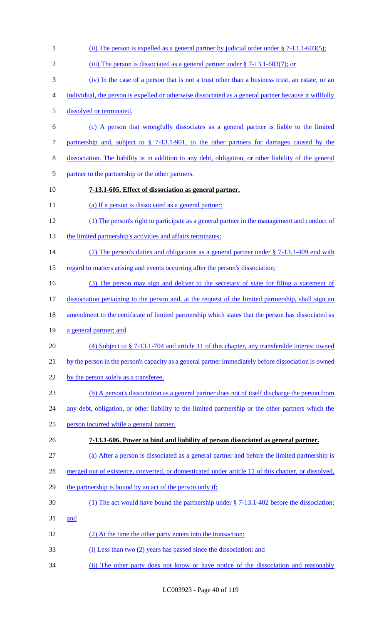(ii) The person is expelled as a general partner by judicial order under § 7-13.1-603(5); 2 (iii) The person is dissociated as a general partner under § 7-13.1-603(7); or (iv) In the case of a person that is not a trust other than a business trust, an estate, or an individual, the person is expelled or otherwise dissociated as a general partner because it willfully dissolved or terminated. (c) A person that wrongfully dissociates as a general partner is liable to the limited partnership and, subject to § 7-13.1-901, to the other partners for damages caused by the dissociation. The liability is in addition to any debt, obligation, or other liability of the general partner to the partnership or the other partners. **7-13.1-605. Effect of dissociation as general partner.** 11 (a) If a person is dissociated as a general partner: (1) The person's right to participate as a general partner in the management and conduct of 13 the limited partnership's activities and affairs terminates; 14 (2) The person's duties and obligations as a general partner under § 7-13.1-409 end with 15 regard to matters arising and events occurring after the person's dissociation; (3) The person may sign and deliver to the secretary of state for filing a statement of 17 dissociation pertaining to the person and, at the request of the limited partnership, shall sign an 18 amendment to the certificate of limited partnership which states that the person has dissociated as a general partner; and (4) Subject to § 7-13.1-704 and article 11 of this chapter, any transferable interest owned by the person in the person's capacity as a general partner immediately before dissociation is owned 22 by the person solely as a transferee. (b) A person's dissociation as a general partner does not of itself discharge the person from 24 any debt, obligation, or other liability to the limited partnership or the other partners which the 25 person incurred while a general partner. **7-13.1-606. Power to bind and liability of person dissociated as general partner.** (a) After a person is dissociated as a general partner and before the limited partnership is 28 merged out of existence, converted, or domesticated under article 11 of this chapter, or dissolved, 29 the partnership is bound by an act of the person only if: (1) The act would have bound the partnership under § 7-13.1-402 before the dissociation; and (2) At the time the other party enters into the transaction: (i) Less than two (2) years has passed since the dissociation; and (ii) The other party does not know or have notice of the dissociation and reasonably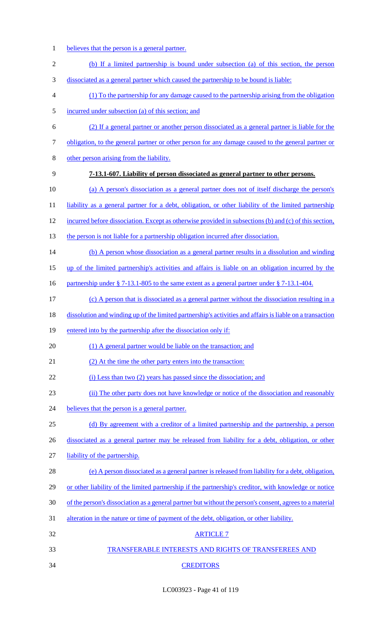1 believes that the person is a general partner. (b) If a limited partnership is bound under subsection (a) of this section, the person dissociated as a general partner which caused the partnership to be bound is liable: (1) To the partnership for any damage caused to the partnership arising from the obligation incurred under subsection (a) of this section; and (2) If a general partner or another person dissociated as a general partner is liable for the obligation, to the general partner or other person for any damage caused to the general partner or other person arising from the liability. **7-13.1-607. Liability of person dissociated as general partner to other persons.** (a) A person's dissociation as a general partner does not of itself discharge the person's 11 liability as a general partner for a debt, obligation, or other liability of the limited partnership incurred before dissociation. Except as otherwise provided in subsections (b) and (c) of this section, 13 the person is not liable for a partnership obligation incurred after dissociation. 14 (b) A person whose dissociation as a general partner results in a dissolution and winding up of the limited partnership's activities and affairs is liable on an obligation incurred by the 16 partnership under § 7-13.1-805 to the same extent as a general partner under § 7-13.1-404. (c) A person that is dissociated as a general partner without the dissociation resulting in a dissolution and winding up of the limited partnership's activities and affairs is liable on a transaction 19 entered into by the partnership after the dissociation only if: 20 (1) A general partner would be liable on the transaction; and (2) At the time the other party enters into the transaction: (i) Less than two (2) years has passed since the dissociation; and (ii) The other party does not have knowledge or notice of the dissociation and reasonably 24 believes that the person is a general partner. (d) By agreement with a creditor of a limited partnership and the partnership, a person 26 dissociated as a general partner may be released from liability for a debt, obligation, or other liability of the partnership. (e) A person dissociated as a general partner is released from liability for a debt, obligation, or other liability of the limited partnership if the partnership's creditor, with knowledge or notice of the person's dissociation as a general partner but without the person's consent, agrees to a material alteration in the nature or time of payment of the debt, obligation, or other liability. 32 ARTICLE 7 TRANSFERABLE INTERESTS AND RIGHTS OF TRANSFEREES AND CREDITORS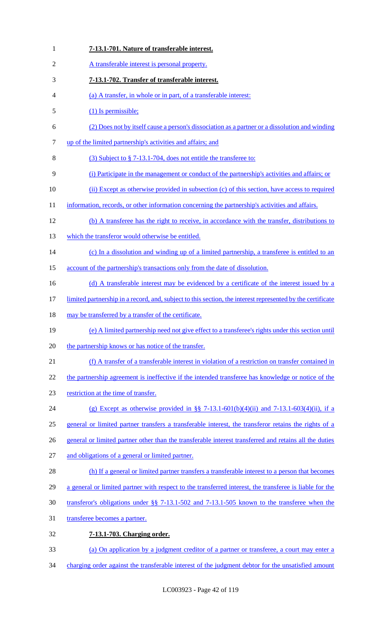| 1              | 7-13.1-701. Nature of transferable interest.                                                               |
|----------------|------------------------------------------------------------------------------------------------------------|
| $\overline{2}$ | A transferable interest is personal property.                                                              |
| 3              | 7-13.1-702. Transfer of transferable interest.                                                             |
| 4              | (a) A transfer, in whole or in part, of a transferable interest:                                           |
| 5              | $(1)$ Is permissible;                                                                                      |
| 6              | (2) Does not by itself cause a person's dissociation as a partner or a dissolution and winding             |
| 7              | up of the limited partnership's activities and affairs; and                                                |
| 8              | (3) Subject to § 7-13.1-704, does not entitle the transferee to:                                           |
| 9              | (i) Participate in the management or conduct of the partnership's activities and affairs; or               |
| 10             | (ii) Except as otherwise provided in subsection (c) of this section, have access to required               |
| 11             | information, records, or other information concerning the partnership's activities and affairs.            |
| 12             | (b) A transferee has the right to receive, in accordance with the transfer, distributions to               |
| 13             | which the transferor would otherwise be entitled.                                                          |
| 14             | (c) In a dissolution and winding up of a limited partnership, a transferee is entitled to an               |
| 15             | account of the partnership's transactions only from the date of dissolution.                               |
| 16             | (d) A transferable interest may be evidenced by a certificate of the interest issued by a                  |
| 17             | limited partnership in a record, and, subject to this section, the interest represented by the certificate |
| 18             | may be transferred by a transfer of the certificate.                                                       |
| 19             | (e) A limited partnership need not give effect to a transferee's rights under this section until           |
| 20             | the partnership knows or has notice of the transfer.                                                       |
| 21             | (f) A transfer of a transferable interest in violation of a restriction on transfer contained in           |
| 22             | the partnership agreement is ineffective if the intended transferee has knowledge or notice of the         |
| 23             | restriction at the time of transfer.                                                                       |
| 24             | (g) Except as otherwise provided in §§ 7-13.1-601(b)(4)(ii) and 7-13.1-603(4)(ii), if a                    |
| 25             | general or limited partner transfers a transferable interest, the transferor retains the rights of a       |
| 26             | general or limited partner other than the transferable interest transferred and retains all the duties     |
| 27             | and obligations of a general or limited partner.                                                           |
| 28             | (h) If a general or limited partner transfers a transferable interest to a person that becomes             |
| 29             | a general or limited partner with respect to the transferred interest, the transferee is liable for the    |
| 30             | transferor's obligations under $\S$ 7-13.1-502 and 7-13.1-505 known to the transferee when the             |
| 31             | transferee becomes a partner.                                                                              |
| 32             | 7-13.1-703. Charging order.                                                                                |
| 33             | (a) On application by a judgment creditor of a partner or transferee, a court may enter a                  |
|                |                                                                                                            |

34 charging order against the transferable interest of the judgment debtor for the unsatisfied amount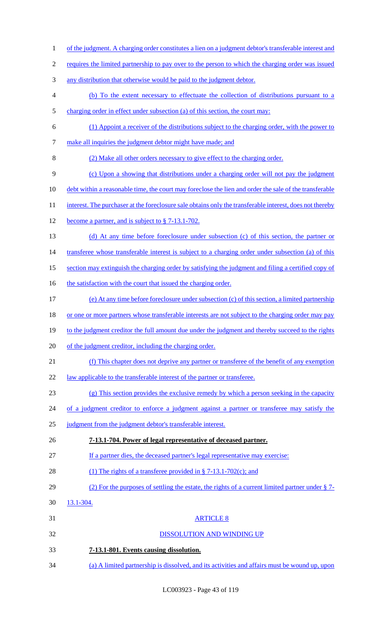- of the judgment. A charging order constitutes a lien on a judgment debtor's transferable interest and
- requires the limited partnership to pay over to the person to which the charging order was issued
- any distribution that otherwise would be paid to the judgment debtor.
- (b) To the extent necessary to effectuate the collection of distributions pursuant to a 5 charging order in effect under subsection (a) of this section, the court may:
- (1) Appoint a receiver of the distributions subject to the charging order, with the power to
- 7 make all inquiries the judgment debtor might have made; and
- (2) Make all other orders necessary to give effect to the charging order.
- (c) Upon a showing that distributions under a charging order will not pay the judgment
- 10 debt within a reasonable time, the court may foreclose the lien and order the sale of the transferable
- 11 interest. The purchaser at the foreclosure sale obtains only the transferable interest, does not thereby
- become a partner, and is subject to § 7-13.1-702.
- (d) At any time before foreclosure under subsection (c) of this section, the partner or
- 14 transferee whose transferable interest is subject to a charging order under subsection (a) of this
- section may extinguish the charging order by satisfying the judgment and filing a certified copy of
- 16 the satisfaction with the court that issued the charging order.
- (e) At any time before foreclosure under subsection (c) of this section, a limited partnership
- 18 or one or more partners whose transferable interests are not subject to the charging order may pay
- 19 to the judgment creditor the full amount due under the judgment and thereby succeed to the rights
- of the judgment creditor, including the charging order.
- (f) This chapter does not deprive any partner or transferee of the benefit of any exemption
- 22 law applicable to the transferable interest of the partner or transferee.
- (g) This section provides the exclusive remedy by which a person seeking in the capacity
- 24 of a judgment creditor to enforce a judgment against a partner or transferee may satisfy the
- judgment from the judgment debtor's transferable interest.
- **7-13.1-704. Power of legal representative of deceased partner.**
- If a partner dies, the deceased partner's legal representative may exercise:
- 28 (1) The rights of a transferee provided in § 7-13.1-702(c); and
- 29 (2) For the purposes of settling the estate, the rights of a current limited partner under § 7-
- 13.1-304.
- ARTICLE 8
- DISSOLUTION AND WINDING UP
- **7-13.1-801. Events causing dissolution.**
- (a) A limited partnership is dissolved, and its activities and affairs must be wound up, upon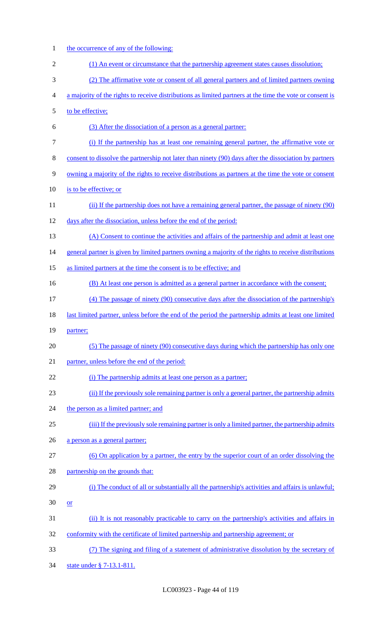1 the occurrence of any of the following: 2 (1) An event or circumstance that the partnership agreement states causes dissolution; (2) The affirmative vote or consent of all general partners and of limited partners owning a majority of the rights to receive distributions as limited partners at the time the vote or consent is 5 to be effective; (3) After the dissociation of a person as a general partner: (i) If the partnership has at least one remaining general partner, the affirmative vote or consent to dissolve the partnership not later than ninety (90) days after the dissociation by partners owning a majority of the rights to receive distributions as partners at the time the vote or consent is to be effective; or 11 (ii) If the partnership does not have a remaining general partner, the passage of ninety (90) days after the dissociation, unless before the end of the period: (A) Consent to continue the activities and affairs of the partnership and admit at least one 14 general partner is given by limited partners owning a majority of the rights to receive distributions 15 as limited partners at the time the consent is to be effective; and 16 (B) At least one person is admitted as a general partner in accordance with the consent; (4) The passage of ninety (90) consecutive days after the dissociation of the partnership's 18 last limited partner, unless before the end of the period the partnership admits at least one limited 19 partner; (5) The passage of ninety (90) consecutive days during which the partnership has only one partner, unless before the end of the period: 22 (i) The partnership admits at least one person as a partner; (ii) If the previously sole remaining partner is only a general partner, the partnership admits 24 the person as a limited partner; and (iii) If the previously sole remaining partner is only a limited partner, the partnership admits a person as a general partner; (6) On application by a partner, the entry by the superior court of an order dissolving the 28 partnership on the grounds that: (i) The conduct of all or substantially all the partnership's activities and affairs is unlawful; or (ii) It is not reasonably practicable to carry on the partnership's activities and affairs in conformity with the certificate of limited partnership and partnership agreement; or (7) The signing and filing of a statement of administrative dissolution by the secretary of state under § 7-13.1-811.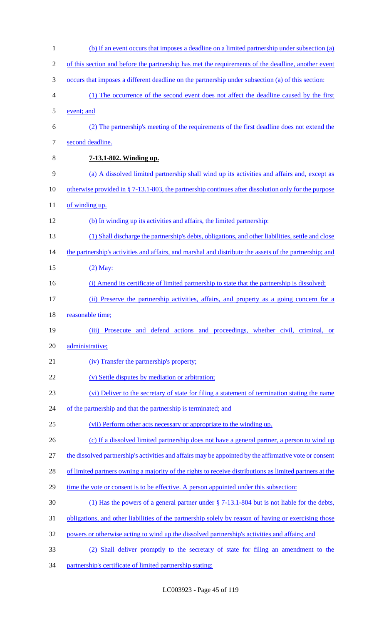| $\mathbf{1}$   | (b) If an event occurs that imposes a deadline on a limited partnership under subsection (a)                              |
|----------------|---------------------------------------------------------------------------------------------------------------------------|
| $\mathfrak{2}$ | of this section and before the partnership has met the requirements of the deadline, another event                        |
| 3              | occurs that imposes a different deadline on the partnership under subsection (a) of this section:                         |
| 4              | (1) The occurrence of the second event does not affect the deadline caused by the first                                   |
| 5              | event; and                                                                                                                |
| 6              | (2) The partnership's meeting of the requirements of the first deadline does not extend the                               |
| 7              | second deadline.                                                                                                          |
| 8              | 7-13.1-802. Winding up.                                                                                                   |
| 9              | (a) A dissolved limited partnership shall wind up its activities and affairs and, except as                               |
| 10             | <u>otherwise provided in <math>\S</math> 7-13.1-803, the partnership continues after dissolution only for the purpose</u> |
| 11             | of winding up.                                                                                                            |
| 12             | (b) In winding up its activities and affairs, the limited partnership:                                                    |
| 13             | (1) Shall discharge the partnership's debts, obligations, and other liabilities, settle and close                         |
| 14             | the partnership's activities and affairs, and marshal and distribute the assets of the partnership; and                   |
| 15             | $(2)$ May:                                                                                                                |
| 16             | (i) Amend its certificate of limited partnership to state that the partnership is dissolved;                              |
| 17             | (ii) Preserve the partnership activities, affairs, and property as a going concern for a                                  |
| 18             | reasonable time;                                                                                                          |
| 19             | Prosecute and defend actions and proceedings, whether civil, criminal, or<br>(iii)                                        |
| 20             | administrative;                                                                                                           |
| 21             | (iv) Transfer the partnership's property;                                                                                 |
| 22             | (v) Settle disputes by mediation or arbitration;                                                                          |
| 23             | (vi) Deliver to the secretary of state for filing a statement of termination stating the name                             |
| 24             | of the partnership and that the partnership is terminated; and                                                            |
| 25             | (vii) Perform other acts necessary or appropriate to the winding up.                                                      |
| 26             | (c) If a dissolved limited partnership does not have a general partner, a person to wind up                               |
| 27             | the dissolved partnership's activities and affairs may be appointed by the affirmative vote or consent                    |
| 28             | of limited partners owning a majority of the rights to receive distributions as limited partners at the                   |
| 29             | time the vote or consent is to be effective. A person appointed under this subsection:                                    |
| 30             | (1) Has the powers of a general partner under $\S$ 7-13.1-804 but is not liable for the debts,                            |
| 31             | obligations, and other liabilities of the partnership solely by reason of having or exercising those                      |
| 32             | powers or otherwise acting to wind up the dissolved partnership's activities and affairs; and                             |
| 33             | (2) Shall deliver promptly to the secretary of state for filing an amendment to the                                       |
|                |                                                                                                                           |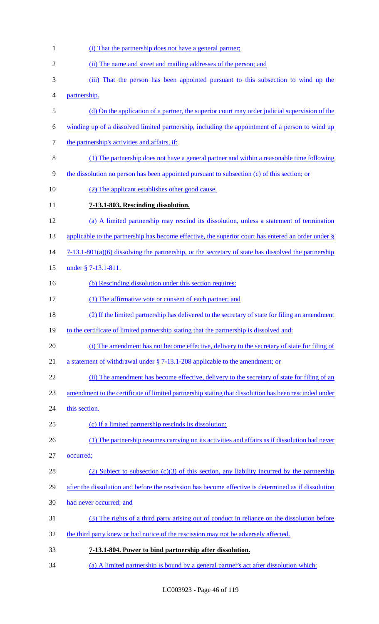| 1              | (i) That the partnership does not have a general partner;                                              |
|----------------|--------------------------------------------------------------------------------------------------------|
| $\overline{2}$ | (ii) The name and street and mailing addresses of the person; and                                      |
| 3              | (iii) That the person has been appointed pursuant to this subsection to wind up the                    |
| $\overline{4}$ | partnership.                                                                                           |
| 5              | (d) On the application of a partner, the superior court may order judicial supervision of the          |
| 6              | winding up of a dissolved limited partnership, including the appointment of a person to wind up        |
| $\tau$         | the partnership's activities and affairs, if:                                                          |
| $8\,$          | (1) The partnership does not have a general partner and within a reasonable time following             |
| 9              | the dissolution no person has been appointed pursuant to subsection (c) of this section; or            |
| 10             | (2) The applicant establishes other good cause.                                                        |
| 11             | 7-13.1-803. Rescinding dissolution.                                                                    |
| 12             | (a) A limited partnership may rescind its dissolution, unless a statement of termination               |
| 13             | applicable to the partnership has become effective, the superior court has entered an order under $\S$ |
| 14             | $7-13.1-801(a)(6)$ dissolving the partnership, or the secretary of state has dissolved the partnership |
| 15             | under § 7-13.1-811.                                                                                    |
| 16             | (b) Rescinding dissolution under this section requires:                                                |
| 17             | (1) The affirmative vote or consent of each partner; and                                               |
| 18             | (2) If the limited partnership has delivered to the secretary of state for filing an amendment         |
| 19             | to the certificate of limited partnership stating that the partnership is dissolved and:               |
| 20             | (i) The amendment has not become effective, delivery to the secretary of state for filing of           |
| 21             | a statement of withdrawal under § 7-13.1-208 applicable to the amendment; or                           |
| 22             | (ii) The amendment has become effective, delivery to the secretary of state for filing of an           |
| 23             | amendment to the certificate of limited partnership stating that dissolution has been rescinded under  |
| 24             | this section.                                                                                          |
| 25             | (c) If a limited partnership rescinds its dissolution:                                                 |
| 26             | (1) The partnership resumes carrying on its activities and affairs as if dissolution had never         |
| 27             | occurred;                                                                                              |
| 28             | (2) Subject to subsection (c)(3) of this section, any liability incurred by the partnership            |
| 29             | after the dissolution and before the rescission has become effective is determined as if dissolution   |
| 30             | had never occurred; and                                                                                |
| 31             | (3) The rights of a third party arising out of conduct in reliance on the dissolution before           |
| 32             | the third party knew or had notice of the rescission may not be adversely affected.                    |
| 33             | 7-13.1-804. Power to bind partnership after dissolution.                                               |
| 34             | (a) A limited partnership is bound by a general partner's act after dissolution which:                 |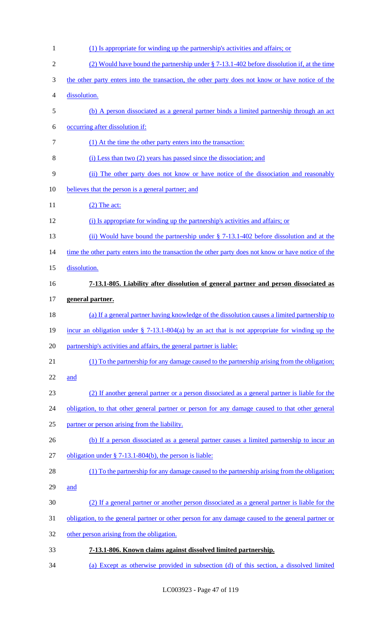| $\mathbf{1}$   | (1) Is appropriate for winding up the partnership's activities and affairs; or                            |
|----------------|-----------------------------------------------------------------------------------------------------------|
| $\overline{2}$ | (2) Would have bound the partnership under $\S$ 7-13.1-402 before dissolution if, at the time             |
| 3              | the other party enters into the transaction, the other party does not know or have notice of the          |
| 4              | dissolution.                                                                                              |
| 5              | (b) A person dissociated as a general partner binds a limited partnership through an act                  |
| 6              | occurring after dissolution if:                                                                           |
| 7              | (1) At the time the other party enters into the transaction:                                              |
| 8              | (i) Less than two (2) years has passed since the dissociation; and                                        |
| 9              | (ii) The other party does not know or have notice of the dissociation and reasonably                      |
| 10             | believes that the person is a general partner; and                                                        |
| 11             | $(2)$ The act:                                                                                            |
| 12             | (i) Is appropriate for winding up the partnership's activities and affairs; or                            |
| 13             | (ii) Would have bound the partnership under $\S$ 7-13.1-402 before dissolution and at the                 |
| 14             | time the other party enters into the transaction the other party does not know or have notice of the      |
| 15             | dissolution.                                                                                              |
| 16             | 7-13.1-805. Liability after dissolution of general partner and person dissociated as                      |
| 17             | general partner.                                                                                          |
| 18             | (a) If a general partner having knowledge of the dissolution causes a limited partnership to              |
| 19             | incur an obligation under $\S$ 7-13.1-804(a) by an act that is not appropriate for winding up the         |
| 20             | partnership's activities and affairs, the general partner is liable:                                      |
| 21             | (1) To the partnership for any damage caused to the partnership arising from the obligation;              |
| 22             | and                                                                                                       |
| 23             | (2) If another general partner or a person dissociated as a general partner is liable for the             |
| 24             | obligation, to that other general partner or person for any damage caused to that other general           |
| 25             | partner or person arising from the liability.                                                             |
| 26             | (b) If a person dissociated as a general partner causes a limited partnership to incur an                 |
| 27             | obligation under $\S$ 7-13.1-804(b), the person is liable:                                                |
| 28             | (1) To the partnership for any damage caused to the partnership arising from the obligation;              |
| 29             | and                                                                                                       |
| 30             | (2) If a general partner or another person dissociated as a general partner is liable for the             |
| 31             | <u>obligation, to the general partner or other person for any damage caused to the general partner or</u> |
| 32             | other person arising from the obligation.                                                                 |
| 33             | 7-13.1-806. Known claims against dissolved limited partnership.                                           |

(a) Except as otherwise provided in subsection (d) of this section, a dissolved limited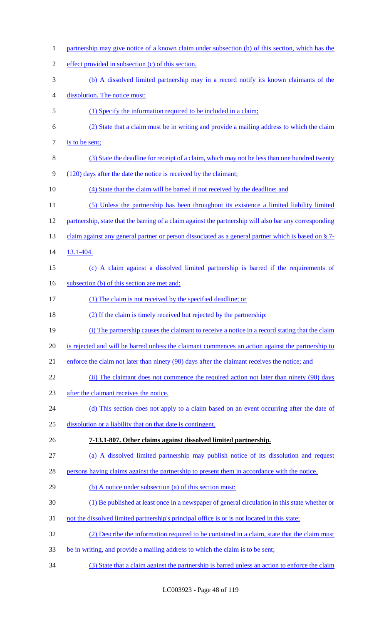1 partnership may give notice of a known claim under subsection (b) of this section, which has the effect provided in subsection (c) of this section. (b) A dissolved limited partnership may in a record notify its known claimants of the dissolution. The notice must: (1) Specify the information required to be included in a claim; (2) State that a claim must be in writing and provide a mailing address to which the claim 7 is to be sent; (3) State the deadline for receipt of a claim, which may not be less than one hundred twenty (120) days after the date the notice is received by the claimant; (4) State that the claim will be barred if not received by the deadline; and (5) Unless the partnership has been throughout its existence a limited liability limited partnership, state that the barring of a claim against the partnership will also bar any corresponding 13 claim against any general partner or person dissociated as a general partner which is based on § 7- 13.1-404. (c) A claim against a dissolved limited partnership is barred if the requirements of 16 subsection (b) of this section are met and: 17 (1) The claim is not received by the specified deadline; or (2) If the claim is timely received but rejected by the partnership: (i) The partnership causes the claimant to receive a notice in a record stating that the claim is rejected and will be barred unless the claimant commences an action against the partnership to 21 enforce the claim not later than ninety (90) days after the claimant receives the notice; and 22 (ii) The claimant does not commence the required action not later than ninety (90) days after the claimant receives the notice. 24 (d) This section does not apply to a claim based on an event occurring after the date of dissolution or a liability that on that date is contingent. **7-13.1-807. Other claims against dissolved limited partnership.** (a) A dissolved limited partnership may publish notice of its dissolution and request persons having claims against the partnership to present them in accordance with the notice. (b) A notice under subsection (a) of this section must: (1) Be published at least once in a newspaper of general circulation in this state whether or not the dissolved limited partnership's principal office is or is not located in this state; (2) Describe the information required to be contained in a claim, state that the claim must be in writing, and provide a mailing address to which the claim is to be sent; (3) State that a claim against the partnership is barred unless an action to enforce the claim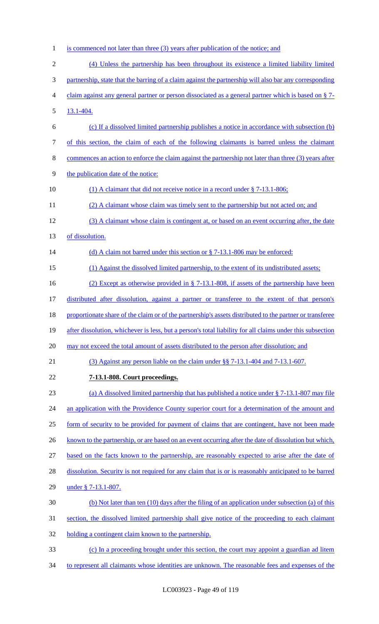1 is commenced not later than three (3) years after publication of the notice; and (4) Unless the partnership has been throughout its existence a limited liability limited partnership, state that the barring of a claim against the partnership will also bar any corresponding claim against any general partner or person dissociated as a general partner which is based on § 7- 13.1-404. (c) If a dissolved limited partnership publishes a notice in accordance with subsection (b) of this section, the claim of each of the following claimants is barred unless the claimant commences an action to enforce the claim against the partnership not later than three (3) years after 9 the publication date of the notice: 10 (1) A claimant that did not receive notice in a record under § 7-13.1-806; (2) A claimant whose claim was timely sent to the partnership but not acted on; and (3) A claimant whose claim is contingent at, or based on an event occurring after, the date 13 of dissolution. 14 (d) A claim not barred under this section or § 7-13.1-806 may be enforced: (1) Against the dissolved limited partnership, to the extent of its undistributed assets; (2) Except as otherwise provided in § 7-13.1-808, if assets of the partnership have been distributed after dissolution, against a partner or transferee to the extent of that person's 18 proportionate share of the claim or of the partnership's assets distributed to the partner or transferee after dissolution, whichever is less, but a person's total liability for all claims under this subsection 20 may not exceed the total amount of assets distributed to the person after dissolution; and (3) Against any person liable on the claim under §§ 7-13.1-404 and 7-13.1-607. **7-13.1-808. Court proceedings.** (a) A dissolved limited partnership that has published a notice under § 7-13.1-807 may file 24 an application with the Providence County superior court for a determination of the amount and form of security to be provided for payment of claims that are contingent, have not been made 26 known to the partnership, or are based on an event occurring after the date of dissolution but which, based on the facts known to the partnership, are reasonably expected to arise after the date of 28 dissolution. Security is not required for any claim that is or is reasonably anticipated to be barred under § 7-13.1-807. (b) Not later than ten (10) days after the filing of an application under subsection (a) of this 31 section, the dissolved limited partnership shall give notice of the proceeding to each claimant holding a contingent claim known to the partnership. (c) In a proceeding brought under this section, the court may appoint a guardian ad litem to represent all claimants whose identities are unknown. The reasonable fees and expenses of the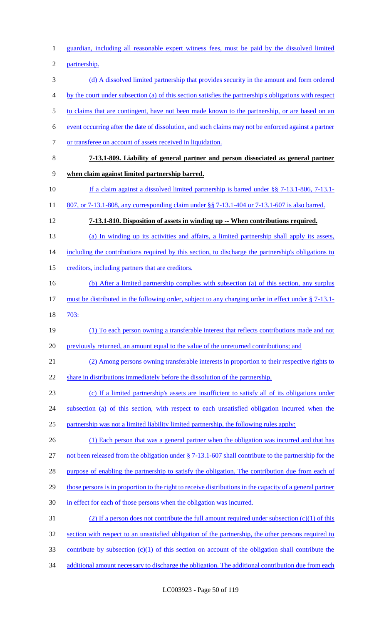guardian, including all reasonable expert witness fees, must be paid by the dissolved limited partnership. (d) A dissolved limited partnership that provides security in the amount and form ordered by the court under subsection (a) of this section satisfies the partnership's obligations with respect 5 to claims that are contingent, have not been made known to the partnership, or are based on an event occurring after the date of dissolution, and such claims may not be enforced against a partner or transferee on account of assets received in liquidation. **7-13.1-809. Liability of general partner and person dissociated as general partner when claim against limited partnership barred.** 10 If a claim against a dissolved limited partnership is barred under §§ 7-13.1-806, 7-13.1- 807, or 7-13.1-808, any corresponding claim under §§ 7-13.1-404 or 7-13.1-607 is also barred. **7-13.1-810. Disposition of assets in winding up -- When contributions required.** (a) In winding up its activities and affairs, a limited partnership shall apply its assets, 14 including the contributions required by this section, to discharge the partnership's obligations to 15 creditors, including partners that are creditors. (b) After a limited partnership complies with subsection (a) of this section, any surplus 17 must be distributed in the following order, subject to any charging order in effect under § 7-13.1- 703: (1) To each person owning a transferable interest that reflects contributions made and not previously returned, an amount equal to the value of the unreturned contributions; and (2) Among persons owning transferable interests in proportion to their respective rights to 22 share in distributions immediately before the dissolution of the partnership. (c) If a limited partnership's assets are insufficient to satisfy all of its obligations under subsection (a) of this section, with respect to each unsatisfied obligation incurred when the partnership was not a limited liability limited partnership, the following rules apply: 26 (1) Each person that was a general partner when the obligation was incurred and that has not been released from the obligation under § 7-13.1-607 shall contribute to the partnership for the 28 purpose of enabling the partnership to satisfy the obligation. The contribution due from each of 29 those persons is in proportion to the right to receive distributions in the capacity of a general partner 30 in effect for each of those persons when the obligation was incurred. (2) If a person does not contribute the full amount required under subsection (c)(1) of this section with respect to an unsatisfied obligation of the partnership, the other persons required to contribute by subsection (c)(1) of this section on account of the obligation shall contribute the 34 additional amount necessary to discharge the obligation. The additional contribution due from each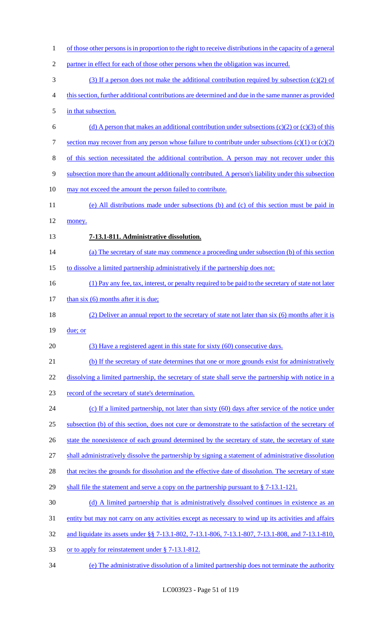1 of those other persons is in proportion to the right to receive distributions in the capacity of a general 2 partner in effect for each of those other persons when the obligation was incurred. 3 (3) If a person does not make the additional contribution required by subsection (c)(2) of 4 this section, further additional contributions are determined and due in the same manner as provided 5 in that subsection. 6 (d) A person that makes an additional contribution under subsections (c)(2) or (c)(3) of this 7 section may recover from any person whose failure to contribute under subsections  $(c)(1)$  or  $(c)(2)$ 8 of this section necessitated the additional contribution. A person may not recover under this 9 subsection more than the amount additionally contributed. A person's liability under this subsection 10 may not exceed the amount the person failed to contribute. 11 (e) All distributions made under subsections (b) and (c) of this section must be paid in 12 money. 13 **7-13.1-811. Administrative dissolution.** 14 (a) The secretary of state may commence a proceeding under subsection (b) of this section 15 to dissolve a limited partnership administratively if the partnership does not: 16 (1) Pay any fee, tax, interest, or penalty required to be paid to the secretary of state not later 17 than six (6) months after it is due; 18 (2) Deliver an annual report to the secretary of state not later than six (6) months after it is  $19$  due; or 20 (3) Have a registered agent in this state for sixty (60) consecutive days. 21 (b) If the secretary of state determines that one or more grounds exist for administratively 22 dissolving a limited partnership, the secretary of state shall serve the partnership with notice in a 23 record of the secretary of state's determination. 24 (c) If a limited partnership, not later than sixty (60) days after service of the notice under 25 subsection (b) of this section, does not cure or demonstrate to the satisfaction of the secretary of 26 state the nonexistence of each ground determined by the secretary of state, the secretary of state 27 shall administratively dissolve the partnership by signing a statement of administrative dissolution 28 that recites the grounds for dissolution and the effective date of dissolution. The secretary of state 29 shall file the statement and serve a copy on the partnership pursuant to § 7-13.1-121. 30 (d) A limited partnership that is administratively dissolved continues in existence as an 31 entity but may not carry on any activities except as necessary to wind up its activities and affairs 32 and liquidate its assets under §§ 7-13.1-802, 7-13.1-806, 7-13.1-807, 7-13.1-808, and 7-13.1-810, 33 or to apply for reinstatement under § 7-13.1-812. 34 (e) The administrative dissolution of a limited partnership does not terminate the authority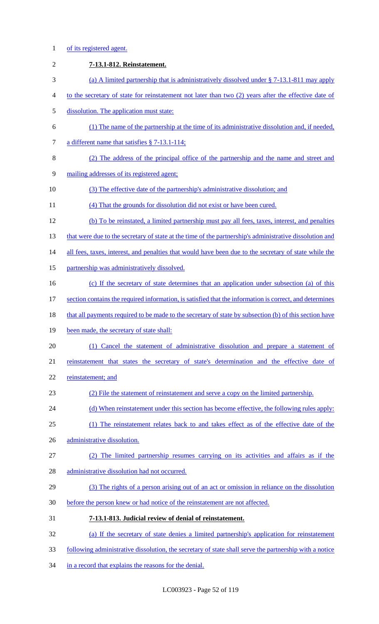## 1 of its registered agent.

| $\overline{2}$ | 7-13.1-812. Reinstatement.                                                                              |
|----------------|---------------------------------------------------------------------------------------------------------|
| 3              | (a) A limited partnership that is administratively dissolved under $\S$ 7-13.1-811 may apply            |
| $\overline{4}$ | to the secretary of state for reinstatement not later than two (2) years after the effective date of    |
| 5              | dissolution. The application must state:                                                                |
| 6              | (1) The name of the partnership at the time of its administrative dissolution and, if needed,           |
| $\tau$         | a different name that satisfies $\S$ 7-13.1-114;                                                        |
| $8\,$          | (2) The address of the principal office of the partnership and the name and street and                  |
| 9              | mailing addresses of its registered agent;                                                              |
| 10             | (3) The effective date of the partnership's administrative dissolution; and                             |
| 11             | (4) That the grounds for dissolution did not exist or have been cured.                                  |
| 12             | (b) To be reinstated, a limited partnership must pay all fees, taxes, interest, and penalties           |
| 13             | that were due to the secretary of state at the time of the partnership's administrative dissolution and |
| 14             | all fees, taxes, interest, and penalties that would have been due to the secretary of state while the   |
| 15             | partnership was administratively dissolved.                                                             |
| 16             | (c) If the secretary of state determines that an application under subsection (a) of this               |
| 17             | section contains the required information, is satisfied that the information is correct, and determines |
| 18             | that all payments required to be made to the secretary of state by subsection (b) of this section have  |
| 19             | been made, the secretary of state shall:                                                                |
| 20             | (1) Cancel the statement of administrative dissolution and prepare a statement of                       |
| 21             | reinstatement that states the secretary of state's determination and the effective date of              |
| 22             | reinstatement; and                                                                                      |
| 23             | (2) File the statement of reinstatement and serve a copy on the limited partnership.                    |
| 24             | (d) When reinstatement under this section has become effective, the following rules apply:              |
| 25             | (1) The reinstatement relates back to and takes effect as of the effective date of the                  |
| 26             | administrative dissolution.                                                                             |
| 27             | (2) The limited partnership resumes carrying on its activities and affairs as if the                    |
| 28             | administrative dissolution had not occurred.                                                            |
| 29             | (3) The rights of a person arising out of an act or omission in reliance on the dissolution             |
| 30             | before the person knew or had notice of the reinstatement are not affected.                             |
| 31             | 7-13.1-813. Judicial review of denial of reinstatement.                                                 |
| 32             | (a) If the secretary of state denies a limited partnership's application for reinstatement              |
| 33             | following administrative dissolution, the secretary of state shall serve the partnership with a notice  |
| 34             | in a record that explains the reasons for the denial.                                                   |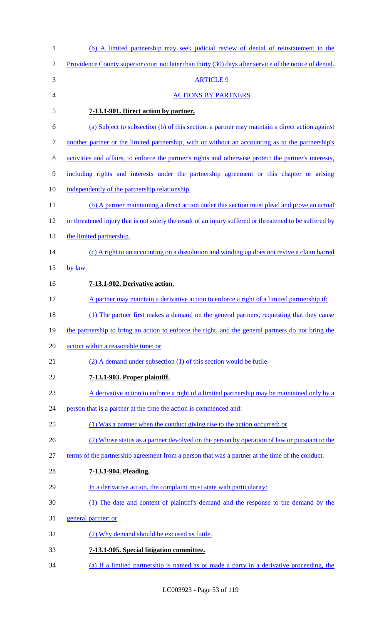| $\mathbf{1}$   | (b) A limited partnership may seek judicial review of denial of reinstatement in the                     |
|----------------|----------------------------------------------------------------------------------------------------------|
| $\mathfrak{2}$ | Providence County superior court not later than thirty (30) days after service of the notice of denial.  |
| 3              | <b>ARTICLE 9</b>                                                                                         |
| $\overline{4}$ | <b>ACTIONS BY PARTNERS</b>                                                                               |
| 5              | 7-13.1-901. Direct action by partner.                                                                    |
| 6              | (a) Subject to subsection (b) of this section, a partner may maintain a direct action against            |
| $\tau$         | another partner or the limited partnership, with or without an accounting as to the partnership's        |
| $8\,$          | activities and affairs, to enforce the partner's rights and otherwise protect the partner's interests,   |
| 9              | including rights and interests under the partnership agreement or this chapter or arising                |
| 10             | independently of the partnership relationship.                                                           |
| 11             | (b) A partner maintaining a direct action under this section must plead and prove an actual              |
| 12             | or threatened injury that is not solely the result of an injury suffered or threatened to be suffered by |
| 13             | the limited partnership.                                                                                 |
| 14             | (c) A right to an accounting on a dissolution and winding up does not revive a claim barred              |
| 15             | by law.                                                                                                  |
| 16             | 7-13.1-902. Derivative action.                                                                           |
| 17             | A partner may maintain a derivative action to enforce a right of a limited partnership if:               |
| 18             | (1) The partner first makes a demand on the general partners, requesting that they cause                 |
| 19             | the partnership to bring an action to enforce the right, and the general partners do not bring the       |
| 20             | action within a reasonable time; or                                                                      |
| 21             | (2) A demand under subsection (1) of this section would be futile.                                       |
| 22             | 7-13.1-903. Proper plaintiff.                                                                            |
| 23             | A derivative action to enforce a right of a limited partnership may be maintained only by a              |
| 24             | person that is a partner at the time the action is commenced and:                                        |
| 25             | (1) Was a partner when the conduct giving rise to the action occurred; or                                |
| 26             | (2) Whose status as a partner devolved on the person by operation of law or pursuant to the              |
| 27             | terms of the partnership agreement from a person that was a partner at the time of the conduct.          |
| 28             | 7-13.1-904. Pleading.                                                                                    |
| 29             | In a derivative action, the complaint must state with particularity:                                     |
| 30             | (1) The date and content of plaintiff's demand and the response to the demand by the                     |
| 31             | general partner; or                                                                                      |
| 32             | (2) Why demand should be excused as futile.                                                              |
| 33             | 7-13.1-905. Special litigation committee.                                                                |
| 34             | (a) If a limited partnership is named as or made a party in a derivative proceeding, the                 |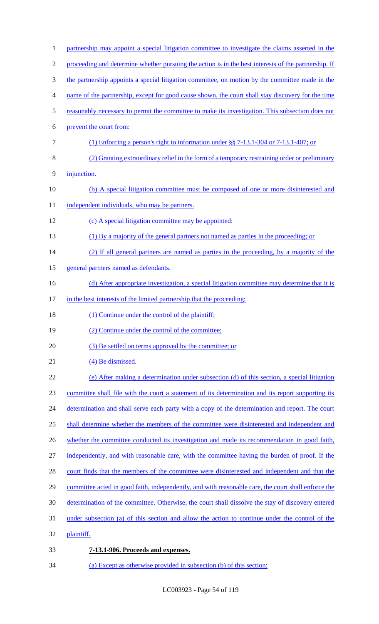| 1              | partnership may appoint a special litigation committee to investigate the claims asserted in the     |
|----------------|------------------------------------------------------------------------------------------------------|
| $\overline{2}$ | proceeding and determine whether pursuing the action is in the best interests of the partnership. If |
| 3              | the partnership appoints a special litigation committee, on motion by the committee made in the      |
| 4              | name of the partnership, except for good cause shown, the court shall stay discovery for the time    |
| 5              | reasonably necessary to permit the committee to make its investigation. This subsection does not     |
| 6              | prevent the court from:                                                                              |
| $\tau$         | (1) Enforcing a person's right to information under §§ 7-13.1-304 or 7-13.1-407; or                  |
| 8              | (2) Granting extraordinary relief in the form of a temporary restraining order or preliminary        |
| 9              | injunction.                                                                                          |
| 10             | (b) A special litigation committee must be composed of one or more disinterested and                 |
| 11             | independent individuals, who may be partners.                                                        |
| 12             | (c) A special litigation committee may be appointed:                                                 |
| 13             | (1) By a majority of the general partners not named as parties in the proceeding; or                 |
| 14             | (2) If all general partners are named as parties in the proceeding, by a majority of the             |
| 15             | general partners named as defendants.                                                                |
| 16             | (d) After appropriate investigation, a special litigation committee may determine that it is         |
| 17             | in the best interests of the limited partnership that the proceeding:                                |
| 18             | (1) Continue under the control of the plaintiff;                                                     |
| 19             | (2) Continue under the control of the committee;                                                     |
| 20             | (3) Be settled on terms approved by the committee; or                                                |
| 21             | (4) Be dismissed.                                                                                    |
| 22             | (e) After making a determination under subsection (d) of this section, a special litigation          |
| 23             | committee shall file with the court a statement of its determination and its report supporting its   |
| 24             | determination and shall serve each party with a copy of the determination and report. The court      |
| 25             | shall determine whether the members of the committee were disinterested and independent and          |
| 26             | whether the committee conducted its investigation and made its recommendation in good faith,         |
| 27             | independently, and with reasonable care, with the committee having the burden of proof. If the       |
| 28             | court finds that the members of the committee were disinterested and independent and that the        |
| 29             | committee acted in good faith, independently, and with reasonable care, the court shall enforce the  |
| 30             | determination of the committee. Otherwise, the court shall dissolve the stay of discovery entered    |
| 31             | under subsection (a) of this section and allow the action to continue under the control of the       |
| 32             | plaintiff.                                                                                           |
| 33             | 7-13.1-906. Proceeds and expenses.                                                                   |
|                |                                                                                                      |

(a) Except as otherwise provided in subsection (b) of this section: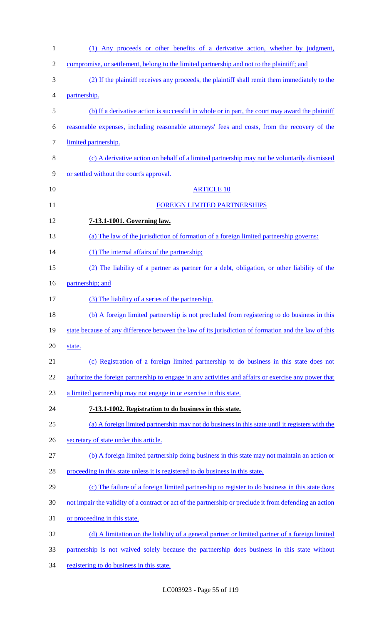| $\mathbf{1}$   | (1) Any proceeds or other benefits of a derivative action, whether by judgment,                         |
|----------------|---------------------------------------------------------------------------------------------------------|
| $\mathfrak{2}$ | compromise, or settlement, belong to the limited partnership and not to the plaintiff; and              |
| 3              | (2) If the plaintiff receives any proceeds, the plaintiff shall remit them immediately to the           |
| 4              | partnership.                                                                                            |
| 5              | (b) If a derivative action is successful in whole or in part, the court may award the plaintiff         |
| 6              | reasonable expenses, including reasonable attorneys' fees and costs, from the recovery of the           |
| 7              | limited partnership.                                                                                    |
| 8              | (c) A derivative action on behalf of a limited partnership may not be voluntarily dismissed             |
| 9              | or settled without the court's approval.                                                                |
| 10             | <b>ARTICLE 10</b>                                                                                       |
| 11             | FOREIGN LIMITED PARTNERSHIPS                                                                            |
| 12             | 7-13.1-1001. Governing law.                                                                             |
| 13             | (a) The law of the jurisdiction of formation of a foreign limited partnership governs:                  |
| 14             | (1) The internal affairs of the partnership;                                                            |
| 15             | (2) The liability of a partner as partner for a debt, obligation, or other liability of the             |
| 16             | partnership; and                                                                                        |
| 17             | (3) The liability of a series of the partnership.                                                       |
| 18             | (b) A foreign limited partnership is not precluded from registering to do business in this              |
| 19             | state because of any difference between the law of its jurisdiction of formation and the law of this    |
| 20             | state.                                                                                                  |
| 21             | (c) Registration of a foreign limited partnership to do business in this state does not                 |
| 22             | authorize the foreign partnership to engage in any activities and affairs or exercise any power that    |
| 23             | a limited partnership may not engage in or exercise in this state.                                      |
| 24             | 7-13.1-1002. Registration to do business in this state.                                                 |
| 25             | (a) A foreign limited partnership may not do business in this state until it registers with the         |
| 26             | secretary of state under this article.                                                                  |
| 27             | (b) A foreign limited partnership doing business in this state may not maintain an action or            |
| 28             | proceeding in this state unless it is registered to do business in this state.                          |
| 29             | (c) The failure of a foreign limited partnership to register to do business in this state does          |
| 30             | not impair the validity of a contract or act of the partnership or preclude it from defending an action |
| 31             | or proceeding in this state.                                                                            |
| 32             | (d) A limitation on the liability of a general partner or limited partner of a foreign limited          |
| 33             | partnership is not waived solely because the partnership does business in this state without            |
| 34             | registering to do business in this state.                                                               |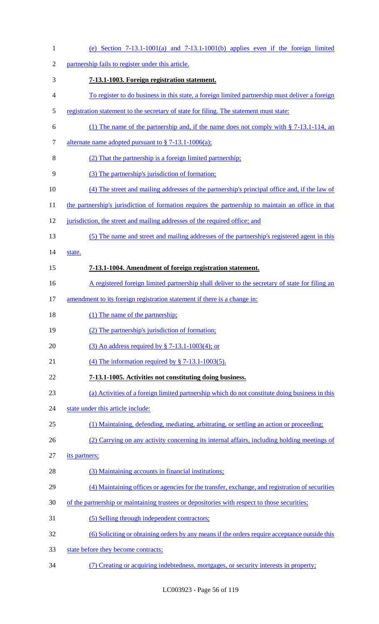| $\mathbf{1}$   | (e) Section $7-13.1-1001(a)$ and $7-13.1-1001(b)$ applies even if the foreign limited              |
|----------------|----------------------------------------------------------------------------------------------------|
| $\overline{2}$ | partnership fails to register under this article.                                                  |
| 3              | 7-13.1-1003. Foreign registration statement.                                                       |
| $\overline{4}$ | To register to do business in this state, a foreign limited partnership must deliver a foreign     |
| $\mathfrak s$  | registration statement to the secretary of state for filing. The statement must state:             |
| 6              | (1) The name of the partnership and, if the name does not comply with $\S$ 7-13.1-114, an          |
| $\overline{7}$ | alternate name adopted pursuant to $\S$ 7-13.1-1006(a);                                            |
| 8              | (2) That the partnership is a foreign limited partnership;                                         |
| 9              | (3) The partnership's jurisdiction of formation;                                                   |
| 10             | (4) The street and mailing addresses of the partnership's principal office and, if the law of      |
| 11             | the partnership's jurisdiction of formation requires the partnership to maintain an office in that |
| 12             | jurisdiction, the street and mailing addresses of the required office; and                         |
| 13             | (5) The name and street and mailing addresses of the partnership's registered agent in this        |
| 14             | state.                                                                                             |
| 15             | 7-13.1-1004. Amendment of foreign registration statement.                                          |
| 16             | A registered foreign limited partnership shall deliver to the secretary of state for filing an     |
| 17             | amendment to its foreign registration statement if there is a change in:                           |
| 18             | (1) The name of the partnership:                                                                   |
| 19             | (2) The partnership's jurisdiction of formation;                                                   |
| 20             | (3) An address required by $\S$ 7-13.1-1003(4); or                                                 |
| 21             | $(4)$ The information required by § 7-13.1-1003(5).                                                |
| 22             | 7-13.1-1005. Activities not constituting doing business.                                           |
| 23             | (a) Activities of a foreign limited partnership which do not constitute doing business in this     |
| 24             | state under this article include:                                                                  |
| 25             | (1) Maintaining, defending, mediating, arbitrating, or settling an action or proceeding;           |
| 26             | (2) Carrying on any activity concerning its internal affairs, including holding meetings of        |
| 27             | its partners;                                                                                      |
| 28             | (3) Maintaining accounts in financial institutions;                                                |
| 29             | (4) Maintaining offices or agencies for the transfer, exchange, and registration of securities     |
| 30             | of the partnership or maintaining trustees or depositories with respect to those securities;       |
| 31             | (5) Selling through independent contractors;                                                       |
| 32             | (6) Soliciting or obtaining orders by any means if the orders require acceptance outside this      |
| 33             | state before they become contracts;                                                                |
| 34             | (7) Creating or acquiring indebtedness, mortgages, or security interests in property;              |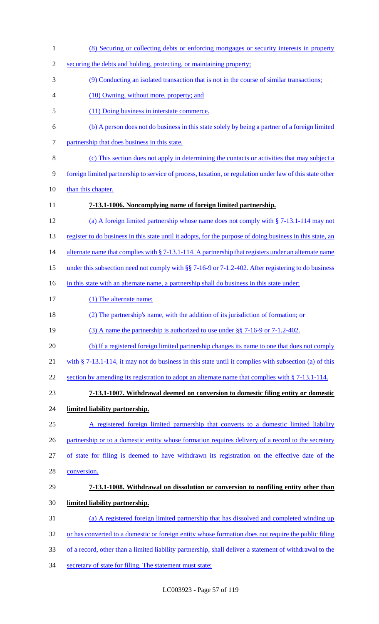| $\mathbf{1}$     | <u>(8) Securing or collecting debts or enforcing mortgages or security interests in property</u>           |
|------------------|------------------------------------------------------------------------------------------------------------|
| $\overline{2}$   | securing the debts and holding, protecting, or maintaining property;                                       |
| 3                | (9) Conducting an isolated transaction that is not in the course of similar transactions;                  |
| 4                | (10) Owning, without more, property; and                                                                   |
| 5                | (11) Doing business in interstate commerce.                                                                |
| 6                | (b) A person does not do business in this state solely by being a partner of a foreign limited             |
| $\boldsymbol{7}$ | partnership that does business in this state.                                                              |
| $8\,$            | (c) This section does not apply in determining the contacts or activities that may subject a               |
| 9                | foreign limited partnership to service of process, taxation, or regulation under law of this state other   |
| 10               | than this chapter.                                                                                         |
| 11               | 7-13.1-1006. Noncomplying name of foreign limited partnership.                                             |
| 12               | (a) A foreign limited partnership whose name does not comply with $\S$ 7-13.1-114 may not                  |
| 13               | register to do business in this state until it adopts, for the purpose of doing business in this state, an |
| 14               | alternate name that complies with $\S$ 7-13.1-114. A partnership that registers under an alternate name    |
| 15               | under this subsection need not comply with $\S$ 7-16-9 or 7-1.2-402. After registering to do business      |
| 16               | in this state with an alternate name, a partnership shall do business in this state under:                 |
| 17               | (1) The alternate name;                                                                                    |
| 18               | (2) The partnership's name, with the addition of its jurisdiction of formation; or                         |
| 19               | (3) A name the partnership is authorized to use under $\S$ 7-16-9 or 7-1.2-402.                            |
| 20               | (b) If a registered foreign limited partnership changes its name to one that does not comply               |
| 21               | with $\S$ 7-13.1-114, it may not do business in this state until it complies with subsection (a) of this   |
| 22               | section by amending its registration to adopt an alternate name that complies with $\S$ 7-13.1-114.        |
| 23               | 7-13.1-1007. Withdrawal deemed on conversion to domestic filing entity or domestic                         |
| 24               | limited liability partnership.                                                                             |
| 25               | A registered foreign limited partnership that converts to a domestic limited liability                     |
| 26               | partnership or to a domestic entity whose formation requires delivery of a record to the secretary         |
| 27               | of state for filing is deemed to have withdrawn its registration on the effective date of the              |
| 28               | conversion.                                                                                                |
| 29               | 7-13.1-1008. Withdrawal on dissolution or conversion to nonfiling entity other than                        |
| 30               | limited liability partnership.                                                                             |
| 31               | (a) A registered foreign limited partnership that has dissolved and completed winding up                   |
| 32               | or has converted to a domestic or foreign entity whose formation does not require the public filing        |
| 33               | of a record, other than a limited liability partnership, shall deliver a statement of withdrawal to the    |
| 34               | secretary of state for filing. The statement must state:                                                   |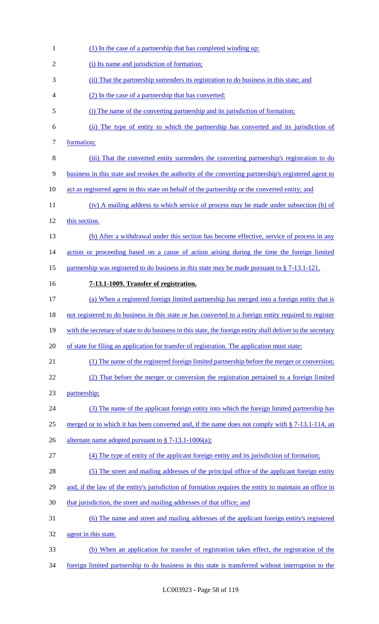| $\mathbf{1}$   | (1) In the case of a partnership that has completed winding up:                                             |
|----------------|-------------------------------------------------------------------------------------------------------------|
| $\overline{2}$ | (i) Its name and jurisdiction of formation;                                                                 |
| 3              | (ii) That the partnership surrenders its registration to do business in this state; and                     |
| 4              | (2) In the case of a partnership that has converted:                                                        |
| 5              | (i) The name of the converting partnership and its jurisdiction of formation;                               |
| 6              | (ii) The type of entity to which the partnership has converted and its jurisdiction of                      |
| 7              | formation;                                                                                                  |
| 8              | (iii) That the converted entity surrenders the converting partnership's registration to do                  |
| 9              | business in this state and revokes the authority of the converting partnership's registered agent to        |
| 10             | act as registered agent in this state on behalf of the partnership or the converted entity; and             |
| 11             | (iv) A mailing address to which service of process may be made under subsection (b) of                      |
| 12             | this section.                                                                                               |
| 13             | (b) After a withdrawal under this section has become effective, service of process in any                   |
| 14             | action or proceeding based on a cause of action arising during the time the foreign limited                 |
| 15             | partnership was registered to do business in this state may be made pursuant to $\S$ 7-13.1-121.            |
| 16             | 7-13.1-1009. Transfer of registration.                                                                      |
| 17             | (a) When a registered foreign limited partnership has merged into a foreign entity that is                  |
| 18             | not registered to do business in this state or has converted to a foreign entity required to register       |
| 19             | with the secretary of state to do business in this state, the foreign entity shall deliver to the secretary |
| 20             | of state for filing an application for transfer of registration. The application must state:                |
| 21             | (1) The name of the registered foreign limited partnership before the merger or conversion;                 |
| 22             | (2) That before the merger or conversion the registration pertained to a foreign limited                    |
| 23             | partnership;                                                                                                |
| 24             | (3) The name of the applicant foreign entity into which the foreign limited partnership has                 |
| 25             | merged or to which it has been converted and, if the name does not comply with $\S$ 7-13.1-114, an          |
| 26             | alternate name adopted pursuant to $\S$ 7-13.1-1006(a);                                                     |
| 27             | (4) The type of entity of the applicant foreign entity and its jurisdiction of formation;                   |
| 28             | (5) The street and mailing addresses of the principal office of the applicant foreign entity                |
| 29             | and, if the law of the entity's jurisdiction of formation requires the entity to maintain an office in      |
| 30             | that jurisdiction, the street and mailing addresses of that office; and                                     |
| 31             | (6) The name and street and mailing addresses of the applicant foreign entity's registered                  |
| 32             | agent in this state.                                                                                        |
| 33             | (b) When an application for transfer of registration takes effect, the registration of the                  |
| 34             | foreign limited partnership to do business in this state is transferred without interruption to the         |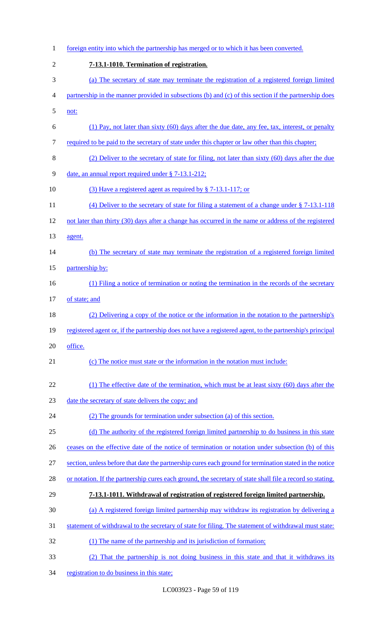| $\mathbf{1}$   | <u>foreign entity into which the partnership has merged or to which it has been converted.</u>            |
|----------------|-----------------------------------------------------------------------------------------------------------|
| $\mathbf{2}$   | 7-13.1-1010. Termination of registration.                                                                 |
| 3              | (a) The secretary of state may terminate the registration of a registered foreign limited                 |
| $\overline{4}$ | partnership in the manner provided in subsections (b) and (c) of this section if the partnership does     |
| 5              | not:                                                                                                      |
| 6              | (1) Pay, not later than sixty (60) days after the due date, any fee, tax, interest, or penalty            |
| $\overline{7}$ | required to be paid to the secretary of state under this chapter or law other than this chapter;          |
| $8\,$          | (2) Deliver to the secretary of state for filing, not later than sixty (60) days after the due            |
| 9              | date, an annual report required under $\S$ 7-13.1-212;                                                    |
| 10             | (3) Have a registered agent as required by § 7-13.1-117; or                                               |
| 11             | (4) Deliver to the secretary of state for filing a statement of a change under $\S 7-13.1-118$            |
| 12             | not later than thirty (30) days after a change has occurred in the name or address of the registered      |
| 13             | agent.                                                                                                    |
| 14             | (b) The secretary of state may terminate the registration of a registered foreign limited                 |
| 15             | partnership by:                                                                                           |
| 16             | (1) Filing a notice of termination or noting the termination in the records of the secretary              |
| 17             | of state; and                                                                                             |
| 18             | (2) Delivering a copy of the notice or the information in the notation to the partnership's               |
| 19             | registered agent or, if the partnership does not have a registered agent, to the partnership's principal  |
| 20             | office.                                                                                                   |
| 21             | (c) The notice must state or the information in the notation must include:                                |
| 22             | (1) The effective date of the termination, which must be at least sixty (60) days after the               |
| 23             | date the secretary of state delivers the copy; and                                                        |
| 24             | (2) The grounds for termination under subsection (a) of this section.                                     |
| 25             | (d) The authority of the registered foreign limited partnership to do business in this state              |
| 26             | ceases on the effective date of the notice of termination or notation under subsection (b) of this        |
| 27             | section, unless before that date the partnership cures each ground for termination stated in the notice   |
| 28             | or notation. If the partnership cures each ground, the secretary of state shall file a record so stating. |
| 29             | 7-13.1-1011. Withdrawal of registration of registered foreign limited partnership.                        |
| 30             | (a) A registered foreign limited partnership may withdraw its registration by delivering a                |
| 31             | statement of withdrawal to the secretary of state for filing. The statement of withdrawal must state:     |
| 32             | (1) The name of the partnership and its jurisdiction of formation;                                        |
| 33             | (2) That the partnership is not doing business in this state and that it withdraws its                    |
| 34             | registration to do business in this state;                                                                |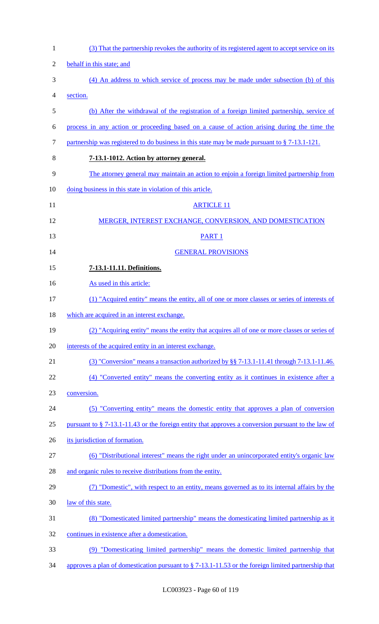| 1              | (3) That the partnership revokes the authority of its registered agent to accept service on its        |
|----------------|--------------------------------------------------------------------------------------------------------|
| $\overline{2}$ | behalf in this state; and                                                                              |
| 3              | (4) An address to which service of process may be made under subsection (b) of this                    |
| 4              | section.                                                                                               |
| 5              | (b) After the withdrawal of the registration of a foreign limited partnership, service of              |
| 6              | process in any action or proceeding based on a cause of action arising during the time the             |
| $\tau$         | partnership was registered to do business in this state may be made pursuant to § 7-13.1-121.          |
| 8              | 7-13.1-1012. Action by attorney general.                                                               |
| 9              | The attorney general may maintain an action to enjoin a foreign limited partnership from               |
| 10             | doing business in this state in violation of this article.                                             |
| 11             | <b>ARTICLE 11</b>                                                                                      |
| 12             | MERGER, INTEREST EXCHANGE, CONVERSION, AND DOMESTICATION                                               |
| 13             | PART <sub>1</sub>                                                                                      |
| 14             | <b>GENERAL PROVISIONS</b>                                                                              |
| 15             | 7-13.1-11.11. Definitions.                                                                             |
| 16             | As used in this article:                                                                               |
| 17             | (1) "Acquired entity" means the entity, all of one or more classes or series of interests of           |
| 18             | which are acquired in an interest exchange.                                                            |
| 19             | (2) "Acquiring entity" means the entity that acquires all of one or more classes or series of          |
| 20             | interests of the acquired entity in an interest exchange.                                              |
| 21             | (3) "Conversion" means a transaction authorized by §§ 7-13.1-11.41 through 7-13.1-11.46.               |
| 22             | (4) "Converted entity" means the converting entity as it continues in existence after a                |
| 23             | conversion.                                                                                            |
| 24             | (5) "Converting entity" means the domestic entity that approves a plan of conversion                   |
| 25             | pursuant to § 7-13.1-11.43 or the foreign entity that approves a conversion pursuant to the law of     |
| 26             | its jurisdiction of formation.                                                                         |
| 27             | (6) "Distributional interest" means the right under an unincorporated entity's organic law             |
| 28             | and organic rules to receive distributions from the entity.                                            |
| 29             | (7) "Domestic", with respect to an entity, means governed as to its internal affairs by the            |
| 30             | law of this state.                                                                                     |
| 31             | (8) "Domesticated limited partnership" means the domesticating limited partnership as it               |
| 32             | continues in existence after a domestication.                                                          |
| 33             | (9) "Domesticating limited partnership" means the domestic limited partnership that                    |
| 34             | approves a plan of domestication pursuant to $\S$ 7-13.1-11.53 or the foreign limited partnership that |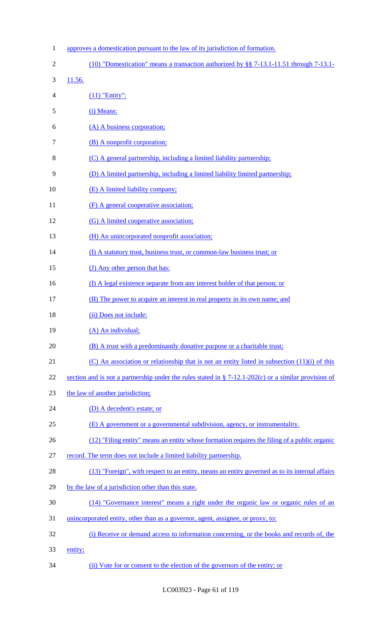| $\mathbf{1}$   | approves a domestication pursuant to the law of its jurisdiction of formation.                       |
|----------------|------------------------------------------------------------------------------------------------------|
| $\overline{2}$ | (10) "Domestication" means a transaction authorized by §§ 7-13.1-11.51 through 7-13.1-               |
| 3              | 11.56.                                                                                               |
| 4              | $(11)$ "Entity":                                                                                     |
| 5              | (i) Means:                                                                                           |
| 6              | (A) A business corporation;                                                                          |
| 7              | (B) A nonprofit corporation;                                                                         |
| 8              | (C) A general partnership, including a limited liability partnership;                                |
| 9              | (D) A limited partnership, including a limited liability limited partnership;                        |
| 10             | (E) A limited liability company;                                                                     |
| 11             | (F) A general cooperative association;                                                               |
| 12             | (G) A limited cooperative association;                                                               |
| 13             | (H) An unincorporated nonprofit association;                                                         |
| 14             | (I) A statutory trust, business trust, or common-law business trust; or                              |
| 15             | (J) Any other person that has:                                                                       |
| 16             | (I) A legal existence separate from any interest holder of that person; or                           |
| 17             | (II) The power to acquire an interest in real property in its own name; and                          |
| 18             | (ii) Does not include:                                                                               |
| 19             | (A) An individual;                                                                                   |
| 20             | (B) A trust with a predominantly donative purpose or a charitable trust;                             |
| 21             | (C) An association or relationship that is not an entity listed in subsection $(11)(i)$ of this      |
| 22             | section and is not a partnership under the rules stated in § 7-12.1-202(c) or a similar provision of |
| 23             | the law of another jurisdiction;                                                                     |
| 24             | (D) A decedent's estate; or                                                                          |
| 25             | (E) A government or a governmental subdivision, agency, or instrumentality.                          |
| 26             | (12) "Filing entity" means an entity whose formation requires the filing of a public organic         |
| 27             | record. The term does not include a limited liability partnership.                                   |
| 28             | (13) "Foreign", with respect to an entity, means an entity governed as to its internal affairs       |
| 29             | by the law of a jurisdiction other than this state.                                                  |
| 30             | (14) "Governance interest" means a right under the organic law or organic rules of an                |
| 31             | unincorporated entity, other than as a governor, agent, assignee, or proxy, to:                      |
| 32             | (i) Receive or demand access to information concerning, or the books and records of, the             |
| 33             | entity;                                                                                              |
|                |                                                                                                      |

(ii) Vote for or consent to the election of the governors of the entity; or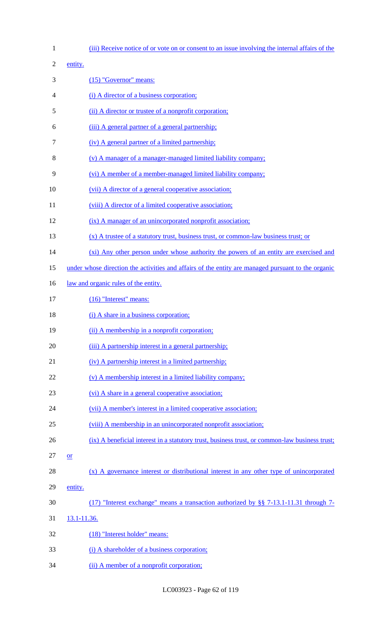| $\mathbf{1}$   |             | (iii) Receive notice of or vote on or consent to an issue involving the internal affairs of the    |
|----------------|-------------|----------------------------------------------------------------------------------------------------|
| $\mathfrak{2}$ | entity.     |                                                                                                    |
| 3              |             | (15) "Governor" means:                                                                             |
| 4              |             | (i) A director of a business corporation;                                                          |
| 5              |             | (ii) A director or trustee of a nonprofit corporation;                                             |
| 6              |             | (iii) A general partner of a general partnership;                                                  |
| 7              |             | (iv) A general partner of a limited partnership;                                                   |
| 8              |             | (v) A manager of a manager-managed limited liability company;                                      |
| 9              |             | (vi) A member of a member-managed limited liability company;                                       |
| 10             |             | (vii) A director of a general cooperative association;                                             |
| 11             |             | (viii) A director of a limited cooperative association;                                            |
| 12             |             | (ix) A manager of an unincorporated nonprofit association;                                         |
| 13             |             | (x) A trustee of a statutory trust, business trust, or common-law business trust; or               |
| 14             |             | (xi) Any other person under whose authority the powers of an entity are exercised and              |
| 15             |             | under whose direction the activities and affairs of the entity are managed pursuant to the organic |
| 16             |             | <u>law and organic rules of the entity.</u>                                                        |
| 17             |             | (16) "Interest" means:                                                                             |
| 18             |             | (i) A share in a business corporation;                                                             |
| 19             |             | (ii) A membership in a nonprofit corporation;                                                      |
| 20             |             | (iii) A partnership interest in a general partnership;                                             |
| 21             |             | (iv) A partnership interest in a limited partnership;                                              |
| 22             |             | (v) A membership interest in a limited liability company;                                          |
| 23             |             | (vi) A share in a general cooperative association;                                                 |
| 24             |             | (vii) A member's interest in a limited cooperative association;                                    |
| 25             |             | (viii) A membership in an unincorporated nonprofit association;                                    |
| 26             |             | (ix) A beneficial interest in a statutory trust, business trust, or common-law business trust;     |
| 27             | $or$        |                                                                                                    |
| 28             |             | $(x)$ A governance interest or distributional interest in any other type of unincorporated         |
| 29             | entity.     |                                                                                                    |
| 30             |             | (17) "Interest exchange" means a transaction authorized by §§ 7-13.1-11.31 through 7-              |
| 31             | 13.1-11.36. |                                                                                                    |
| 32             |             | (18) "Interest holder" means:                                                                      |
| 33             |             | (i) A shareholder of a business corporation;                                                       |
| 34             |             | (ii) A member of a nonprofit corporation;                                                          |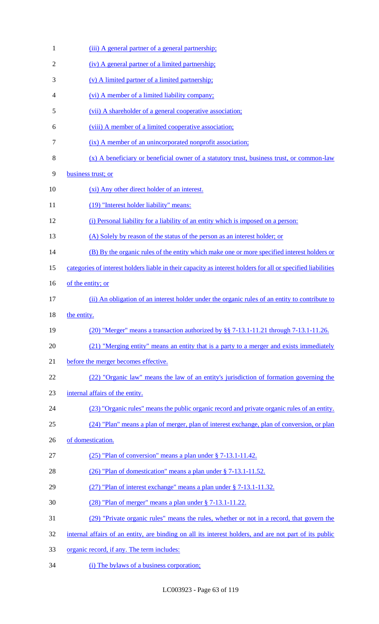| $\mathbf{1}$   | (iii) A general partner of a general partnership;                                                            |
|----------------|--------------------------------------------------------------------------------------------------------------|
| $\mathbf{2}$   | (iv) A general partner of a limited partnership;                                                             |
| 3              | (v) A limited partner of a limited partnership;                                                              |
| $\overline{4}$ | (vi) A member of a limited liability company;                                                                |
| 5              | (vii) A shareholder of a general cooperative association;                                                    |
| 6              | (viii) A member of a limited cooperative association;                                                        |
| 7              | (ix) A member of an unincorporated nonprofit association;                                                    |
| 8              | $(x)$ A beneficiary or beneficial owner of a statutory trust, business trust, or common-law                  |
| 9              | business trust; or                                                                                           |
| 10             | (xi) Any other direct holder of an interest.                                                                 |
| 11             | (19) "Interest holder liability" means:                                                                      |
| 12             | (i) Personal liability for a liability of an entity which is imposed on a person:                            |
| 13             | (A) Solely by reason of the status of the person as an interest holder; or                                   |
| 14             | (B) By the organic rules of the entity which make one or more specified interest holders or                  |
| 15             | categories of interest holders liable in their capacity as interest holders for all or specified liabilities |
| 16             | of the entity; or                                                                                            |
| 17             | (ii) An obligation of an interest holder under the organic rules of an entity to contribute to               |
|                |                                                                                                              |
| 18             | the entity.                                                                                                  |
| 19             | (20) "Merger" means a transaction authorized by §§ 7-13.1-11.21 through 7-13.1-11.26.                        |
| 20             | (21) "Merging entity" means an entity that is a party to a merger and exists immediately                     |
| 21             | before the merger becomes effective.                                                                         |
| 22             | (22) "Organic law" means the law of an entity's jurisdiction of formation governing the                      |
| 23             | internal affairs of the entity.                                                                              |
| 24             | (23) "Organic rules" means the public organic record and private organic rules of an entity.                 |
| 25             | (24) "Plan" means a plan of merger, plan of interest exchange, plan of conversion, or plan                   |
| 26             | of domestication.                                                                                            |
| 27             | (25) "Plan of conversion" means a plan under § 7-13.1-11.42.                                                 |
| 28             | (26) "Plan of domestication" means a plan under § 7-13.1-11.52.                                              |
| 29             | (27) "Plan of interest exchange" means a plan under § 7-13.1-11.32.                                          |
| 30             | $(28)$ "Plan of merger" means a plan under § 7-13.1-11.22.                                                   |
| 31             | (29) "Private organic rules" means the rules, whether or not in a record, that govern the                    |
| 32             | internal affairs of an entity, are binding on all its interest holders, and are not part of its public       |
| 33             | organic record, if any. The term includes:                                                                   |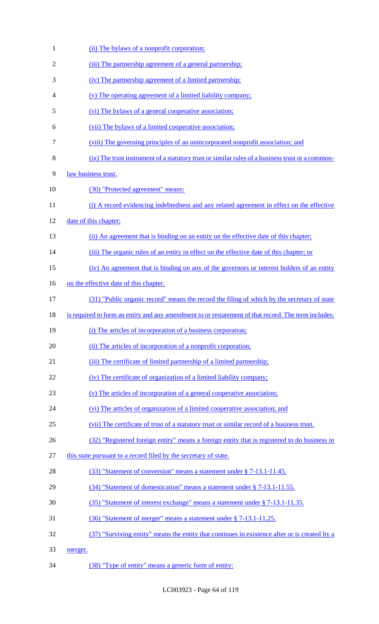| 1              | (ii) The bylaws of a nonprofit corporation;                                                          |
|----------------|------------------------------------------------------------------------------------------------------|
| $\overline{2}$ | (iii) The partnership agreement of a general partnership;                                            |
| 3              | (iv) The partnership agreement of a limited partnership;                                             |
| 4              | (v) The operating agreement of a limited liability company;                                          |
| 5              | (vi) The bylaws of a general cooperative association;                                                |
| 6              | (vii) The bylaws of a limited cooperative association;                                               |
| 7              | (viii) The governing principles of an unincorporated nonprofit association; and                      |
| $8\,$          | (ix) The trust instrument of a statutory trust or similar rules of a business trust or a common-     |
| 9              | law business trust.                                                                                  |
| 10             | (30) "Protected agreement" means:                                                                    |
| 11             | (i) A record evidencing indebtedness and any related agreement in effect on the effective            |
| 12             | date of this chapter;                                                                                |
| 13             | (ii) An agreement that is binding on an entity on the effective date of this chapter;                |
| 14             | (iii) The organic rules of an entity in effect on the effective date of this chapter; or             |
| 15             | (iv) An agreement that is binding on any of the governors or interest holders of an entity           |
| 16             | on the effective date of this chapter.                                                               |
| 17             | (31) "Public organic record" means the record the filing of which by the secretary of state          |
| 18             | is required to form an entity and any amendment to or restatement of that record. The term includes: |
| 19             | (i) The articles of incorporation of a business corporation;                                         |
| 20             | (ii) The articles of incorporation of a nonprofit corporation;                                       |
| 21             | (iii) The certificate of limited partnership of a limited partnership;                               |
| 22             | (iv) The certificate of organization of a limited liability company;                                 |
| 23             | (v) The articles of incorporation of a general cooperative association;                              |
| 24             | (vi) The articles of organization of a limited cooperative association; and                          |
| 25             | (vii) The certificate of trust of a statutory trust or similar record of a business trust.           |
| 26             | (32) "Registered foreign entity" means a foreign entity that is registered to do business in         |
| 27             | this state pursuant to a record filed by the secretary of state.                                     |
| 28             | (33) "Statement of conversion" means a statement under § 7-13.1-11.45.                               |
| 29             | (34) "Statement of domestication" means a statement under § 7-13.1-11.55.                            |
| 30             | (35) "Statement of interest exchange" means a statement under § 7-13.1-11.35.                        |
| 31             | (36) "Statement of merger" means a statement under § 7-13.1-11.25.                                   |
| 32             | (37) "Surviving entity" means the entity that continues in existence after or is created by a        |
| 33             | merger.                                                                                              |
|                |                                                                                                      |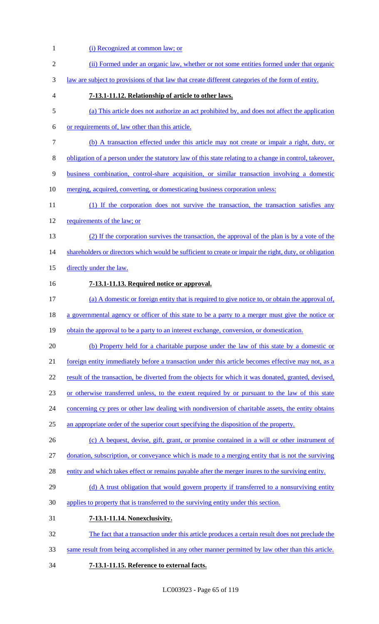(i) Recognized at common law; or (ii) Formed under an organic law, whether or not some entities formed under that organic law are subject to provisions of that law that create different categories of the form of entity. **7-13.1-11.12. Relationship of article to other laws.** (a) This article does not authorize an act prohibited by, and does not affect the application or requirements of, law other than this article. (b) A transaction effected under this article may not create or impair a right, duty, or obligation of a person under the statutory law of this state relating to a change in control, takeover, business combination, control-share acquisition, or similar transaction involving a domestic merging, acquired, converting, or domesticating business corporation unless: 11 (1) If the corporation does not survive the transaction, the transaction satisfies any requirements of the law; or (2) If the corporation survives the transaction, the approval of the plan is by a vote of the 14 shareholders or directors which would be sufficient to create or impair the right, duty, or obligation 15 directly under the law. **7-13.1-11.13. Required notice or approval.** (a) A domestic or foreign entity that is required to give notice to, or obtain the approval of, a governmental agency or officer of this state to be a party to a merger must give the notice or obtain the approval to be a party to an interest exchange, conversion, or domestication. (b) Property held for a charitable purpose under the law of this state by a domestic or foreign entity immediately before a transaction under this article becomes effective may not, as a result of the transaction, be diverted from the objects for which it was donated, granted, devised, or otherwise transferred unless, to the extent required by or pursuant to the law of this state 24 concerning cy pres or other law dealing with nondiversion of charitable assets, the entity obtains an appropriate order of the superior court specifying the disposition of the property. 26 (c) A bequest, devise, gift, grant, or promise contained in a will or other instrument of donation, subscription, or conveyance which is made to a merging entity that is not the surviving 28 entity and which takes effect or remains payable after the merger inures to the surviving entity. 29 (d) A trust obligation that would govern property if transferred to a nonsurviving entity applies to property that is transferred to the surviving entity under this section. **7-13.1-11.14. Nonexclusivity.** The fact that a transaction under this article produces a certain result does not preclude the same result from being accomplished in any other manner permitted by law other than this article. **7-13.1-11.15. Reference to external facts.**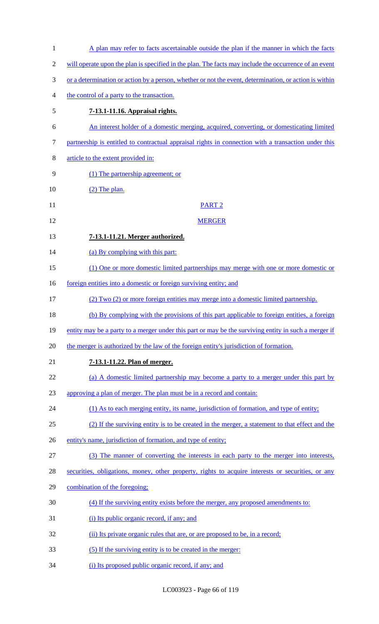| $\mathbf{1}$   | A plan may refer to facts ascertainable outside the plan if the manner in which the facts              |
|----------------|--------------------------------------------------------------------------------------------------------|
| $\overline{2}$ | will operate upon the plan is specified in the plan. The facts may include the occurrence of an event  |
| $\mathfrak{Z}$ | or a determination or action by a person, whether or not the event, determination, or action is within |
| $\overline{4}$ | the control of a party to the transaction.                                                             |
| 5              | 7-13.1-11.16. Appraisal rights.                                                                        |
| 6              | An interest holder of a domestic merging, acquired, converting, or domesticating limited               |
| $\tau$         | partnership is entitled to contractual appraisal rights in connection with a transaction under this    |
| 8              | article to the extent provided in:                                                                     |
| 9              | (1) The partnership agreement; or                                                                      |
| 10             | $(2)$ The plan.                                                                                        |
| 11             | PART <sub>2</sub>                                                                                      |
| 12             | <b>MERGER</b>                                                                                          |
| 13             | 7-13.1-11.21. Merger authorized.                                                                       |
| 14             | (a) By complying with this part:                                                                       |
| 15             | (1) One or more domestic limited partnerships may merge with one or more domestic or                   |
| 16             | foreign entities into a domestic or foreign surviving entity; and                                      |
| 17             | (2) Two (2) or more foreign entities may merge into a domestic limited partnership.                    |
| 18             | (b) By complying with the provisions of this part applicable to foreign entities, a foreign            |
| 19             | entity may be a party to a merger under this part or may be the surviving entity in such a merger if   |
| 20             | the merger is authorized by the law of the foreign entity's jurisdiction of formation.                 |
| 21             | 7-13.1-11.22. Plan of merger.                                                                          |
| 22             | (a) A domestic limited partnership may become a party to a merger under this part by                   |
| 23             | approving a plan of merger. The plan must be in a record and contain:                                  |
| 24             | (1) As to each merging entity, its name, jurisdiction of formation, and type of entity;                |
| 25             | (2) If the surviving entity is to be created in the merger, a statement to that effect and the         |
| 26             | entity's name, jurisdiction of formation, and type of entity;                                          |
| 27             | (3) The manner of converting the interests in each party to the merger into interests,                 |
| 28             | securities, obligations, money, other property, rights to acquire interests or securities, or any      |
| 29             | combination of the foregoing;                                                                          |
| 30             | (4) If the surviving entity exists before the merger, any proposed amendments to:                      |
| 31             | (i) Its public organic record, if any; and                                                             |
| 32             | (ii) Its private organic rules that are, or are proposed to be, in a record;                           |
| 33             | (5) If the surviving entity is to be created in the merger:                                            |
| 34             | (i) Its proposed public organic record, if any; and                                                    |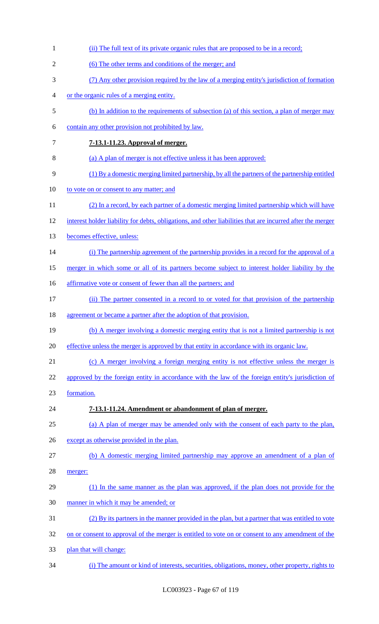| $\mathbf{1}$   | (ii) The full text of its private organic rules that are proposed to be in a record;                       |
|----------------|------------------------------------------------------------------------------------------------------------|
| $\overline{2}$ | (6) The other terms and conditions of the merger; and                                                      |
| 3              | (7) Any other provision required by the law of a merging entity's jurisdiction of formation                |
| 4              | or the organic rules of a merging entity.                                                                  |
| 5              | (b) In addition to the requirements of subsection (a) of this section, a plan of merger may                |
| 6              | contain any other provision not prohibited by law.                                                         |
| 7              | 7-13.1-11.23. Approval of merger.                                                                          |
| 8              | (a) A plan of merger is not effective unless it has been approved:                                         |
| 9              | (1) By a domestic merging limited partnership, by all the partners of the partnership entitled             |
| 10             | to vote on or consent to any matter; and                                                                   |
| 11             | (2) In a record, by each partner of a domestic merging limited partnership which will have                 |
| 12             | interest holder liability for debts, obligations, and other liabilities that are incurred after the merger |
| 13             | becomes effective, unless:                                                                                 |
| 14             | (i) The partnership agreement of the partnership provides in a record for the approval of a                |
| 15             | merger in which some or all of its partners become subject to interest holder liability by the             |
| 16             | affirmative vote or consent of fewer than all the partners; and                                            |
| 17             | (ii) The partner consented in a record to or voted for that provision of the partnership                   |
| 18             | agreement or became a partner after the adoption of that provision.                                        |
| 19             | (b) A merger involving a domestic merging entity that is not a limited partnership is not                  |
| 20             | effective unless the merger is approved by that entity in accordance with its organic law.                 |
| 21             | (c) A merger involving a foreign merging entity is not effective unless the merger is                      |
| 22             | approved by the foreign entity in accordance with the law of the foreign entity's jurisdiction of          |
| 23             | formation.                                                                                                 |
| 24             | 7-13.1-11.24. Amendment or abandonment of plan of merger.                                                  |
| 25             | (a) A plan of merger may be amended only with the consent of each party to the plan,                       |
| 26             | except as otherwise provided in the plan.                                                                  |
| 27             | (b) A domestic merging limited partnership may approve an amendment of a plan of                           |
| 28             | merger:                                                                                                    |
| 29             | (1) In the same manner as the plan was approved, if the plan does not provide for the                      |
| 30             | manner in which it may be amended; or                                                                      |
| 31             | (2) By its partners in the manner provided in the plan, but a partner that was entitled to vote            |
| 32             | on or consent to approval of the merger is entitled to vote on or consent to any amendment of the          |
| 33             | plan that will change:                                                                                     |
| 34             | (i) The amount or kind of interests, securities, obligations, money, other property, rights to             |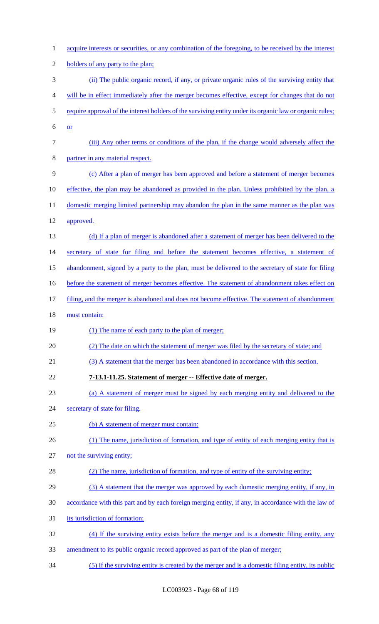| $\mathbf{1}$   | acquire interests or securities, or any combination of the foregoing, to be received by the interest     |
|----------------|----------------------------------------------------------------------------------------------------------|
| $\overline{2}$ | holders of any party to the plan;                                                                        |
| 3              | (ii) The public organic record, if any, or private organic rules of the surviving entity that            |
| $\overline{4}$ | will be in effect immediately after the merger becomes effective, except for changes that do not         |
| 5              | require approval of the interest holders of the surviving entity under its organic law or organic rules; |
| 6              | $or$                                                                                                     |
| $\tau$         | (iii) Any other terms or conditions of the plan, if the change would adversely affect the                |
| 8              | partner in any material respect.                                                                         |
| 9              | (c) After a plan of merger has been approved and before a statement of merger becomes                    |
| 10             | effective, the plan may be abandoned as provided in the plan. Unless prohibited by the plan, a           |
| 11             | domestic merging limited partnership may abandon the plan in the same manner as the plan was             |
| 12             | approved.                                                                                                |
| 13             | (d) If a plan of merger is abandoned after a statement of merger has been delivered to the               |
| 14             | secretary of state for filing and before the statement becomes effective, a statement of                 |
| 15             | abandonment, signed by a party to the plan, must be delivered to the secretary of state for filing       |
| 16             | before the statement of merger becomes effective. The statement of abandonment takes effect on           |
| 17             | filing, and the merger is abandoned and does not become effective. The statement of abandonment          |
| 18             | must contain:                                                                                            |
| 19             | (1) The name of each party to the plan of merger;                                                        |
| 20             | (2) The date on which the statement of merger was filed by the secretary of state; and                   |
| 21             | (3) A statement that the merger has been abandoned in accordance with this section.                      |
| 22             | 7-13.1-11.25. Statement of merger -- Effective date of merger.                                           |
| 23             | (a) A statement of merger must be signed by each merging entity and delivered to the                     |
| 24             | secretary of state for filing.                                                                           |
| 25             | (b) A statement of merger must contain:                                                                  |
| 26             |                                                                                                          |
| 27             | (1) The name, jurisdiction of formation, and type of entity of each merging entity that is               |
|                | not the surviving entity;                                                                                |
| 28             | (2) The name, jurisdiction of formation, and type of entity of the surviving entity;                     |
| 29             | (3) A statement that the merger was approved by each domestic merging entity, if any, in                 |
| 30             | accordance with this part and by each foreign merging entity, if any, in accordance with the law of      |
| 31             | its jurisdiction of formation;                                                                           |
| 32             | (4) If the surviving entity exists before the merger and is a domestic filing entity, any                |
| 33             | amendment to its public organic record approved as part of the plan of merger;                           |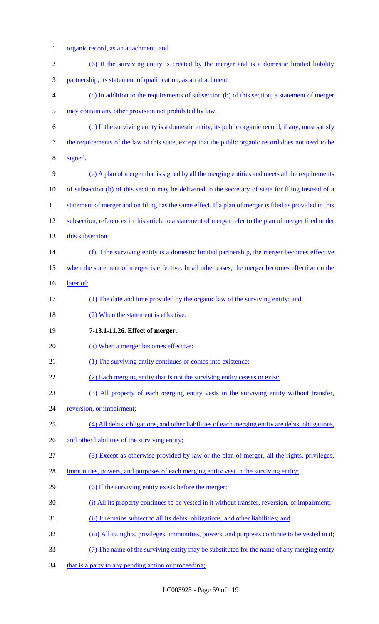organic record, as an attachment; and (6) If the surviving entity is created by the merger and is a domestic limited liability partnership, its statement of qualification, as an attachment. (c) In addition to the requirements of subsection (b) of this section, a statement of merger may contain any other provision not prohibited by law. (d) If the surviving entity is a domestic entity, its public organic record, if any, must satisfy 7 the requirements of the law of this state, except that the public organic record does not need to be signed. (e) A plan of merger that is signed by all the merging entities and meets all the requirements of subsection (b) of this section may be delivered to the secretary of state for filing instead of a 11 statement of merger and on filing has the same effect. If a plan of merger is filed as provided in this subsection, references in this article to a statement of merger refer to the plan of merger filed under 13 this subsection. (f) If the surviving entity is a domestic limited partnership, the merger becomes effective 15 when the statement of merger is effective. In all other cases, the merger becomes effective on the 16 later of: (1) The date and time provided by the organic law of the surviving entity; and 18 (2) When the statement is effective. **7-13.1-11.26. Effect of merger.** (a) When a merger becomes effective: 21 (1) The surviving entity continues or comes into existence; (2) Each merging entity that is not the surviving entity ceases to exist; (3) All property of each merging entity vests in the surviving entity without transfer, 24 reversion, or impairment; (4) All debts, obligations, and other liabilities of each merging entity are debts, obligations, 26 and other liabilities of the surviving entity; (5) Except as otherwise provided by law or the plan of merger, all the rights, privileges, immunities, powers, and purposes of each merging entity vest in the surviving entity; (6) If the surviving entity exists before the merger: (i) All its property continues to be vested in it without transfer, reversion, or impairment; (ii) It remains subject to all its debts, obligations, and other liabilities; and (iii) All its rights, privileges, immunities, powers, and purposes continue to be vested in it; (7) The name of the surviving entity may be substituted for the name of any merging entity 34 that is a party to any pending action or proceeding;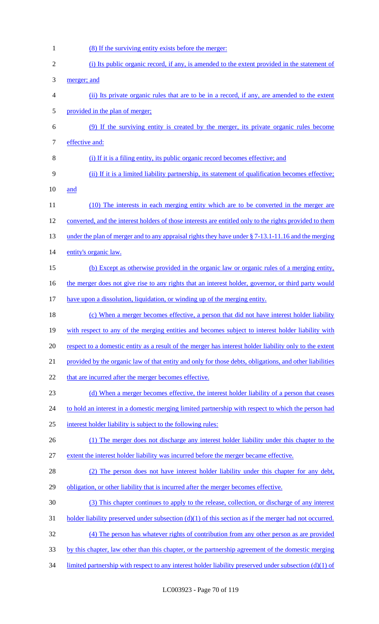- (8) If the surviving entity exists before the merger:
- (i) Its public organic record, if any, is amended to the extent provided in the statement of merger; and (ii) Its private organic rules that are to be in a record, if any, are amended to the extent provided in the plan of merger; (9) If the surviving entity is created by the merger, its private organic rules become effective and: (i) If it is a filing entity, its public organic record becomes effective; and (ii) If it is a limited liability partnership, its statement of qualification becomes effective; and 11 (10) The interests in each merging entity which are to be converted in the merger are converted, and the interest holders of those interests are entitled only to the rights provided to them 13 under the plan of merger and to any appraisal rights they have under § 7-13.1-11.16 and the merging 14 entity's organic law. (b) Except as otherwise provided in the organic law or organic rules of a merging entity, 16 the merger does not give rise to any rights that an interest holder, governor, or third party would have upon a dissolution, liquidation, or winding up of the merging entity. (c) When a merger becomes effective, a person that did not have interest holder liability 19 with respect to any of the merging entities and becomes subject to interest holder liability with respect to a domestic entity as a result of the merger has interest holder liability only to the extent provided by the organic law of that entity and only for those debts, obligations, and other liabilities 22 that are incurred after the merger becomes effective. (d) When a merger becomes effective, the interest holder liability of a person that ceases 24 to hold an interest in a domestic merging limited partnership with respect to which the person had interest holder liability is subject to the following rules: 26 (1) The merger does not discharge any interest holder liability under this chapter to the extent the interest holder liability was incurred before the merger became effective. (2) The person does not have interest holder liability under this chapter for any debt, obligation, or other liability that is incurred after the merger becomes effective. (3) This chapter continues to apply to the release, collection, or discharge of any interest 31 holder liability preserved under subsection (d)(1) of this section as if the merger had not occurred. (4) The person has whatever rights of contribution from any other person as are provided by this chapter, law other than this chapter, or the partnership agreement of the domestic merging limited partnership with respect to any interest holder liability preserved under subsection (d)(1) of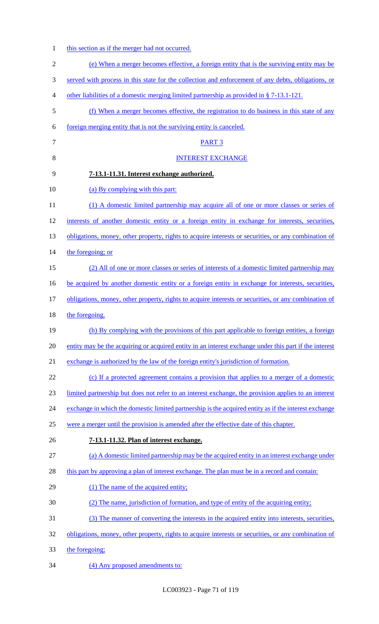| $\mathbf{1}$ | this section as if the merger had not occurred.                                                        |
|--------------|--------------------------------------------------------------------------------------------------------|
| $\mathbf{2}$ | (e) When a merger becomes effective, a foreign entity that is the surviving entity may be              |
| 3            | served with process in this state for the collection and enforcement of any debts, obligations, or     |
| 4            | other liabilities of a domestic merging limited partnership as provided in § 7-13.1-121.               |
| 5            | (f) When a merger becomes effective, the registration to do business in this state of any              |
| 6            | foreign merging entity that is not the surviving entity is canceled.                                   |
| 7            | PART <sub>3</sub>                                                                                      |
| 8            | <b>INTEREST EXCHANGE</b>                                                                               |
| 9            | 7-13.1-11.31. Interest exchange authorized.                                                            |
| 10           | (a) By complying with this part:                                                                       |
| 11           | (1) A domestic limited partnership may acquire all of one or more classes or series of                 |
| 12           | interests of another domestic entity or a foreign entity in exchange for interests, securities,        |
| 13           | obligations, money, other property, rights to acquire interests or securities, or any combination of   |
| 14           | the foregoing; or                                                                                      |
| 15           | (2) All of one or more classes or series of interests of a domestic limited partnership may            |
| 16           | be acquired by another domestic entity or a foreign entity in exchange for interests, securities,      |
| 17           | obligations, money, other property, rights to acquire interests or securities, or any combination of   |
| 18           | the foregoing.                                                                                         |
| 19           | (b) By complying with the provisions of this part applicable to foreign entities, a foreign            |
| 20           | entity may be the acquiring or acquired entity in an interest exchange under this part if the interest |
| 21           | exchange is authorized by the law of the foreign entity's jurisdiction of formation.                   |
| 22           | (c) If a protected agreement contains a provision that applies to a merger of a domestic               |
| 23           | limited partnership but does not refer to an interest exchange, the provision applies to an interest   |
| 24           | exchange in which the domestic limited partnership is the acquired entity as if the interest exchange  |
| 25           | were a merger until the provision is amended after the effective date of this chapter.                 |
| 26           | 7-13.1-11.32. Plan of interest exchange.                                                               |
| 27           | (a) A domestic limited partnership may be the acquired entity in an interest exchange under            |
| 28           | this part by approving a plan of interest exchange. The plan must be in a record and contain:          |
| 29           | (1) The name of the acquired entity;                                                                   |
| 30           | (2) The name, jurisdiction of formation, and type of entity of the acquiring entity;                   |
| 31           | (3) The manner of converting the interests in the acquired entity into interests, securities,          |
| 32           | obligations, money, other property, rights to acquire interests or securities, or any combination of   |
| 33           | the foregoing:                                                                                         |
| 34           | (4) Any proposed amendments to:                                                                        |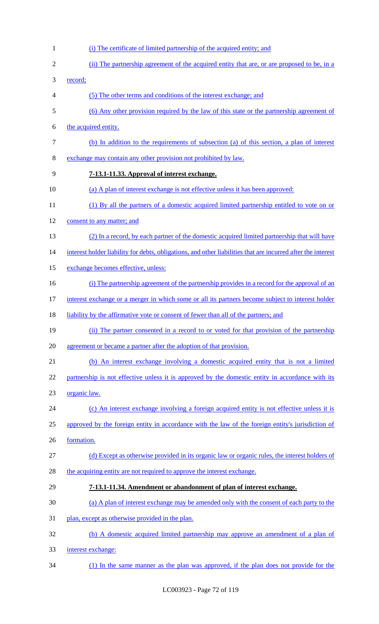| $\mathbf{1}$   | (i) The certificate of limited partnership of the acquired entity; and                                       |
|----------------|--------------------------------------------------------------------------------------------------------------|
| $\mathbf{2}$   | (ii) The partnership agreement of the acquired entity that are, or are proposed to be, in a                  |
| 3              | record;                                                                                                      |
| $\overline{4}$ | (5) The other terms and conditions of the interest exchange; and                                             |
| 5              | (6) Any other provision required by the law of this state or the partnership agreement of                    |
| 6              | the acquired entity.                                                                                         |
| $\tau$         | (b) In addition to the requirements of subsection (a) of this section, a plan of interest                    |
| $8\,$          | exchange may contain any other provision not prohibited by law.                                              |
| 9              | 7-13.1-11.33. Approval of interest exchange.                                                                 |
| 10             | (a) A plan of interest exchange is not effective unless it has been approved:                                |
| 11             | (1) By all the partners of a domestic acquired limited partnership entitled to vote on or                    |
| 12             | consent to any matter; and                                                                                   |
| 13             | (2) In a record, by each partner of the domestic acquired limited partnership that will have                 |
| 14             | interest holder liability for debts, obligations, and other liabilities that are incurred after the interest |
| 15             | exchange becomes effective, unless:                                                                          |
| 16             | (i) The partnership agreement of the partnership provides in a record for the approval of an                 |
| 17             | interest exchange or a merger in which some or all its partners become subject to interest holder            |
| 18             | liability by the affirmative vote or consent of fewer than all of the partners; and                          |
| 19             | (ii) The partner consented in a record to or voted for that provision of the partnership                     |
| 20             | agreement or became a partner after the adoption of that provision.                                          |
| 21             | (b) An interest exchange involving a domestic acquired entity that is not a limited                          |
| 22             | partnership is not effective unless it is approved by the domestic entity in accordance with its             |
| 23             |                                                                                                              |
|                | organic law.                                                                                                 |
| 24             | (c) An interest exchange involving a foreign acquired entity is not effective unless it is                   |
| 25             | approved by the foreign entity in accordance with the law of the foreign entity's jurisdiction of            |
| 26             | formation.                                                                                                   |
| 27             | (d) Except as otherwise provided in its organic law or organic rules, the interest holders of                |
| 28             | the acquiring entity are not required to approve the interest exchange.                                      |
| 29             | 7-13.1-11.34. Amendment or abandonment of plan of interest exchange.                                         |
| 30             | (a) A plan of interest exchange may be amended only with the consent of each party to the                    |
| 31             | plan, except as otherwise provided in the plan.                                                              |
| 32             | (b) A domestic acquired limited partnership may approve an amendment of a plan of                            |
| 33             | interest exchange:                                                                                           |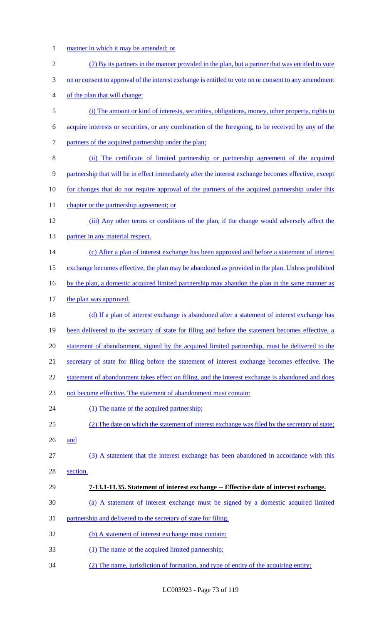1 manner in which it may be amended; or

| $\overline{2}$   | (2) By its partners in the manner provided in the plan, but a partner that was entitled to vote       |
|------------------|-------------------------------------------------------------------------------------------------------|
| 3                | on or consent to approval of the interest exchange is entitled to vote on or consent to any amendment |
| 4                | of the plan that will change:                                                                         |
| 5                | (i) The amount or kind of interests, securities, obligations, money, other property, rights to        |
| 6                | acquire interests or securities, or any combination of the foregoing, to be received by any of the    |
| $\boldsymbol{7}$ | partners of the acquired partnership under the plan;                                                  |
| $8\,$            | (ii) The certificate of limited partnership or partnership agreement of the acquired                  |
| 9                | partnership that will be in effect immediately after the interest exchange becomes effective, except  |
| 10               | for changes that do not require approval of the partners of the acquired partnership under this       |
| 11               | chapter or the partnership agreement; or                                                              |
| 12               | (iii) Any other terms or conditions of the plan, if the change would adversely affect the             |
| 13               | partner in any material respect.                                                                      |
| 14               | (c) After a plan of interest exchange has been approved and before a statement of interest            |
| 15               | exchange becomes effective, the plan may be abandoned as provided in the plan. Unless prohibited      |
| 16               | by the plan, a domestic acquired limited partnership may abandon the plan in the same manner as       |
| 17               | the plan was approved.                                                                                |
| 18               | (d) If a plan of interest exchange is abandoned after a statement of interest exchange has            |
| 19               | been delivered to the secretary of state for filing and before the statement becomes effective, a     |
| 20               | statement of abandonment, signed by the acquired limited partnership, must be delivered to the        |
| 21               | secretary of state for filing before the statement of interest exchange becomes effective. The        |
| 22               | statement of abandonment takes effect on filing, and the interest exchange is abandoned and does      |
| 23               | not become effective. The statement of abandonment must contain:                                      |
| 24               | (1) The name of the acquired partnership;                                                             |
| 25               | (2) The date on which the statement of interest exchange was filed by the secretary of state;         |
| 26               | and                                                                                                   |
| 27               | (3) A statement that the interest exchange has been abandoned in accordance with this                 |
| 28               | section.                                                                                              |
| 29               | 7-13.1-11.35. Statement of interest exchange -- Effective date of interest exchange.                  |
| 30               | (a) A statement of interest exchange must be signed by a domestic acquired limited                    |
| 31               | partnership and delivered to the secretary of state for filing.                                       |
| 32               | (b) A statement of interest exchange must contain:                                                    |
| 33               | (1) The name of the acquired limited partnership;                                                     |
| 34               | (2) The name, jurisdiction of formation, and type of entity of the acquiring entity;                  |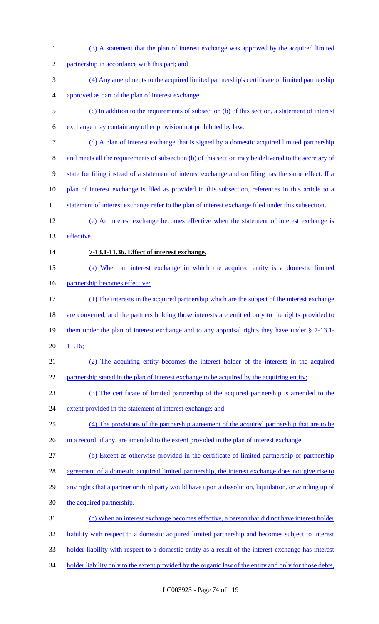| $\mathbf{1}$   | (3) A statement that the plan of interest exchange was approved by the acquired limited                 |
|----------------|---------------------------------------------------------------------------------------------------------|
| $\overline{2}$ | partnership in accordance with this part; and                                                           |
| 3              | (4) Any amendments to the acquired limited partnership's certificate of limited partnership             |
| 4              | approved as part of the plan of interest exchange.                                                      |
| 5              | (c) In addition to the requirements of subsection (b) of this section, a statement of interest          |
| 6              | exchange may contain any other provision not prohibited by law.                                         |
| $\tau$         | (d) A plan of interest exchange that is signed by a domestic acquired limited partnership               |
| 8              | and meets all the requirements of subsection (b) of this section may be delivered to the secretary of   |
| 9              | state for filing instead of a statement of interest exchange and on filing has the same effect. If a    |
| 10             | plan of interest exchange is filed as provided in this subsection, references in this article to a      |
| 11             | statement of interest exchange refer to the plan of interest exchange filed under this subsection.      |
| 12             | (e) An interest exchange becomes effective when the statement of interest exchange is                   |
| 13             | effective.                                                                                              |
| 14             | 7-13.1-11.36. Effect of interest exchange.                                                              |
| 15             | (a) When an interest exchange in which the acquired entity is a domestic limited                        |
| 16             | partnership becomes effective:                                                                          |
| 17             | (1) The interests in the acquired partnership which are the subject of the interest exchange            |
| 18             | are converted, and the partners holding those interests are entitled only to the rights provided to     |
| 19             | them under the plan of interest exchange and to any appraisal rights they have under $\S$ 7-13.1-       |
| 20             | 11.16;                                                                                                  |
| 21             | (2) The acquiring entity becomes the interest holder of the interests in the acquired                   |
| 22             | partnership stated in the plan of interest exchange to be acquired by the acquiring entity;             |
| 23             | (3) The certificate of limited partnership of the acquired partnership is amended to the                |
| 24             | extent provided in the statement of interest exchange; and                                              |
| 25             | (4) The provisions of the partnership agreement of the acquired partnership that are to be              |
| 26             | in a record, if any, are amended to the extent provided in the plan of interest exchange.               |
| 27             | (b) Except as otherwise provided in the certificate of limited partnership or partnership               |
| 28             | agreement of a domestic acquired limited partnership, the interest exchange does not give rise to       |
| 29             | any rights that a partner or third party would have upon a dissolution, liquidation, or winding up of   |
| 30             | the acquired partnership.                                                                               |
| 31             | (c) When an interest exchange becomes effective, a person that did not have interest holder             |
| 32             | liability with respect to a domestic acquired limited partnership and becomes subject to interest       |
| 33             | holder liability with respect to a domestic entity as a result of the interest exchange has interest    |
| 34             | holder liability only to the extent provided by the organic law of the entity and only for those debts, |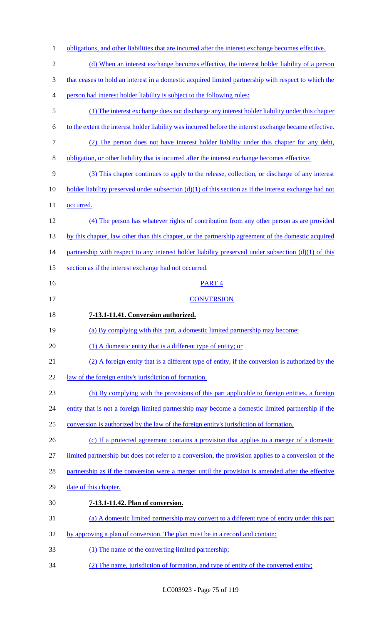| $\mathbf{1}$   | obligations, and other liabilities that are incurred after the interest exchange becomes effective.                        |
|----------------|----------------------------------------------------------------------------------------------------------------------------|
| $\mathbf{2}$   | (d) When an interest exchange becomes effective, the interest holder liability of a person                                 |
| $\mathfrak{Z}$ | that ceases to hold an interest in a domestic acquired limited partnership with respect to which the                       |
| $\overline{4}$ | person had interest holder liability is subject to the following rules:                                                    |
| $\mathfrak{S}$ | (1) The interest exchange does not discharge any interest holder liability under this chapter                              |
| 6              | to the extent the interest holder liability was incurred before the interest exchange became effective.                    |
| $\tau$         | (2) The person does not have interest holder liability under this chapter for any debt,                                    |
| 8              | obligation, or other liability that is incurred after the interest exchange becomes effective.                             |
| 9              | (3) This chapter continues to apply to the release, collection, or discharge of any interest                               |
| 10             | <u>holder liability preserved under subsection <math>(d)(1)</math> of this section as if the interest exchange had not</u> |
| 11             | occurred.                                                                                                                  |
| 12             | (4) The person has whatever rights of contribution from any other person as are provided                                   |
| 13             | by this chapter, law other than this chapter, or the partnership agreement of the domestic acquired                        |
| 14             | partnership with respect to any interest holder liability preserved under subsection $(d)(1)$ of this                      |
| 15             | section as if the interest exchange had not occurred.                                                                      |
| 16             | PART <sub>4</sub>                                                                                                          |
| 17             | <b>CONVERSION</b>                                                                                                          |
|                |                                                                                                                            |
| 18             | 7-13.1-11.41. Conversion authorized.                                                                                       |
| 19             | (a) By complying with this part, a domestic limited partnership may become:                                                |
| 20             | (1) A domestic entity that is a different type of entity; or                                                               |
| 21             | (2) A foreign entity that is a different type of entity, if the conversion is authorized by the                            |
| 22             | law of the foreign entity's jurisdiction of formation.                                                                     |
| 23             | (b) By complying with the provisions of this part applicable to foreign entities, a foreign                                |
| 24             | entity that is not a foreign limited partnership may become a domestic limited partnership if the                          |
| 25             | conversion is authorized by the law of the foreign entity's jurisdiction of formation.                                     |
| 26             | (c) If a protected agreement contains a provision that applies to a merger of a domestic                                   |
| 27             | limited partnership but does not refer to a conversion, the provision applies to a conversion of the                       |
| 28             | partnership as if the conversion were a merger until the provision is amended after the effective                          |
| 29             | date of this chapter.                                                                                                      |
| 30             | 7-13.1-11.42. Plan of conversion.                                                                                          |
| 31             | (a) A domestic limited partnership may convert to a different type of entity under this part                               |
| 32             | by approving a plan of conversion. The plan must be in a record and contain:                                               |
| 33             | (1) The name of the converting limited partnership:                                                                        |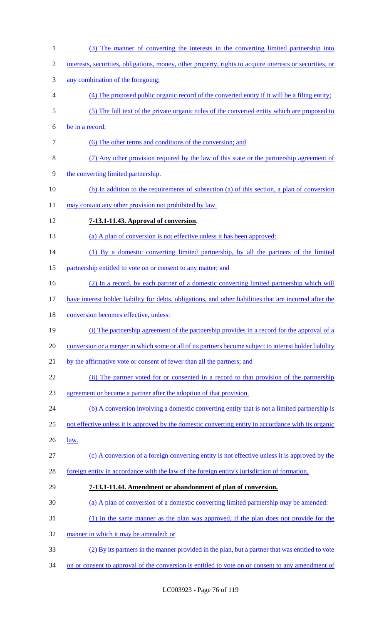(3) The manner of converting the interests in the converting limited partnership into 2 interests, securities, obligations, money, other property, rights to acquire interests or securities, or any combination of the foregoing; (4) The proposed public organic record of the converted entity if it will be a filing entity; (5) The full text of the private organic rules of the converted entity which are proposed to be in a record; (6) The other terms and conditions of the conversion; and (7) Any other provision required by the law of this state or the partnership agreement of the converting limited partnership. (b) In addition to the requirements of subsection (a) of this section, a plan of conversion 11 may contain any other provision not prohibited by law. **7-13.1-11.43. Approval of conversion**. 13 (a) A plan of conversion is not effective unless it has been approved: (1) By a domestic converting limited partnership, by all the partners of the limited 15 partnership entitled to vote on or consent to any matter; and (2) In a record, by each partner of a domestic converting limited partnership which will 17 have interest holder liability for debts, obligations, and other liabilities that are incurred after the 18 conversion becomes effective, unless: (i) The partnership agreement of the partnership provides in a record for the approval of a conversion or a merger in which some or all of its partners become subject to interest holder liability 21 by the affirmative vote or consent of fewer than all the partners; and 22 (ii) The partner voted for or consented in a record to that provision of the partnership agreement or became a partner after the adoption of that provision. 24 (b) A conversion involving a domestic converting entity that is not a limited partnership is not effective unless it is approved by the domestic converting entity in accordance with its organic 26 <u>law.</u> (c) A conversion of a foreign converting entity is not effective unless it is approved by the foreign entity in accordance with the law of the foreign entity's jurisdiction of formation. **7-13.1-11.44. Amendment or abandonment of plan of conversion.** (a) A plan of conversion of a domestic converting limited partnership may be amended: (1) In the same manner as the plan was approved, if the plan does not provide for the manner in which it may be amended; or (2) By its partners in the manner provided in the plan, but a partner that was entitled to vote 34 on or consent to approval of the conversion is entitled to vote on or consent to any amendment of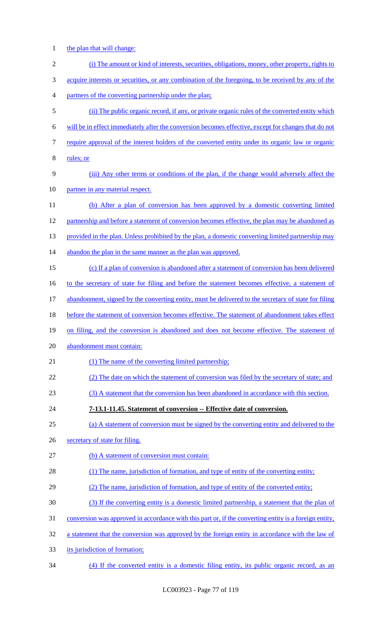1 the plan that will change:

| $\sqrt{2}$     | (i) The amount or kind of interests, securities, obligations, money, other property, rights to         |
|----------------|--------------------------------------------------------------------------------------------------------|
| 3              | acquire interests or securities, or any combination of the foregoing, to be received by any of the     |
| $\overline{4}$ | partners of the converting partnership under the plan;                                                 |
| 5              | (ii) The public organic record, if any, or private organic rules of the converted entity which         |
| 6              | will be in effect immediately after the conversion becomes effective, except for changes that do not   |
| $\tau$         | require approval of the interest holders of the converted entity under its organic law or organic      |
| 8              | rules; or                                                                                              |
| 9              | (iii) Any other terms or conditions of the plan, if the change would adversely affect the              |
| 10             | partner in any material respect.                                                                       |
| 11             | (b) After a plan of conversion has been approved by a domestic converting limited                      |
| 12             | partnership and before a statement of conversion becomes effective, the plan may be abandoned as       |
| 13             | provided in the plan. Unless prohibited by the plan, a domestic converting limited partnership may     |
| 14             | abandon the plan in the same manner as the plan was approved.                                          |
| 15             | (c) If a plan of conversion is abandoned after a statement of conversion has been delivered            |
| 16             | to the secretary of state for filing and before the statement becomes effective, a statement of        |
| 17             | abandonment, signed by the converting entity, must be delivered to the secretary of state for filing   |
| 18             | before the statement of conversion becomes effective. The statement of abandonment takes effect        |
| 19             | on filing, and the conversion is abandoned and does not become effective. The statement of             |
| 20             | abandonment must contain:                                                                              |
| 21             | (1) The name of the converting limited partnership;                                                    |
| 22             | (2) The date on which the statement of conversion was filed by the secretary of state; and             |
| 23             | (3) A statement that the conversion has been abandoned in accordance with this section.                |
| 24             | 7-13.1-11.45. Statement of conversion -- Effective date of conversion.                                 |
| 25             | (a) A statement of conversion must be signed by the converting entity and delivered to the             |
| 26             | secretary of state for filing.                                                                         |
| 27             | (b) A statement of conversion must contain:                                                            |
| 28             | (1) The name, jurisdiction of formation, and type of entity of the converting entity;                  |
| 29             | (2) The name, jurisdiction of formation, and type of entity of the converted entity;                   |
| 30             | (3) If the converting entity is a domestic limited partnership, a statement that the plan of           |
| 31             | conversion was approved in accordance with this part or, if the converting entity is a foreign entity, |
| 32             | a statement that the conversion was approved by the foreign entity in accordance with the law of       |
| 33             |                                                                                                        |
|                | its jurisdiction of formation;                                                                         |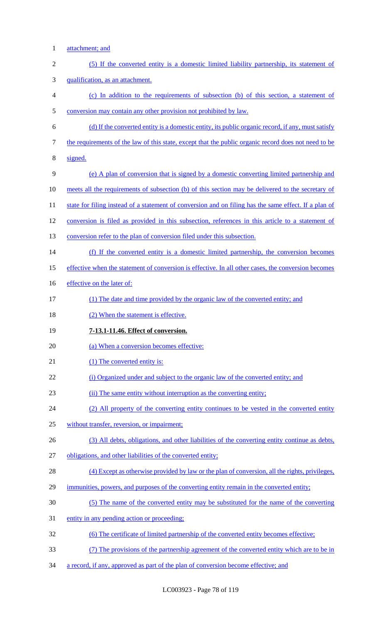1 attachment; and

|                | atuuviiliiviit, uliu                                                                                  |
|----------------|-------------------------------------------------------------------------------------------------------|
| $\overline{2}$ | (5) If the converted entity is a domestic limited liability partnership, its statement of             |
| 3              | qualification, as an attachment.                                                                      |
| $\overline{4}$ | (c) In addition to the requirements of subsection (b) of this section, a statement of                 |
| 5              | conversion may contain any other provision not prohibited by law.                                     |
| 6              | (d) If the converted entity is a domestic entity, its public organic record, if any, must satisfy     |
| 7              | the requirements of the law of this state, except that the public organic record does not need to be  |
| 8              | signed.                                                                                               |
| 9              | (e) A plan of conversion that is signed by a domestic converting limited partnership and              |
| 10             | meets all the requirements of subsection (b) of this section may be delivered to the secretary of     |
| 11             | state for filing instead of a statement of conversion and on filing has the same effect. If a plan of |
| 12             | conversion is filed as provided in this subsection, references in this article to a statement of      |
| 13             | conversion refer to the plan of conversion filed under this subsection.                               |
| 14             | (f) If the converted entity is a domestic limited partnership, the conversion becomes                 |
| 15             | effective when the statement of conversion is effective. In all other cases, the conversion becomes   |
| 16             | effective on the later of:                                                                            |
| 17             | (1) The date and time provided by the organic law of the converted entity; and                        |
| 18             | (2) When the statement is effective.                                                                  |
| 19             | 7-13.1-11.46. Effect of conversion.                                                                   |
| 20             | (a) When a conversion becomes effective:                                                              |
| 21             | (1) The converted entity is:                                                                          |
| 22             | (i) Organized under and subject to the organic law of the converted entity; and                       |
| 23             | (ii) The same entity without interruption as the converting entity;                                   |
| 24             | (2) All property of the converting entity continues to be vested in the converted entity              |
| 25             | without transfer, reversion, or impairment;                                                           |
| 26             | (3) All debts, obligations, and other liabilities of the converting entity continue as debts,         |
| 27             | obligations, and other liabilities of the converted entity;                                           |
| 28             | (4) Except as otherwise provided by law or the plan of conversion, all the rights, privileges,        |
| 29             | immunities, powers, and purposes of the converting entity remain in the converted entity;             |
| 30             | (5) The name of the converted entity may be substituted for the name of the converting                |
| 31             | entity in any pending action or proceeding;                                                           |
| 32             | (6) The certificate of limited partnership of the converted entity becomes effective;                 |
| 33             | (7) The provisions of the partnership agreement of the converted entity which are to be in            |

34 a record, if any, approved as part of the plan of conversion become effective; and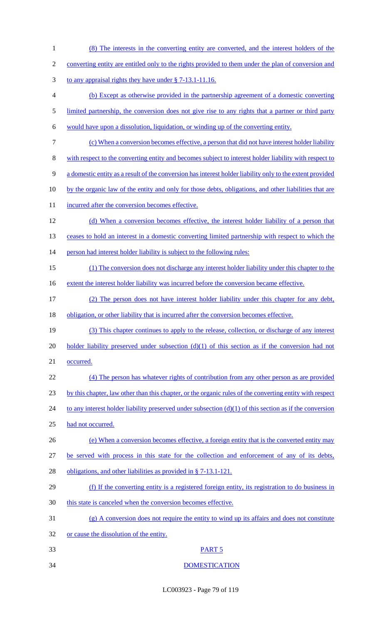| $\mathbf{1}$   | <u>(8) The interests in the converting entity are converted, and the interest holders of the</u>          |
|----------------|-----------------------------------------------------------------------------------------------------------|
| $\overline{c}$ | converting entity are entitled only to the rights provided to them under the plan of conversion and       |
| 3              | to any appraisal rights they have under $\S$ 7-13.1-11.16.                                                |
| $\overline{4}$ | (b) Except as otherwise provided in the partnership agreement of a domestic converting                    |
| 5              | limited partnership, the conversion does not give rise to any rights that a partner or third party        |
| 6              | would have upon a dissolution, liquidation, or winding up of the converting entity.                       |
| 7              | (c) When a conversion becomes effective, a person that did not have interest holder liability             |
| 8              | with respect to the converting entity and becomes subject to interest holder liability with respect to    |
| 9              | a domestic entity as a result of the conversion has interest holder liability only to the extent provided |
| 10             | by the organic law of the entity and only for those debts, obligations, and other liabilities that are    |
| 11             | incurred after the conversion becomes effective.                                                          |
| 12             | (d) When a conversion becomes effective, the interest holder liability of a person that                   |
| 13             | ceases to hold an interest in a domestic converting limited partnership with respect to which the         |
| 14             | person had interest holder liability is subject to the following rules:                                   |
| 15             | (1) The conversion does not discharge any interest holder liability under this chapter to the             |
| 16             | extent the interest holder liability was incurred before the conversion became effective.                 |
| 17             | (2) The person does not have interest holder liability under this chapter for any debt,                   |
| 18             | obligation, or other liability that is incurred after the conversion becomes effective.                   |
| 19             | (3) This chapter continues to apply to the release, collection, or discharge of any interest              |
| 20             | holder liability preserved under subsection $(d)(1)$ of this section as if the conversion had not         |
| 21             | occurred.                                                                                                 |
| 22             | (4) The person has whatever rights of contribution from any other person as are provided                  |
| 23             | by this chapter, law other than this chapter, or the organic rules of the converting entity with respect  |
| 24             | to any interest holder liability preserved under subsection $(d)(1)$ of this section as if the conversion |
| 25             | had not occurred.                                                                                         |
| 26             | (e) When a conversion becomes effective, a foreign entity that is the converted entity may                |
| 27             | be served with process in this state for the collection and enforcement of any of its debts,              |
| 28             | obligations, and other liabilities as provided in $\S$ 7-13.1-121.                                        |
| 29             | (f) If the converting entity is a registered foreign entity, its registration to do business in           |
| 30             | this state is canceled when the conversion becomes effective.                                             |
| 31             | $(g)$ A conversion does not require the entity to wind up its affairs and does not constitute             |
| 32             | or cause the dissolution of the entity.                                                                   |
| 33             | PART <sub>5</sub>                                                                                         |
| 34             | <b>DOMESTICATION</b>                                                                                      |

LC003923 - Page 79 of 119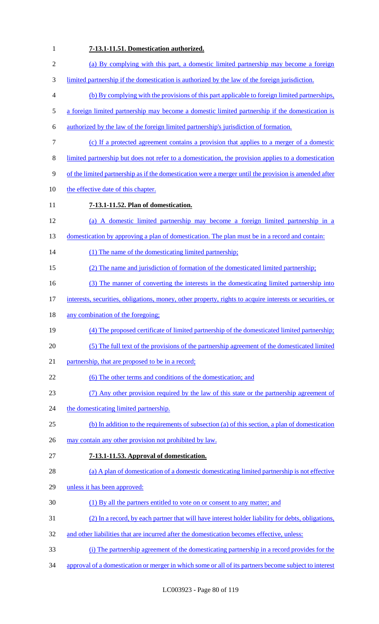| $\mathbf{1}$   | 7-13.1-11.51. Domestication authorized.                                                                  |
|----------------|----------------------------------------------------------------------------------------------------------|
| $\overline{2}$ | (a) By complying with this part, a domestic limited partnership may become a foreign                     |
| 3              | limited partnership if the domestication is authorized by the law of the foreign jurisdiction.           |
| 4              | (b) By complying with the provisions of this part applicable to foreign limited partnerships,            |
| 5              | a foreign limited partnership may become a domestic limited partnership if the domestication is          |
| 6              | authorized by the law of the foreign limited partnership's jurisdiction of formation.                    |
| 7              | (c) If a protected agreement contains a provision that applies to a merger of a domestic                 |
| 8              | limited partnership but does not refer to a domestication, the provision applies to a domestication      |
| 9              | of the limited partnership as if the domestication were a merger until the provision is amended after    |
| 10             | the effective date of this chapter.                                                                      |
| 11             | 7-13.1-11.52. Plan of domestication.                                                                     |
| 12             | (a) A domestic limited partnership may become a foreign limited partnership in a                         |
| 13             | domestication by approving a plan of domestication. The plan must be in a record and contain:            |
| 14             | (1) The name of the domesticating limited partnership;                                                   |
| 15             | (2) The name and jurisdiction of formation of the domesticated limited partnership;                      |
| 16             | (3) The manner of converting the interests in the domesticating limited partnership into                 |
| 17             | interests, securities, obligations, money, other property, rights to acquire interests or securities, or |
| 18             | any combination of the foregoing:                                                                        |
| 19             | (4) The proposed certificate of limited partnership of the domesticated limited partnership;             |
| 20             | (5) The full text of the provisions of the partnership agreement of the domesticated limited             |
| 21             | partnership, that are proposed to be in a record;                                                        |
| 22             | (6) The other terms and conditions of the domestication; and                                             |
| 23             | (7) Any other provision required by the law of this state or the partnership agreement of                |
| 24             | the domesticating limited partnership.                                                                   |
| 25             | (b) In addition to the requirements of subsection (a) of this section, a plan of domestication           |
| 26             | may contain any other provision not prohibited by law.                                                   |
| 27             | 7-13.1-11.53. Approval of domestication.                                                                 |
| 28             | (a) A plan of domestication of a domestic domesticating limited partnership is not effective             |
| 29             | unless it has been approved:                                                                             |
| 30             | (1) By all the partners entitled to vote on or consent to any matter; and                                |
| 31             | (2) In a record, by each partner that will have interest holder liability for debts, obligations,        |
| 32             | and other liabilities that are incurred after the domestication becomes effective, unless:               |
| 33             | (i) The partnership agreement of the domesticating partnership in a record provides for the              |
| 34             | approval of a domestication or merger in which some or all of its partners become subject to interest    |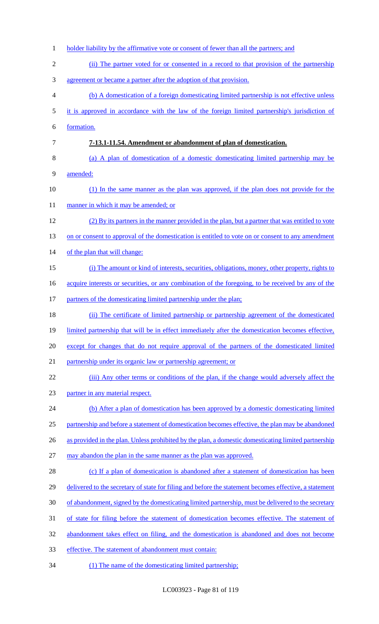1 holder liability by the affirmative vote or consent of fewer than all the partners; and 2 (ii) The partner voted for or consented in a record to that provision of the partnership 3 agreement or became a partner after the adoption of that provision. 4 (b) A domestication of a foreign domesticating limited partnership is not effective unless 5 it is approved in accordance with the law of the foreign limited partnership's jurisdiction of 6 formation. 7 **7-13.1-11.54. Amendment or abandonment of plan of domestication.** 8 (a) A plan of domestication of a domestic domesticating limited partnership may be 9 amended: 10 (1) In the same manner as the plan was approved, if the plan does not provide for the 11 manner in which it may be amended; or 12 (2) By its partners in the manner provided in the plan, but a partner that was entitled to vote 13 on or consent to approval of the domestication is entitled to vote on or consent to any amendment 14 of the plan that will change: 15 (i) The amount or kind of interests, securities, obligations, money, other property, rights to 16 acquire interests or securities, or any combination of the foregoing, to be received by any of the 17 partners of the domesticating limited partnership under the plan; 18 (ii) The certificate of limited partnership or partnership agreement of the domesticated 19 limited partnership that will be in effect immediately after the domestication becomes effective, 20 except for changes that do not require approval of the partners of the domesticated limited 21 partnership under its organic law or partnership agreement; or 22 (iii) Any other terms or conditions of the plan, if the change would adversely affect the 23 partner in any material respect. 24 (b) After a plan of domestication has been approved by a domestic domesticating limited 25 partnership and before a statement of domestication becomes effective, the plan may be abandoned 26 as provided in the plan. Unless prohibited by the plan, a domestic domesticating limited partnership 27 may abandon the plan in the same manner as the plan was approved. 28 (c) If a plan of domestication is abandoned after a statement of domestication has been 29 delivered to the secretary of state for filing and before the statement becomes effective, a statement 30 of abandonment, signed by the domesticating limited partnership, must be delivered to the secretary 31 of state for filing before the statement of domestication becomes effective. The statement of 32 abandonment takes effect on filing, and the domestication is abandoned and does not become 33 effective. The statement of abandonment must contain: 34 (1) The name of the domesticating limited partnership;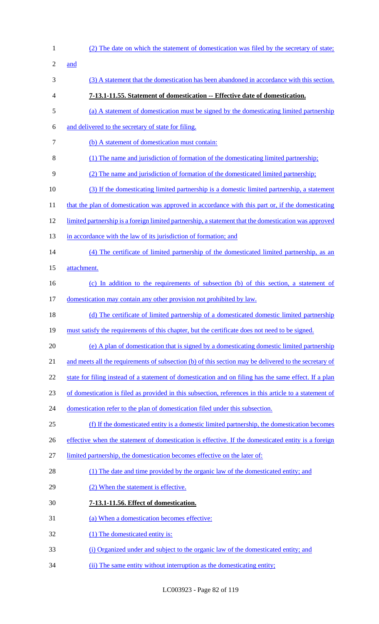| $\mathbf{1}$   | (2) The date on which the statement of domestication was filed by the secretary of state;              |
|----------------|--------------------------------------------------------------------------------------------------------|
| $\overline{2}$ | and                                                                                                    |
| 3              | (3) A statement that the domestication has been abandoned in accordance with this section.             |
| 4              | 7-13.1-11.55. Statement of domestication -- Effective date of domestication.                           |
| 5              | (a) A statement of domestication must be signed by the domesticating limited partnership               |
| 6              | and delivered to the secretary of state for filing.                                                    |
| $\tau$         | (b) A statement of domestication must contain:                                                         |
| 8              | (1) The name and jurisdiction of formation of the domesticating limited partnership;                   |
| 9              | (2) The name and jurisdiction of formation of the domesticated limited partnership;                    |
| 10             | (3) If the domesticating limited partnership is a domestic limited partnership, a statement            |
| 11             | that the plan of domestication was approved in accordance with this part or, if the domesticating      |
| 12             | limited partnership is a foreign limited partnership, a statement that the domestication was approved  |
| 13             | in accordance with the law of its jurisdiction of formation; and                                       |
| 14             | (4) The certificate of limited partnership of the domesticated limited partnership, as an              |
| 15             | attachment.                                                                                            |
| 16             | (c) In addition to the requirements of subsection (b) of this section, a statement of                  |
| 17             | domestication may contain any other provision not prohibited by law.                                   |
| 18             | (d) The certificate of limited partnership of a domesticated domestic limited partnership              |
| 19             | must satisfy the requirements of this chapter, but the certificate does not need to be signed.         |
| 20             | (e) A plan of domestication that is signed by a domesticating domestic limited partnership             |
| 21             | and meets all the requirements of subsection (b) of this section may be delivered to the secretary of  |
| 22             | state for filing instead of a statement of domestication and on filing has the same effect. If a plan  |
| 23             | of domestication is filed as provided in this subsection, references in this article to a statement of |
| 24             | domestication refer to the plan of domestication filed under this subsection.                          |
| 25             | (f) If the domesticated entity is a domestic limited partnership, the domestication becomes            |
| 26             | effective when the statement of domestication is effective. If the domesticated entity is a foreign    |
| 27             | limited partnership, the domestication becomes effective on the later of:                              |
| 28             | (1) The date and time provided by the organic law of the domesticated entity; and                      |
| 29             | (2) When the statement is effective.                                                                   |
| 30             | 7-13.1-11.56. Effect of domestication.                                                                 |
| 31             | (a) When a domestication becomes effective:                                                            |
| 32             | (1) The domesticated entity is:                                                                        |
| 33             | (i) Organized under and subject to the organic law of the domesticated entity; and                     |
| 34             | (ii) The same entity without interruption as the domesticating entity;                                 |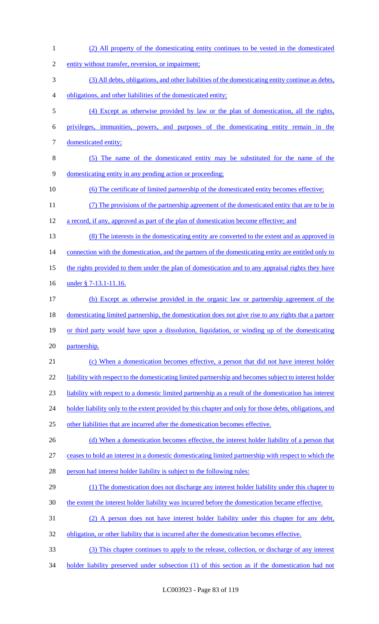(2) All property of the domesticating entity continues to be vested in the domesticated entity without transfer, reversion, or impairment; (3) All debts, obligations, and other liabilities of the domesticating entity continue as debts, obligations, and other liabilities of the domesticated entity; (4) Except as otherwise provided by law or the plan of domestication, all the rights, privileges, immunities, powers, and purposes of the domesticating entity remain in the domesticated entity; (5) The name of the domesticated entity may be substituted for the name of the domesticating entity in any pending action or proceeding; (6) The certificate of limited partnership of the domesticated entity becomes effective; (7) The provisions of the partnership agreement of the domesticated entity that are to be in a record, if any, approved as part of the plan of domestication become effective; and (8) The interests in the domesticating entity are converted to the extent and as approved in 14 connection with the domestication, and the partners of the domesticating entity are entitled only to 15 the rights provided to them under the plan of domestication and to any appraisal rights they have under § 7-13.1-11.16. (b) Except as otherwise provided in the organic law or partnership agreement of the domesticating limited partnership, the domestication does not give rise to any rights that a partner or third party would have upon a dissolution, liquidation, or winding up of the domesticating partnership. (c) When a domestication becomes effective, a person that did not have interest holder 22 liability with respect to the domesticating limited partnership and becomes subject to interest holder liability with respect to a domestic limited partnership as a result of the domestication has interest 24 holder liability only to the extent provided by this chapter and only for those debts, obligations, and other liabilities that are incurred after the domestication becomes effective. 26 (d) When a domestication becomes effective, the interest holder liability of a person that ceases to hold an interest in a domestic domesticating limited partnership with respect to which the 28 person had interest holder liability is subject to the following rules: (1) The domestication does not discharge any interest holder liability under this chapter to the extent the interest holder liability was incurred before the domestication became effective. (2) A person does not have interest holder liability under this chapter for any debt, 32 obligation, or other liability that is incurred after the domestication becomes effective. (3) This chapter continues to apply to the release, collection, or discharge of any interest holder liability preserved under subsection (1) of this section as if the domestication had not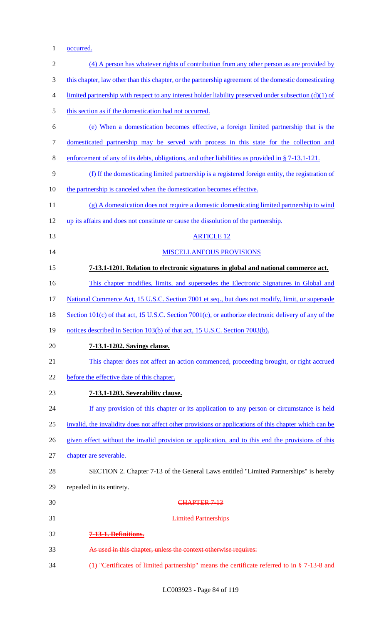1 occurred.

| $\mathbf{2}$     | (4) A person has whatever rights of contribution from any other person as are provided by                  |
|------------------|------------------------------------------------------------------------------------------------------------|
| 3                | this chapter, law other than this chapter, or the partnership agreement of the domestic domesticating      |
| $\overline{4}$   | limited partnership with respect to any interest holder liability preserved under subsection $(d)(1)$ of   |
| 5                | this section as if the domestication had not occurred.                                                     |
| 6                | (e) When a domestication becomes effective, a foreign limited partnership that is the                      |
| $\boldsymbol{7}$ | domesticated partnership may be served with process in this state for the collection and                   |
| $8\,$            | enforcement of any of its debts, obligations, and other liabilities as provided in $\S$ 7-13.1-121.        |
| 9                | (f) If the domesticating limited partnership is a registered foreign entity, the registration of           |
| 10               | the partnership is canceled when the domestication becomes effective.                                      |
| 11               | (g) A domestication does not require a domestic domesticating limited partnership to wind                  |
| 12               | up its affairs and does not constitute or cause the dissolution of the partnership.                        |
| 13               | <b>ARTICLE 12</b>                                                                                          |
| 14               | <b>MISCELLANEOUS PROVISIONS</b>                                                                            |
| 15               | 7-13.1-1201. Relation to electronic signatures in global and national commerce act.                        |
| 16               | This chapter modifies, limits, and supersedes the Electronic Signatures in Global and                      |
| 17               | National Commerce Act, 15 U.S.C. Section 7001 et seq., but does not modify, limit, or supersede            |
| 18               | Section $101(c)$ of that act, 15 U.S.C. Section $7001(c)$ , or authorize electronic delivery of any of the |
| 19               | notices described in Section 103(b) of that act, 15 U.S.C. Section 7003(b).                                |
| 20               | 7-13.1-1202. Savings clause.                                                                               |
| 21               | This chapter does not affect an action commenced, proceeding brought, or right accrued                     |
| 22               | before the effective date of this chapter.                                                                 |
| 23               | 7-13.1-1203. Severability clause.                                                                          |
| 24               | If any provision of this chapter or its application to any person or circumstance is held                  |
| 25               | invalid, the invalidity does not affect other provisions or applications of this chapter which can be      |
| 26               | given effect without the invalid provision or application, and to this end the provisions of this          |
| 27               | chapter are severable.                                                                                     |
| 28               | SECTION 2. Chapter 7-13 of the General Laws entitled "Limited Partnerships" is hereby                      |
| 29               | repealed in its entirety.                                                                                  |
| 30               | CHAPTER 7-13                                                                                               |
| 31               | <b>Limited Partnerships</b>                                                                                |
| 32               | 7-13-1. Definitions.                                                                                       |
| 33               | As used in this chapter, unless the context otherwise requires:                                            |
| 34               | (1) "Certificates of limited partnership" means the certificate referred to in § 7-13-8 and                |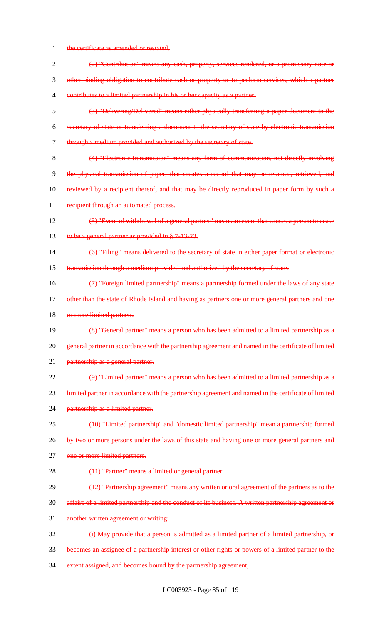the certificate as amended or restated.

| $\overline{2}$ | (2) "Contribution" means any cash, property, services rendered, or a promissory note or              |
|----------------|------------------------------------------------------------------------------------------------------|
| 3              | other binding obligation to contribute cash or property or to perform services, which a partner      |
| 4              | contributes to a limited partnership in his or her capacity as a partner.                            |
| 5              | (3) "Delivering/Delivered" means either physically transferring a paper document to the              |
| 6              | secretary of state or transferring a document to the secretary of state by electronic transmission   |
| $\tau$         | through a medium provided and authorized by the secretary of state.                                  |
| 8              | (4) "Electronic transmission" means any form of communication, not directly involving                |
| 9              | the physical transmission of paper, that creates a record that may be retained, retrieved, and       |
| 10             | reviewed by a recipient thereof, and that may be directly reproduced in paper form by such a         |
| 11             | recipient through an automated process.                                                              |
| 12             | (5) "Event of withdrawal of a general partner" means an event that causes a person to cease          |
| 13             | to be a general partner as provided in § 7-13-23.                                                    |
| 14             | (6) "Filing" means delivered to the secretary of state in either paper format or electronic          |
| 15             | transmission through a medium provided and authorized by the secretary of state.                     |
| 16             | (7) "Foreign limited partnership" means a partnership formed under the laws of any state             |
| 17             | other than the state of Rhode Island and having as partners one or more general partners and one     |
| 18             | or more limited partners.                                                                            |
| 19             | (8) "General partner" means a person who has been admitted to a limited partnership as a             |
| 20             | general partner in accordance with the partnership agreement and named in the certificate of limited |
| 21             | partnership as a general partner.                                                                    |
| 22             | (9) "Limited partner" means a person who has been admitted to a limited partnership as a             |
| 23             | limited partner in accordance with the partnership agreement and named in the certificate of limited |
| 24             | partnership as a limited partner.                                                                    |
| 25             | (10) "Limited partnership" and "domestic limited partnership" mean a partnership formed              |
| 26             | by two or more persons under the laws of this state and having one or more general partners and      |
| 27             | one or more limited partners.                                                                        |
| 28             | (11) "Partner" means a limited or general partner.                                                   |
| 29             | (12) "Partnership agreement" means any written or oral agreement of the partners as to the           |
| 30             | affairs of a limited partnership and the conduct of its business. A written partnership agreement or |
| 31             | another written agreement or writing:                                                                |
| 32             | (i) May provide that a person is admitted as a limited partner of a limited partnership, or          |
| 33             | becomes an assignee of a partnership interest or other rights or powers of a limited partner to the  |
| 34             | extent assigned, and becomes bound by the partnership agreement,                                     |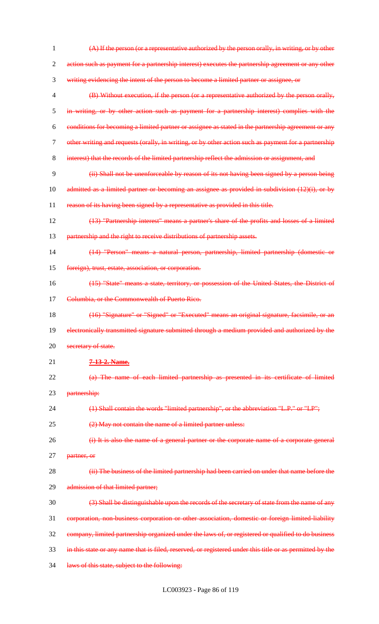| 1              | (A) If the person (or a representative authorized by the person orally, in writing, or by other          |
|----------------|----------------------------------------------------------------------------------------------------------|
| $\overline{2}$ | action such as payment for a partnership interest) executes the partnership agreement or any other       |
| 3              | writing evidencing the intent of the person to become a limited partner or assignee, or                  |
| 4              | (B) Without execution, if the person (or a representative authorized by the person orally,               |
| 5              | in writing, or by other action such as payment for a partnership interest) complies with the             |
| 6              | conditions for becoming a limited partner or assignee as stated in the partnership agreement or any      |
| 7              | other writing and requests (orally, in writing, or by other action such as payment for a partnership     |
| 8              | interest) that the records of the limited partnership reflect the admission or assignment, and           |
| 9              | (ii) Shall not be unenforceable by reason of its not having been signed by a person being                |
| 10             | admitted as a limited partner or becoming an assignee as provided in subdivision (12)(i), or by          |
| 11             | reason of its having been signed by a representative as provided in this title.                          |
| 12             | (13) "Partnership interest" means a partner's share of the profits and losses of a limited               |
| 13             | partnership and the right to receive distributions of partnership assets.                                |
| 14             | (14) "Person" means a natural person, partnership, limited partnership (domestic or                      |
| 15             | foreign), trust, estate, association, or corporation.                                                    |
| 16             | (15) "State" means a state, territory, or possession of the United States, the District of               |
| 17             | Columbia, or the Commonwealth of Puerto Rico.                                                            |
| 18             | (16) "Signature" or "Signed" or "Executed" means an original signature, facsimile, or an                 |
| 19             | electronically transmitted signature submitted through a medium provided and authorized by the           |
| 20             | secretary of state.                                                                                      |
| 21             | 7-13-2. Name.                                                                                            |
| 22             | (a) The name of each limited partnership as presented in its certificate of limited                      |
| 23             | partnership:                                                                                             |
| 24             | (1) Shall contain the words "limited partnership", or the abbreviation "L.P." or "LP";                   |
| 25             | (2) May not contain the name of a limited partner unless:                                                |
| 26             | (i) It is also the name of a general partner or the corporate name of a corporate general                |
| 27             | partner, or                                                                                              |
| 28             | (ii) The business of the limited partnership had been carried on under that name before the              |
| 29             | admission of that limited partner;                                                                       |
| 30             | (3) Shall be distinguishable upon the records of the secretary of state from the name of any             |
| 31             | corporation, non-business corporation or other association, domestic or foreign limited-liability        |
| 32             | company, limited partnership organized under the laws of, or registered or qualified to do business      |
| 33             | in this state or any name that is filed, reserved, or registered under this title or as permitted by the |
| 34             | laws of this state, subject to the following:                                                            |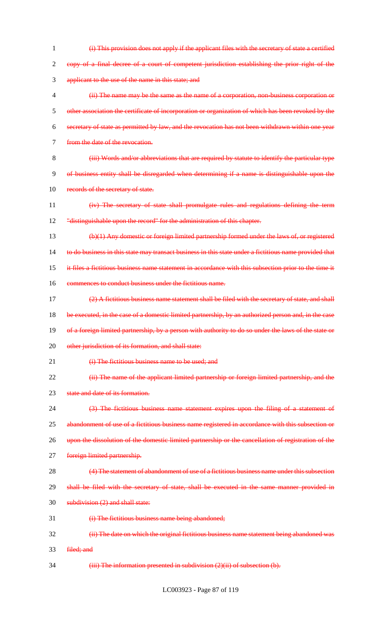(i) This provision does not apply if the applicant files with the secretary of state a certified copy of a final decree of a court of competent jurisdiction establishing the prior right of the applicant to the use of the name in this state; and (ii) The name may be the same as the name of a corporation, non-business corporation or other association the certificate of incorporation or organization of which has been revoked by the secretary of state as permitted by law, and the revocation has not been withdrawn within one year 7 from the date of the revocation. (iii) Words and/or abbreviations that are required by statute to identify the particular type of business entity shall be disregarded when determining if a name is distinguishable upon the 10 records of the secretary of state. (iv) The secretary of state shall promulgate rules and regulations defining the term 12 "distinguishable upon the record" for the administration of this chapter. (b)(1) Any domestic or foreign limited partnership formed under the laws of, or registered to do business in this state may transact business in this state under a fictitious name provided that it files a fictitious business name statement in accordance with this subsection prior to the time it 16 commences to conduct business under the fictitious name. (2) A fictitious business name statement shall be filed with the secretary of state, and shall 18 be executed, in the case of a domestic limited partnership, by an authorized person and, in the case 19 of a foreign limited partnership, by a person with authority to do so under the laws of the state or 20 other jurisdiction of its formation, and shall state: (i) The fictitious business name to be used; and 22 (ii) The name of the applicant limited partnership or foreign limited partnership, and the 23 state and date of its formation. (3) The fictitious business name statement expires upon the filing of a statement of 25 abandonment of use of a fictitious business name registered in accordance with this subsection or 26 upon the dissolution of the domestic limited partnership or the cancellation of registration of the 27 foreign limited partnership. (4) The statement of abandonment of use of a fictitious business name under this subsection shall be filed with the secretary of state, shall be executed in the same manner provided in subdivision (2) and shall state: (i) The fictitious business name being abandoned; (ii) The date on which the original fictitious business name statement being abandoned was filed; and 34 (iii) The information presented in subdivision (2)(ii) of subsection (b).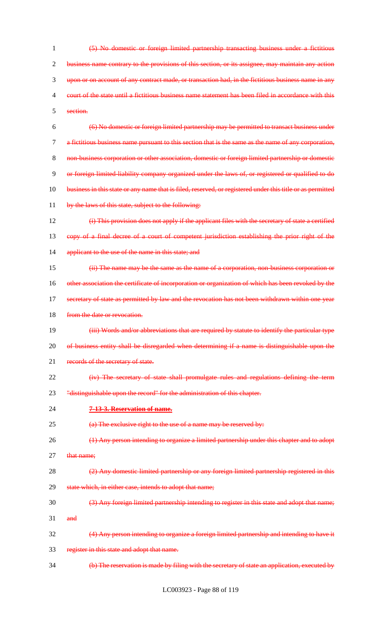| 1              | (5) No domestic or foreign limited partnership transacting business under a fictitious                     |
|----------------|------------------------------------------------------------------------------------------------------------|
| $\overline{2}$ | business name contrary to the provisions of this section, or its assignee, may maintain any action         |
| 3              | upon or on account of any contract made, or transaction had, in the fictitious business name in any        |
| 4              | court of the state until a fictitious business name statement has been filed in accordance with this       |
| 5              | section.                                                                                                   |
| 6              | (6) No domestic or foreign limited partnership may be permitted to transact business under                 |
| 7              | a fictitious business name pursuant to this section that is the same as the name of any corporation,       |
| 8              | non-business corporation or other association, domestic or foreign limited partnership or domestic         |
| 9              | or foreign limited-liability company organized under the laws of, or registered or qualified to do         |
| 10             | business in this state or any name that is filed, reserved, or registered under this title or as permitted |
| 11             | by the laws of this state, subject to the following:                                                       |
| 12             | (i) This provision does not apply if the applicant files with the secretary of state a certified           |
| 13             | copy of a final decree of a court of competent jurisdiction establishing the prior right of the            |
| 14             | applicant to the use of the name in this state; and                                                        |
| 15             | (ii) The name may be the same as the name of a corporation, non-business corporation or                    |
| 16             | other association the certificate of incorporation or organization of which has been revoked by the        |
| 17             | secretary of state as permitted by law and the revocation has not been withdrawn within one year           |
| 18             | from the date or revocation.                                                                               |
| 19             | (iii) Words and/or abbreviations that are required by statute to identify the particular type              |
| 20             | of business entity shall be disregarded when determining if a name is distinguishable upon the             |
| 21             | records of the secretary of state.                                                                         |
| 22             | (iv) The secretary of state shall promulgate rules and regulations defining the term                       |
| 23             | "distinguishable upon the record" for the administration of this chapter.                                  |
| 24             | 7-13-3. Reservation of name.                                                                               |
| 25             | (a) The exclusive right to the use of a name may be reserved by:                                           |
| 26             | (1) Any person intending to organize a limited partnership under this chapter and to adopt                 |
| 27             | that name;                                                                                                 |
| 28             | (2) Any domestic limited partnership or any foreign limited partnership registered in this                 |
| 29             | state which, in either case, intends to adopt that name;                                                   |
| 30             | (3) Any foreign limited partnership intending to register in this state and adopt that name;               |
| 31             | and                                                                                                        |
| 32             | (4) Any person intending to organize a foreign limited partnership and intending to have it                |
| 33             | register in this state and adopt that name.                                                                |
| 34             | (b) The reservation is made by filing with the secretary of state an application, executed by              |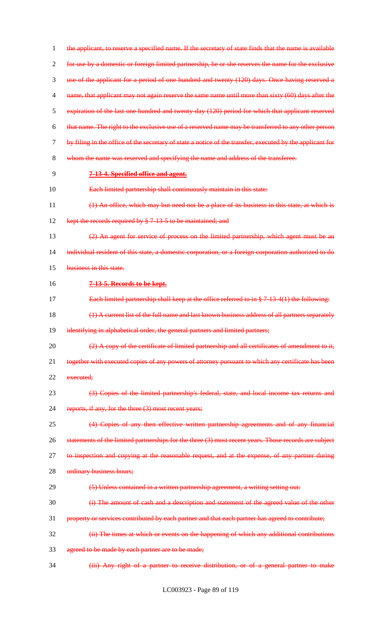1 the applicant, to reserve a specified name. If the secretary of state finds that the name is available 2 for use by a domestic or foreign limited partnership, he or she reserves the name for the exclusive 3 use of the applicant for a period of one hundred and twenty (120) days. Once having reserved a 4 name, that applicant may not again reserve the same name until more than sixty (60) days after the 5 expiration of the last one hundred and twenty-day (120) period for which that applicant reserved 6 that name. The right to the exclusive use of a reserved name may be transferred to any other person 7 by filing in the office of the secretary of state a notice of the transfer, executed by the applicant for 8 whom the name was reserved and specifying the name and address of the transferee. 9 **7-13-4. Specified office and agent.** 10 Each limited partnership shall continuously maintain in this state: 11 (1) An office, which may but need not be a place of its business in this state, at which is 12 kept the records required by § 7-13-5 to be maintained; and 13 (2) An agent for service of process on the limited partnership, which agent must be an 14 individual resident of this state, a domestic corporation, or a foreign corporation authorized to do 15 business in this state. 16 **7-13-5. Records to be kept.** 17 Each limited partnership shall keep at the office referred to in § 7-13-4(1) the following: 18 (1) A current list of the full name and last known business address of all partners separately 19 identifying in alphabetical order, the general partners and limited partners; 20 (2) A copy of the certificate of limited partnership and all certificates of amendment to it, 21 together with executed copies of any powers of attorney pursuant to which any certificate has been 22 executed; 23 (3) Copies of the limited partnership's federal, state, and local income tax returns and 24 reports, if any, for the three (3) most recent years; 25 (4) Copies of any then effective written partnership agreements and of any financial 26 statements of the limited partnerships for the three (3) most recent years. Those records are subject 27 to inspection and copying at the reasonable request, and at the expense, of any partner during 28 ordinary business hours; 29 (5) Unless contained in a written partnership agreement, a writing setting out: 30 (i) The amount of cash and a description and statement of the agreed value of the other 31 property or services contributed by each partner and that each partner has agreed to contribute; 32 (ii) The times at which or events on the happening of which any additional contributions 33 agreed to be made by each partner are to be made; 34 (iii) Any right of a partner to receive distribution, or of a general partner to make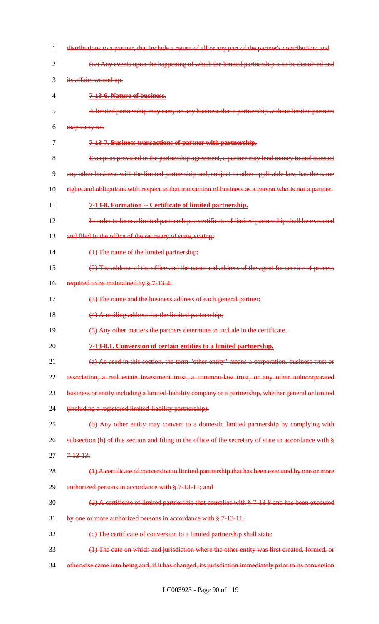| 1              | distributions to a partner, that include a return of all or any part of the partner's contribution; and |
|----------------|---------------------------------------------------------------------------------------------------------|
| $\overline{2}$ | (iv) Any events upon the happening of which the limited partnership is to be dissolved and              |
| 3              | its affairs wound up.                                                                                   |
| 4              | 7-13-6. Nature of business.                                                                             |
| 5              | A limited partnership may carry on any business that a partnership without limited partners             |
| 6              | may carry on.                                                                                           |
| 7              | 7-13-7. Business transactions of partner with partnership.                                              |
| 8              | Except as provided in the partnership agreement, a partner may lend money to and transact               |
| 9              | any other business with the limited partnership and, subject to other applicable law, has the same      |
| 10             | rights and obligations with respect to that transaction of business as a person who is not a partner.   |
| 11             | 7-13-8. Formation -- Certificate of limited partnership.                                                |
| 12             | In order to form a limited partnership, a certificate of limited partnership shall be executed          |
| 13             | and filed in the office of the secretary of state, stating:                                             |
| 14             | (1) The name of the limited partnership;                                                                |
| 15             | (2) The address of the office and the name and address of the agent for service of process              |
| 16             | required to be maintained by $§$ 7-13-4;                                                                |
| 17             | (3) The name and the business address of each general partner;                                          |
| 18             | (4) A mailing address for the limited partnership;                                                      |
| 19             | (5) Any other matters the partners determine to include in the certificate.                             |
| 20             | 7-13-8.1. Conversion of certain entities to a limited partnership.                                      |
| 21             | (a) As used in this section, the term "other entity" means a corporation, business trust or             |
| 22             | association, a real estate investment trust, a common-law trust, or any other unincorporated            |
| 23             | business or entity including a limited-liability company or a partnership, whether general or limited   |
| 24             | (including a registered limited-liability partnership).                                                 |
| 25             | (b) Any other entity may convert to a domestic limited partnership by complying with                    |
| 26             | subsection (h) of this section and filing in the office of the secretary of state in accordance with §  |
| 27             | $7 - 13 - 13$                                                                                           |
| 28             | (1) A certificate of conversion to limited partnership that has been executed by one or more            |
| 29             | authorized persons in accordance with § 7-13-11; and                                                    |
| 30             | (2) A certificate of limited partnership that complies with § 7-13-8 and has been executed              |
| 31             | by one or more authorized persons in accordance with § 7-13-11.                                         |
| 32             | (e) The certificate of conversion to a limited partnership shall state:                                 |
| 33             | (1) The date on which and jurisdiction where the other entity was first created, formed, or             |
| 34             | otherwise came into being and, if it has changed, its jurisdiction immediately prior to its conversion  |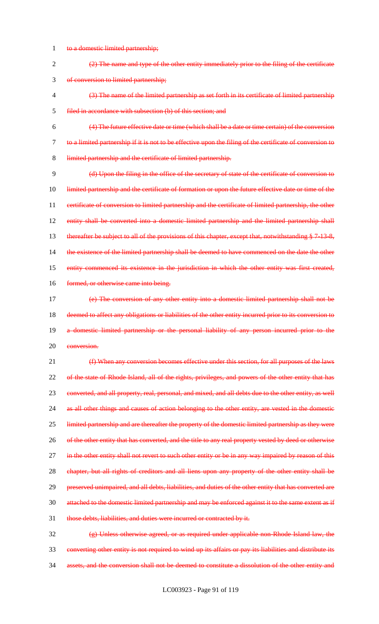1 to a domestic limited partnership;

| $\overline{2}$ | (2) The name and type of the other entity immediately prior to the filing of the certificate              |
|----------------|-----------------------------------------------------------------------------------------------------------|
| 3              | of conversion to limited partnership;                                                                     |
| 4              | (3) The name of the limited partnership as set forth in its certificate of limited partnership            |
| 5              | filed in accordance with subsection (b) of this section; and                                              |
| 6              | (4) The future effective date or time (which shall be a date or time certain) of the conversion           |
| 7              | to a limited partnership if it is not to be effective upon the filing of the certificate of conversion to |
| 8              | limited partnership and the certificate of limited partnership.                                           |
| 9              | (d) Upon the filing in the office of the secretary of state of the certificate of conversion to           |
| 10             | limited partnership and the certificate of formation or upon the future effective date or time of the     |
| 11             | certificate of conversion to limited partnership and the certificate of limited partnership, the other    |
| 12             | entity shall be converted into a domestic limited partnership and the limited partnership shall           |
| 13             | thereafter be subject to all of the provisions of this chapter, except that, notwithstanding $\S$ 7-13-8, |
| 14             | the existence of the limited partnership shall be deemed to have commenced on the date the other          |
| 15             | entity commenced its existence in the jurisdiction in which the other entity was first created,           |
| 16             | formed, or otherwise came into being.                                                                     |
| 17             | (e) The conversion of any other entity into a domestic limited partnership shall not be                   |
| 18             | deemed to affect any obligations or liabilities of the other entity incurred prior to its conversion to   |
| 19             | a domestic limited partnership or the personal liability of any person incurred prior to the              |
| 20             | conversion.                                                                                               |
| 21             | (f) When any conversion becomes effective under this section, for all purposes of the laws                |
| 22             | of the state of Rhode Island, all of the rights, privileges, and powers of the other entity that has      |
| 23             | converted, and all property, real, personal, and mixed, and all debts due to the other entity, as well    |
| 24             | as all other things and causes of action belonging to the other entity, are vested in the domestic        |
| 25             | limited partnership and are thereafter the property of the domestic limited partnership as they were      |
| 26             | of the other entity that has converted, and the title to any real property vested by deed or otherwise    |
| 27             | in the other entity shall not revert to such other entity or be in any way impaired by reason of this     |
| 28             | chapter, but all rights of creditors and all liens upon any property of the other entity shall be         |
| 29             | preserved unimpaired, and all debts, liabilities, and duties of the other entity that has converted are   |
| 30             | attached to the domestic limited partnership and may be enforced against it to the same extent as if      |
| 31             | those debts, liabilities, and duties were incurred or contracted by it.                                   |
| 32             | (g) Unless otherwise agreed, or as required under applicable non-Rhode Island law, the                    |
| 33             | converting other entity is not required to wind up its affairs or pay its liabilities and distribute its  |

34 assets, and the conversion shall not be deemed to constitute a dissolution of the other entity and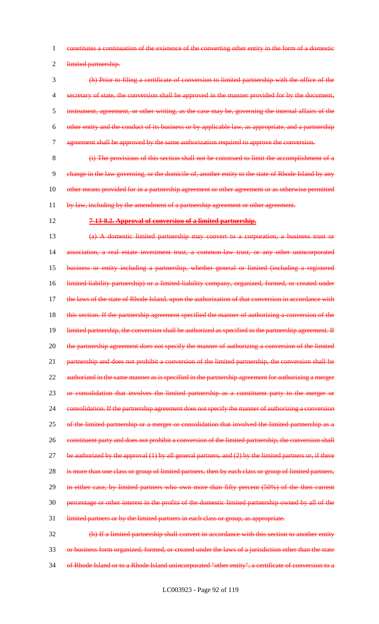1 constitutes a continuation of the existence of the converting other entity in the form of a domestic

2 limited partnership.

 (h) Prior to filing a certificate of conversion to limited partnership with the office of the secretary of state, the conversion shall be approved in the manner provided for by the document, instrument, agreement, or other writing, as the case may be, governing the internal affairs of the other entity and the conduct of its business or by applicable law, as appropriate, and a partnership agreement shall be approved by the same authorization required to approve the conversion.

8 (i) The provisions of this section shall not be construed to limit the accomplishment of a 9 change in the law governing, or the domicile of, another entity to the state of Rhode Island by any 10 other means provided for in a partnership agreement or other agreement or as otherwise permitted 11 by law, including by the amendment of a partnership agreement or other agreement.

# 12 **7-13-8.2. Approval of conversion of a limited partnership.**

13 (a) A domestic limited partnership may convert to a corporation, a business trust or 14 association, a real estate investment trust, a common-law trust, or any other unincorporated 15 business or entity including a partnership, whether general or limited (including a registered 16 limited-liability partnership) or a limited-liability company, organized, formed, or created under 17 the laws of the state of Rhode Island, upon the authorization of that conversion in accordance with 18 this section. If the partnership agreement specified the manner of authorizing a conversion of the 19 limited partnership, the conversion shall be authorized as specified in the partnership agreement. If 20 the partnership agreement does not specify the manner of authorizing a conversion of the limited 21 partnership and does not prohibit a conversion of the limited partnership, the conversion shall be 22 authorized in the same manner as is specified in the partnership agreement for authorizing a merger 23 or consolidation that involves the limited partnership as a constituent party to the merger or 24 consolidation. If the partnership agreement does not specify the manner of authorizing a conversion 25 of the limited partnership or a merger or consolidation that involved the limited partnership as a 26 constituent party and does not prohibit a conversion of the limited partnership, the conversion shall 27 be authorized by the approval  $(1)$  by all general partners, and  $(2)$  by the limited partners or, if there 28 is more than one class or group of limited partners, then by each class or group of limited partners, 29 in either case, by limited partners who own more than fifty percent (50%) of the then current 30 percentage or other interest in the profits of the domestic limited partnership owned by all of the 31 limited partners or by the limited partners in each class or group, as appropriate. 32 (b) If a limited partnership shall convert in accordance with this section to another entity

33 or business form organized, formed, or created under the laws of a jurisdiction other than the state 34 of Rhode Island or to a Rhode Island unincorporated "other entity", a certificate of conversion to a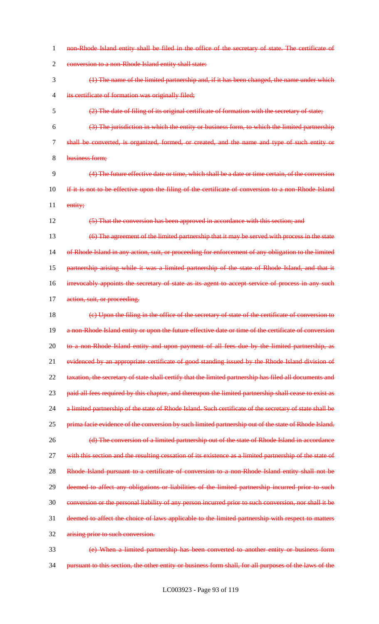1 non-Rhode Island entity shall be filed in the office of the secretary of state. The certificate of 2 conversion to a non-Rhode Island entity shall state: 3 (1) The name of the limited partnership and, if it has been changed, the name under which 4 its certificate of formation was originally filed; 5 (2) The date of filing of its original certificate of formation with the secretary of state; 6 (3) The jurisdiction in which the entity or business form, to which the limited partnership 7 shall be converted, is organized, formed, or created, and the name and type of such entity or 8 business form; 9 (4) The future effective date or time, which shall be a date or time certain, of the conversion 10 if it is not to be effective upon the filing of the certificate of conversion to a non-Rhode Island 11 entity; 12 (5) That the conversion has been approved in accordance with this section; and 13 (6) The agreement of the limited partnership that it may be served with process in the state 14 of Rhode Island in any action, suit, or proceeding for enforcement of any obligation to the limited 15 partnership arising while it was a limited partnership of the state of Rhode Island, and that it 16 irrevocably appoints the secretary of state as its agent to accept service of process in any such 17 action, suit, or proceeding. 18 (c) Upon the filing in the office of the secretary of state of the certificate of conversion to 19 a non-Rhode Island entity or upon the future effective date or time of the certificate of conversion 20 to a non-Rhode Island entity and upon payment of all fees due by the limited partnership, as 21 evidenced by an appropriate certificate of good standing issued by the Rhode Island division of 22 taxation, the secretary of state shall certify that the limited partnership has filed all documents and 23 paid all fees required by this chapter, and thereupon the limited partnership shall cease to exist as 24 a limited partnership of the state of Rhode Island. Such certificate of the secretary of state shall be 25 prima facie evidence of the conversion by such limited partnership out of the state of Rhode Island. 26 (d) The conversion of a limited partnership out of the state of Rhode Island in accordance 27 with this section and the resulting cessation of its existence as a limited partnership of the state of 28 Rhode Island pursuant to a certificate of conversion to a non-Rhode Island entity shall not be 29 deemed to affect any obligations or liabilities of the limited partnership incurred prior to such 30 conversion or the personal liability of any person incurred prior to such conversion, nor shall it be 31 deemed to affect the choice of laws applicable to the limited partnership with respect to matters 32 arising prior to such conversion. 33 (e) When a limited partnership has been converted to another entity or business form

34 pursuant to this section, the other entity or business form shall, for all purposes of the laws of the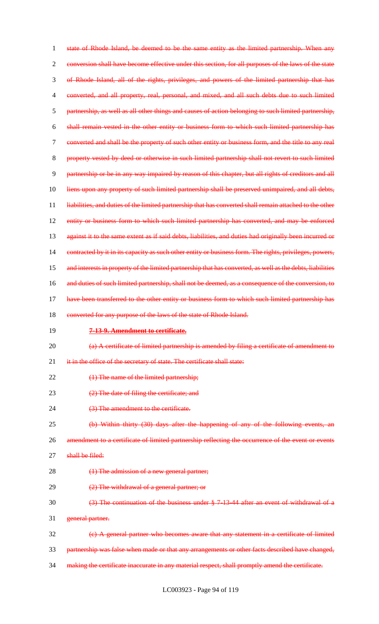1 state of Rhode Island, be deemed to be the same entity as the limited partnership. When any 2 conversion shall have become effective under this section, for all purposes of the laws of the state 3 of Rhode Island, all of the rights, privileges, and powers of the limited partnership that has 4 converted, and all property, real, personal, and mixed, and all such debts due to such limited 5 partnership, as well as all other things and causes of action belonging to such limited partnership, 6 shall remain vested in the other entity or business form to which such limited partnership has 7 converted and shall be the property of such other entity or business form, and the title to any real 8 property vested by deed or otherwise in such limited partnership shall not revert to such limited 9 partnership or be in any way impaired by reason of this chapter, but all rights of creditors and all 10 liens upon any property of such limited partnership shall be preserved unimpaired, and all debts, 11 liabilities, and duties of the limited partnership that has converted shall remain attached to the other 12 entity or business form to which such limited partnership has converted, and may be enforced 13 against it to the same extent as if said debts, liabilities, and duties had originally been incurred or 14 contracted by it in its capacity as such other entity or business form. The rights, privileges, powers, 15 and interests in property of the limited partnership that has converted, as well as the debts, liabilities 16 and duties of such limited partnership, shall not be deemed, as a consequence of the conversion, to 17 have been transferred to the other entity or business form to which such limited partnership has 18 converted for any purpose of the laws of the state of Rhode Island. 19 **7-13-9. Amendment to certificate.** 20 (a) A certificate of limited partnership is amended by filing a certificate of amendment to 21 it in the office of the secretary of state. The certificate shall state: 22 (1) The name of the limited partnership; 23  $(2)$  The date of filing the certificate; and 24 (3) The amendment to the certificate. 25 (b) Within thirty (30) days after the happening of any of the following events, an 26 amendment to a certificate of limited partnership reflecting the occurrence of the event or events 27 shall be filed: 28 (1) The admission of a new general partner; 29 (2) The withdrawal of a general partner; or 30  $(3)$  The continuation of the business under  $\S 7-13-44$  after an event of withdrawal of a 31 general partner. 32 (c) A general partner who becomes aware that any statement in a certificate of limited 33 partnership was false when made or that any arrangements or other facts described have changed, 34 making the certificate inaccurate in any material respect, shall promptly amend the certificate.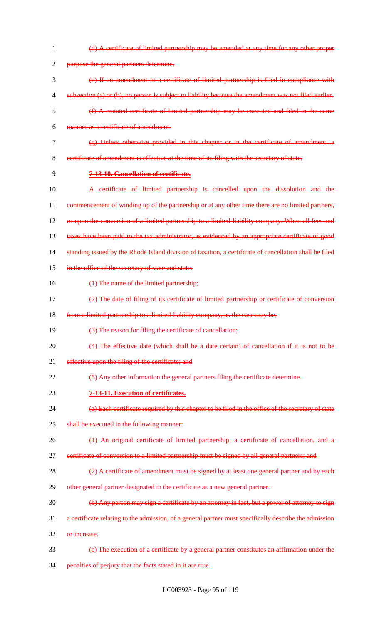| 1              | (d) A certificate of limited partnership may be amended at any time for any other proper                   |
|----------------|------------------------------------------------------------------------------------------------------------|
| $\overline{2}$ | purpose the general partners determine.                                                                    |
| 3              | (e) If an amendment to a certificate of limited partnership is filed in compliance with                    |
| 4              | $subsection (a)$ or $(b)$ , no person is subject to liability because the amendment was not filed earlier. |
| 5              | (f) A restated certificate of limited partnership may be executed and filed in the same                    |
| 6              | manner as a certificate of amendment.                                                                      |
| 7              | $(g)$ Unless otherwise provided in this chapter or in the certificate of amendment, a                      |
| 8              | certificate of amendment is effective at the time of its filing with the secretary of state.               |
| 9              | 7-13-10. Cancellation of certificate.                                                                      |
| 10             | A certificate of limited partnership is cancelled upon the dissolution and the                             |
| 11             | commencement of winding up of the partnership or at any other time there are no limited partners,          |
| 12             | or upon the conversion of a limited partnership to a limited liability company. When all fees and          |
| 13             | taxes have been paid to the tax administrator, as evidenced by an appropriate certificate of good          |
| 14             | standing issued by the Rhode Island division of taxation, a certificate of cancellation shall be filed     |
| 15             | in the office of the secretary of state and state:                                                         |
| 16             | (1) The name of the limited partnership;                                                                   |
| 17             | (2) The date of filing of its certificate of limited partnership or certificate of conversion              |
| 18             | from a limited partnership to a limited-liability company, as the case may be;                             |
| 19             | (3) The reason for filing the certificate of cancellation;                                                 |
| 20             | (4) The effective date (which shall be a date certain) of cancellation if it is not to be                  |
| 21             | effective upon the filing of the certificate; and                                                          |
| 22             | (5) Any other information the general partners filing the certificate determine.                           |
| 23             | 7-13-11. Execution of certificates.                                                                        |
| 24             | (a) Each certificate required by this chapter to be filed in the office of the secretary of state          |
| 25             | shall be executed in the following manner:                                                                 |
| 26             | (1) An original certificate of limited partnership, a certificate of cancellation, and a                   |
| 27             | certificate of conversion to a limited partnership must be signed by all general partners; and             |
| 28             | (2) A certificate of amendment must be signed by at least one general partner and by each                  |
| 29             | other general partner designated in the certificate as a new general partner.                              |
| 30             | (b) Any person may sign a certificate by an attorney in fact, but a power of attorney to sign              |
| 31             | a certificate relating to the admission, of a general partner must specifically describe the admission     |
| 32             | or increase.                                                                                               |
| 33             | (e) The execution of a certificate by a general partner constitutes an affirmation under the               |
| 34             | penalties of perjury that the facts stated in it are true.                                                 |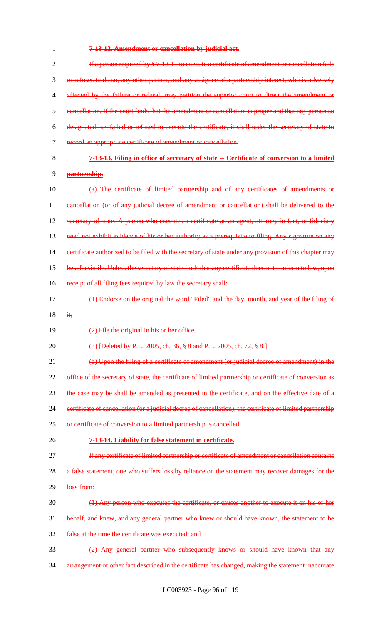**7-13-12. Amendment or cancellation by judicial act. If a person required by § 7-13-11 to execute a certificate of amendment or cancellation fails**  or refuses to do so, any other partner, and any assignee of a partnership interest, who is adversely affected by the failure or refusal, may petition the superior court to direct the amendment or cancellation. If the court finds that the amendment or cancellation is proper and that any person so designated has failed or refused to execute the certificate, it shall order the secretary of state to record an appropriate certificate of amendment or cancellation. **7-13-13. Filing in office of secretary of state -- Certificate of conversion to a limited partnership.** (a) The certificate of limited partnership and of any certificates of amendments or cancellation (or of any judicial decree of amendment or cancellation) shall be delivered to the secretary of state. A person who executes a certificate as an agent, attorney in fact, or fiduciary 13 need not exhibit evidence of his or her authority as a prerequisite to filing. Any signature on any 14 eertificate authorized to be filed with the secretary of state under any provision of this chapter may 15 be a facsimile. Unless the secretary of state finds that any certificate does not conform to law, upon receipt of all filing fees required by law the secretary shall: (1) Endorse on the original the word "Filed" and the day, month, and year of the filing of  $18 \frac{1}{ }$  (2) File the original in his or her office. (3) [Deleted by P.L. 2005, ch. 36, § 8 and P.L. 2005, ch. 72, § 8.] (b) Upon the filing of a certificate of amendment (or judicial decree of amendment) in the 22 office of the secretary of state, the certificate of limited partnership or certificate of conversion as 23 the case may be shall be amended as presented in the certificate, and on the effective date of a 24 certificate of cancellation (or a judicial decree of cancellation), the certificate of limited partnership or certificate of conversion to a limited partnership is cancelled. **7-13-14. Liability for false statement in certificate. If any certificate of limited partnership or certificate of amendment or cancellation contains** 28 a false statement, one who suffers loss by reliance on the statement may recover damages for the 29 loss from: (1) Any person who executes the certificate, or causes another to execute it on his or her behalf, and knew, and any general partner who knew or should have known, the statement to be false at the time the certificate was executed; and (2) Any general partner who subsequently knows or should have known that any arrangement or other fact described in the certificate has changed, making the statement inaccurate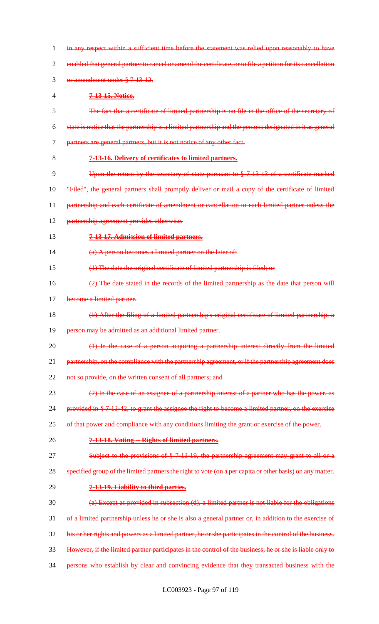| 1  | in any respect within a sufficient time before the statement was relied upon reasonably to have             |
|----|-------------------------------------------------------------------------------------------------------------|
| 2  | enabled that general partner to cancel or amend the certificate, or to file a petition for its cancellation |
| 3  | or amendment under § 7-13-12.                                                                               |
| 4  | 7-13-15. Notice.                                                                                            |
| 5  | The fact that a certificate of limited partnership is on file in the office of the secretary of             |
| 6  | state is notice that the partnership is a limited partnership and the persons designated in it as general   |
| 7  | partners are general partners, but it is not notice of any other fact.                                      |
| 8  | 7-13-16. Delivery of certificates to limited partners.                                                      |
| 9  | Upon the return by the secretary of state pursuant to $\S$ 7-13-13 of a certificate marked                  |
| 10 | "Filed", the general partners shall promptly deliver or mail a copy of the certificate of limited           |
| 11 | partnership and each certificate of amendment or cancellation to each limited partner unless the            |
| 12 | partnership agreement provides otherwise.                                                                   |
| 13 | 7-13-17. Admission of limited partners.                                                                     |
| 14 | (a) A person becomes a limited partner on the later of:                                                     |
| 15 | (1) The date the original certificate of limited partnership is filed; or                                   |
| 16 | (2) The date stated in the records of the limited partnership as the date that person will                  |
| 17 | become a limited partner.                                                                                   |
| 18 | (b) After the filing of a limited partnership's original certificate of limited partnership, a              |
| 19 | person may be admitted as an additional limited partner.                                                    |
| 20 | (1) In the case of a person acquiring a partnership interest directly from the limited                      |
| 21 | partnership, on the compliance with the partnership agreement, or if the partnership agreement does         |
| 22 | not so provide, on the written consent of all partners; and                                                 |
| 23 | (2) In the case of an assignee of a partnership interest of a partner who has the power, as                 |
| 24 | provided in § 7-13-42, to grant the assignee the right to become a limited partner, on the exercise         |
| 25 | of that power and compliance with any conditions limiting the grant or exercise of the power.               |
| 26 | 7-13-18. Voting -- Rights of limited partners.                                                              |
| 27 | Subject to the provisions of § 7-13-19, the partnership agreement may grant to all or a                     |
| 28 | specified group of the limited partners the right to vote (on a per capita or other basis) on any matter.   |
| 29 | -13-19. Liability to third parties.                                                                         |
| 30 | (a) Except as provided in subsection (d), a limited partner is not liable for the obligations               |
| 31 | of a limited partnership unless he or she is also a general partner or, in addition to the exercise of      |
| 32 | his or her rights and powers as a limited partner, he or she participates in the control of the business.   |
| 33 | However, if the limited partner participates in the control of the business, he or she is liable only to    |
| 34 | persons who establish by clear and convincing evidence that they transacted business with the               |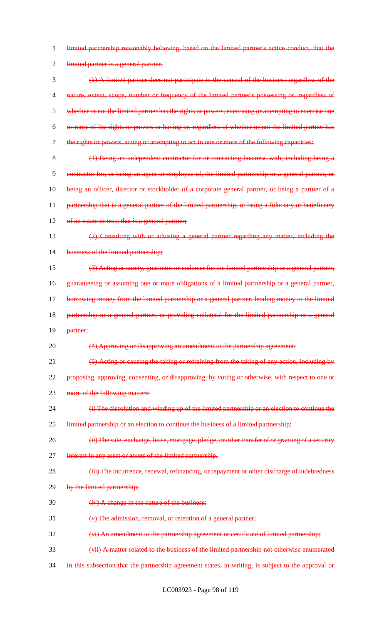1 limited partnership reasonably believing, based on the limited partner's active conduct, that the

2 limited partner is a general partner.

 (b) A limited partner does not participate in the control of the business regardless of the 4 nature, extent, scope, number or frequency of the limited partner's possessing or, regardless of whether or not the limited partner has the rights or powers, exercising or attempting to exercise one or more of the rights or powers or having or, regardless of whether or not the limited partner has the rights or powers, acting or attempting to act in one or more of the following capacities:

- 8 (1) Being an independent contractor for or transacting business with, including being a 9 contractor for, or being an agent or employee of, the limited partnership or a general partner, or 10 being an officer, director or stockholder of a corporate general partner, or being a partner of a 11 partnership that is a general partner of the limited partnership, or being a fiduciary or beneficiary 12 of an estate or trust that is a general partner;
- 13 (2) Consulting with or advising a general partner regarding any matter, including the
- 14 business of the limited partnership;
- 15 (3) Acting as surety, guarantor or endorser for the limited partnership or a general partner, 16 guaranteeing or assuming one or more obligations of a limited partnership or a general partner, 17 borrowing money from the limited partnership or a general partner, lending money to the limited 18 partnership or a general partner, or providing collateral for the limited partnership or a general
- 19 <del>partner;</del>

## 20 (4) Approving or disapproving an amendment to the partnership agreement;

- 21 (5) Acting or causing the taking or refraining from the taking of any action, including by
- 22 proposing, approving, consenting, or disapproving, by voting or otherwise, with respect to one or
- 23 more of the following matters:
- 24 (i) The dissolution and winding up of the limited partnership or an election to continue the
- 25 limited partnership or an election to continue the business of a limited partnership;
- 26 (ii) The sale, exchange, lease, mortgage, pledge, or other transfer of or granting of a security
- 27 interest in any asset or assets of the limited partnership;
- 28 **(iii) The incurrence, renewal, refinancing, or repayment or other discharge of indebtedness**
- 29 by the limited partnership;
- $30 \quad$  (iv) A change in the nature of the business;
- 31 (v) The admission, removal, or retention of a general partner;
- 32 (vi) An amendment to the partnership agreement or certificate of limited partnership;
- 33 (vii) A matter related to the business of the limited partnership not otherwise enumerated
- 34 in this subsection that the partnership agreement states, in writing, is subject to the approval or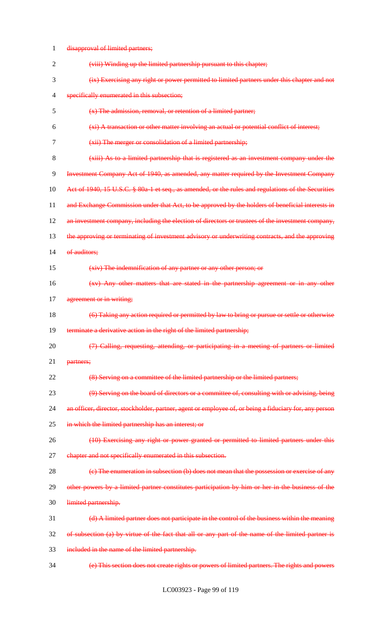| disapproval of limited partners; |  |  |
|----------------------------------|--|--|
|                                  |  |  |

| $\overline{2}$ | (viii) Winding up the limited partnership pursuant to this chapter;                                    |
|----------------|--------------------------------------------------------------------------------------------------------|
| 3              | (ix) Exercising any right or power permitted to limited partners under this chapter and not            |
| 4              | specifically enumerated in this subsection;                                                            |
| 5              | (x) The admission, removal, or retention of a limited partner;                                         |
| 6              | (xi) A transaction or other matter involving an actual or potential conflict of interest;              |
| 7              | (xii) The merger or consolidation of a limited partnership;                                            |
| 8              | (xiii) As to a limited partnership that is registered as an investment company under the               |
| 9              | Investment Company Act of 1940, as amended, any matter required by the Investment Company              |
| 10             | Act of 1940, 15 U.S.C. § 80a 1 et seq., as amended, or the rules and regulations of the Securities     |
| 11             | and Exchange Commission under that Act, to be approved by the holders of beneficial interests in       |
| 12             | an investment company, including the election of directors or trustees of the investment company,      |
| 13             | the approving or terminating of investment advisory or underwriting contracts, and the approving       |
| 14             | of auditors;                                                                                           |
| 15             | (xiv) The indemnification of any partner or any other person; or                                       |
| 16             | (xv) Any other matters that are stated in the partnership agreement or in any other                    |
| 17             | agreement or in writing;                                                                               |
| 18             | (6) Taking any action required or permitted by law to bring or pursue or settle or otherwise           |
| 19             | terminate a derivative action in the right of the limited partnership;                                 |
| 20             | (7) Calling, requesting, attending, or participating in a meeting of partners or limited               |
| 21             | partners;                                                                                              |
| 22             | (8) Serving on a committee of the limited partnership or the limited partners;                         |
| 23             | (9) Serving on the board of directors or a committee of, consulting with or advising, being            |
| 24             | an officer, director, stockholder, partner, agent or employee of, or being a fiduciary for, any person |
| 25             | in which the limited partnership has an interest; or                                                   |
| 26             | (10) Exercising any right or power granted or permitted to limited partners under this                 |
| 27             | chapter and not specifically enumerated in this subsection.                                            |
| 28             | (e) The enumeration in subsection (b) does not mean that the possession or exercise of any             |
| 29             | other powers by a limited partner constitutes participation by him or her in the business of the       |
| 30             | limited partnership.                                                                                   |
| 31             | (d) A limited partner does not participate in the control of the business within the meaning           |
| 32             | of subsection (a) by virtue of the fact that all or any part of the name of the limited partner is     |
| 33             | included in the name of the limited partnership.                                                       |
| 34             | (e) This section does not create rights or powers of limited partners. The rights and powers           |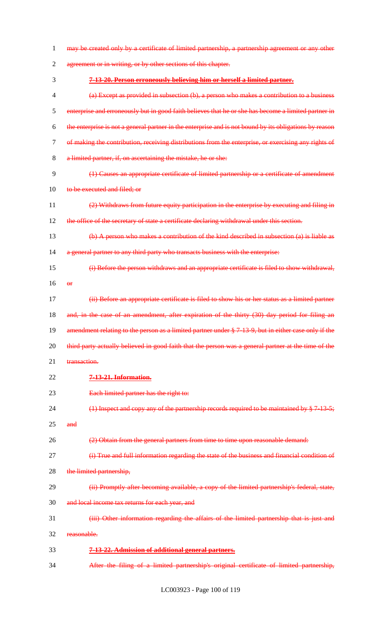| 1              | may be created only by a certificate of limited partnership, a partnership agreement or any other        |
|----------------|----------------------------------------------------------------------------------------------------------|
| $\overline{2}$ | agreement or in writing, or by other sections of this chapter.                                           |
| 3              | 7-13-20. Person erroneously believing him or herself a limited partner.                                  |
| 4              | (a) Except as provided in subsection (b), a person who makes a contribution to a business                |
| 5              | enterprise and erroneously but in good faith believes that he or she has become a limited partner in     |
| 6              | the enterprise is not a general partner in the enterprise and is not bound by its obligations by reason  |
| 7              | of making the contribution, receiving distributions from the enterprise, or exercising any rights of     |
| 8              | a limited partner, if, on ascertaining the mistake, he or she:                                           |
| 9              | (1) Causes an appropriate certificate of limited partnership or a certificate of amendment               |
| 10             | to be executed and filed; or                                                                             |
| 11             | (2) Withdraws from future equity participation in the enterprise by executing and filing in              |
| 12             | the office of the secretary of state a certificate declaring withdrawal under this section.              |
| 13             | (b) A person who makes a contribution of the kind described in subsection $(a)$ is liable as             |
| 14             | a general partner to any third party who transacts business with the enterprise:                         |
| 15             | (i) Before the person withdraws and an appropriate certificate is filed to show withdrawal,              |
| 16             | $\theta$ <sup><math>\bf{f}</math></sup>                                                                  |
| 17             | (ii) Before an appropriate certificate is filed to show his or her status as a limited partner           |
| 18             | and, in the case of an amendment, after expiration of the thirty (30) day period for filing an           |
| 19             | amendment relating to the person as a limited partner under $\S 7-13-9$ , but in either case only if the |
| 20             | third party actually believed in good faith that the person was a general partner at the time of the     |
| 21             | transaction.                                                                                             |
| 22             | 7-13-21. Information.                                                                                    |
| 23             | Each limited partner has the right to:                                                                   |
| 24             | $(1)$ Inspect and copy any of the partnership records required to be maintained by $\S 7-13-5$ ;         |
| 25             | and                                                                                                      |
| 26             | (2) Obtain from the general partners from time to time upon reasonable demand:                           |
| 27             | (i) True and full information regarding the state of the business and financial condition of             |
| 28             | the limited partnership,                                                                                 |
| 29             | (ii) Promptly after becoming available, a copy of the limited partnership's federal, state,              |
| 30             | and local income tax returns for each year, and                                                          |
| 31             | (iii) Other information regarding the affairs of the limited partnership that is just and                |
| 32             | reasonable.                                                                                              |
| 33             | 7-13-22. Admission of additional general partners.                                                       |
| 34             | After the filing of a limited partnership's original certificate of limited partnership,                 |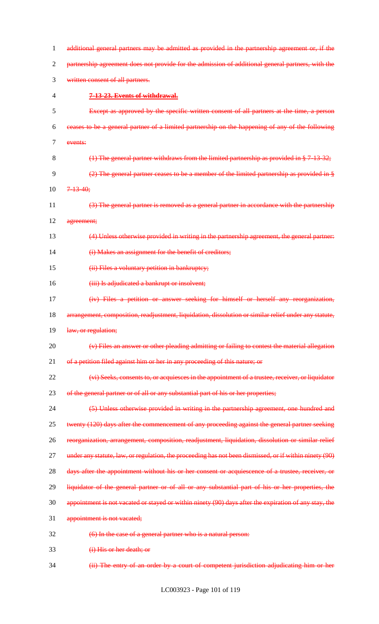| $\mathbf{1}$   | additional general partners may be admitted as provided in the partnership agreement or, if the        |
|----------------|--------------------------------------------------------------------------------------------------------|
| $\overline{c}$ | partnership agreement does not provide for the admission of additional general partners, with the      |
| 3              | written consent of all partners.                                                                       |
| 4              | 7-13-23. Events of withdrawal.                                                                         |
| 5              | Except as approved by the specific written consent of all partners at the time, a person               |
| 6              | ceases to be a general partner of a limited partnership on the happening of any of the following       |
| 7              | events:                                                                                                |
| 8              | $(1)$ The general partner withdraws from the limited partnership as provided in § 7-13-32;             |
| 9              | $(2)$ The general partner ceases to be a member of the limited partnership as provided in $\S$         |
| 10             | $7 - 13 - 40$ ;                                                                                        |
| 11             | (3) The general partner is removed as a general partner in accordance with the partnership             |
| 12             | agreement;                                                                                             |
| 13             | (4) Unless otherwise provided in writing in the partnership agreement, the general partner:            |
| 14             | (i) Makes an assignment for the benefit of creditors;                                                  |
| 15             | (ii) Files a voluntary petition in bankruptcy;                                                         |
| 16             | (iii) Is adjudicated a bankrupt or insolvent;                                                          |
| 17             | (iv) Files a petition or answer seeking for himself or herself any reorganization,                     |
| 18             | arrangement, composition, readjustment, liquidation, dissolution or similar relief under any statute,  |
| 19             | law, or regulation;                                                                                    |
| 20             | (v) Files an answer or other pleading admitting or failing to contest the material allegation          |
| 21             | of a petition filed against him or her in any proceeding of this nature; or                            |
| 22             | (vi) Seeks, consents to, or acquiesces in the appointment of a trustee, receiver, or liquidator        |
| 23             | of the general partner or of all or any substantial part of his or her properties;                     |
| 24             | (5) Unless otherwise provided in writing in the partnership agreement, one hundred and                 |
| 25             | twenty (120) days after the commencement of any proceeding against the general partner seeking         |
| 26             | reorganization, arrangement, composition, readjustment, liquidation, dissolution or similar relief     |
| 27             | under any statute, law, or regulation, the proceeding has not been dismissed, or if within ninety (90) |
| 28             | days after the appointment without his or her consent or acquiescence of a trustee, receiver, or       |
| 29             | liquidator of the general partner or of all or any substantial part of his or her properties, the      |
| 30             | appointment is not vacated or stayed or within ninety (90) days after the expiration of any stay, the  |
| 31             | appointment is not vacated;                                                                            |
| 32             | (6) In the case of a general partner who is a natural person:                                          |
| 33             |                                                                                                        |
|                | (i) His or her death; or                                                                               |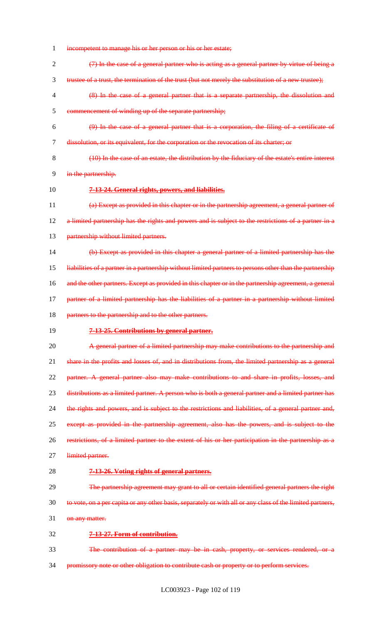- 1 incompetent to manage his or her person or his or her estate;
- 2 (7) In the case of a general partner who is acting as a general partner by virtue of being a
- 3 trustee of a trust, the termination of the trust (but not merely the substitution of a new trustee);
- 4 (8) In the case of a general partner that is a separate partnership, the dissolution and 5 commencement of winding up of the separate partnership;
- 6 (9) In the case of a general partner that is a corporation, the filing of a certificate of
- 7 dissolution, or its equivalent, for the corporation or the revocation of its charter; or
- 8 (10) In the case of an estate, the distribution by the fiduciary of the estate's entire interest
- 9 in the partnership.
- 
- 10 **7-13-24. General rights, powers, and liabilities.**
- 11 (a) Except as provided in this chapter or in the partnership agreement, a general partner of 12 a limited partnership has the rights and powers and is subject to the restrictions of a partner in a
- 13 partnership without limited partners.
- 14 (b) Except as provided in this chapter a general partner of a limited partnership has the
- 15 liabilities of a partner in a partnership without limited partners to persons other than the partnership
- 16 and the other partners. Except as provided in this chapter or in the partnership agreement, a general
- 17 partner of a limited partnership has the liabilities of a partner in a partnership without limited
- 18 partners to the partnership and to the other partners.
- 19 **7-13-25. Contributions by general partner.**
- 20 A general partner of a limited partnership may make contributions to the partnership and 21 share in the profits and losses of, and in distributions from, the limited partnership as a general 22 partner. A general partner also may make contributions to and share in profits, losses, and 23 distributions as a limited partner. A person who is both a general partner and a limited partner has 24 the rights and powers, and is subject to the restrictions and liabilities, of a general partner and, 25 except as provided in the partnership agreement, also has the powers, and is subject to the 26 restrictions, of a limited partner to the extent of his or her participation in the partnership as a 27 limited partner.
- 28 **7-13-26. Voting rights of general partners.**
- 29 The partnership agreement may grant to all or certain identified general partners the right 30 to vote, on a per capita or any other basis, separately or with all or any class of the limited partners, 31 on any matter.
- 32 **7-13-27. Form of contribution.**
- 33 The contribution of a partner may be in cash, property, or services rendered, or a 34 promissory note or other obligation to contribute cash or property or to perform services.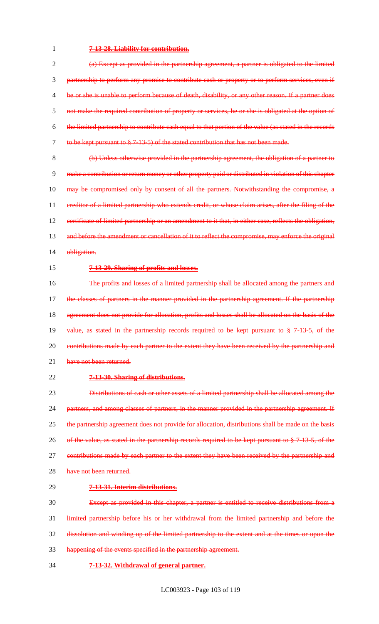# 1 **7-13-28. Liability for contribution.**

 (a) Except as provided in the partnership agreement, a partner is obligated to the limited partnership to perform any promise to contribute cash or property or to perform services, even if 4 he or she is unable to perform because of death, disability, or any other reason. If a partner does not make the required contribution of property or services, he or she is obligated at the option of the limited partnership to contribute cash equal to that portion of the value (as stated in the records 7 to be kept pursuant to  $\S$  7-13-5) of the stated contribution that has not been made.

8 (b) Unless otherwise provided in the partnership agreement, the obligation of a partner to 9 make a contribution or return money or other property paid or distributed in violation of this chapter 10 may be compromised only by consent of all the partners. Notwithstanding the compromise, a 11 creditor of a limited partnership who extends credit, or whose claim arises, after the filing of the 12 certificate of limited partnership or an amendment to it that, in either case, reflects the obligation, 13 and before the amendment or cancellation of it to reflect the compromise, may enforce the original 14 **obligation.** 

### 15 **7-13-29. Sharing of profits and losses.**

16 The profits and losses of a limited partnership shall be allocated among the partners and 17 the classes of partners in the manner provided in the partnership agreement. If the partnership 18 agreement does not provide for allocation, profits and losses shall be allocated on the basis of the 19 value, as stated in the partnership records required to be kept pursuant to § 7-13-5, of the 20 contributions made by each partner to the extent they have been received by the partnership and 21 have not been returned.

22 **7-13-30. Sharing of distributions.**

23 Distributions of cash or other assets of a limited partnership shall be allocated among the 24 partners, and among classes of partners, in the manner provided in the partnership agreement. If 25 the partnership agreement does not provide for allocation, distributions shall be made on the basis 26 of the value, as stated in the partnership records required to be kept pursuant to § 7-13-5, of the 27 contributions made by each partner to the extent they have been received by the partnership and 28 have not been returned.

29 **7-13-31. Interim distributions.**

30 Except as provided in this chapter, a partner is entitled to receive distributions from a

31 limited partnership before his or her withdrawal from the limited partnership and before the

32 dissolution and winding up of the limited partnership to the extent and at the times or upon the

33 happening of the events specified in the partnership agreement.

34 **7-13-32. Withdrawal of general partner.**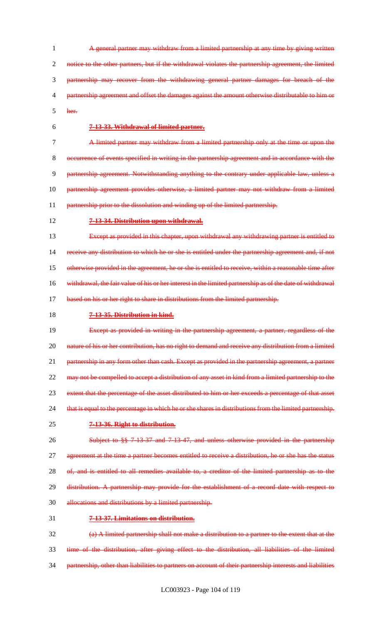- 1 A general partner may withdraw from a limited partnership at any time by giving written 2 notice to the other partners, but if the withdrawal violates the partnership agreement, the limited 3 partnership may recover from the withdrawing general partner damages for breach of the 4 partnership agreement and offset the damages against the amount otherwise distributable to him or  $5$  her.
- 

# 6 **7-13-33. Withdrawal of limited partner.**

7 A limited partner may withdraw from a limited partnership only at the time or upon the 8 occurrence of events specified in writing in the partnership agreement and in accordance with the 9 partnership agreement. Notwithstanding anything to the contrary under applicable law, unless a 10 partnership agreement provides otherwise, a limited partner may not withdraw from a limited 11 partnership prior to the dissolution and winding up of the limited partnership.

# 12 **7-13-34. Distribution upon withdrawal.**

13 Except as provided in this chapter, upon withdrawal any withdrawing partner is entitled to 14 receive any distribution to which he or she is entitled under the partnership agreement and, if not 15 otherwise provided in the agreement, he or she is entitled to receive, within a reasonable time after 16 withdrawal, the fair value of his or her interest in the limited partnership as of the date of withdrawal 17 based on his or her right to share in distributions from the limited partnership.

# 18 **7-13-35. Distribution in kind.**

19 Except as provided in writing in the partnership agreement, a partner, regardless of the 20 nature of his or her contribution, has no right to demand and receive any distribution from a limited 21 partnership in any form other than cash. Except as provided in the partnership agreement, a partner 22 may not be compelled to accept a distribution of any asset in kind from a limited partnership to the 23 extent that the percentage of the asset distributed to him or her exceeds a percentage of that asset 24 that is equal to the percentage in which he or she shares in distributions from the limited partnership.

# 25 **7-13-36. Right to distribution.**

26 Subject to §§ 7-13-37 and 7-13-47, and unless otherwise provided in the partnership 27 agreement at the time a partner becomes entitled to receive a distribution, he or she has the status 28 of, and is entitled to all remedies available to, a creditor of the limited partnership as to the 29 distribution. A partnership may provide for the establishment of a record date with respect to 30 allocations and distributions by a limited partnership.

31 **7-13-37. Limitations on distribution.**

32 (a) A limited partnership shall not make a distribution to a partner to the extent that at the 33 time of the distribution, after giving effect to the distribution, all liabilities of the limited 34 partnership, other than liabilities to partners on account of their partnership interests and liabilities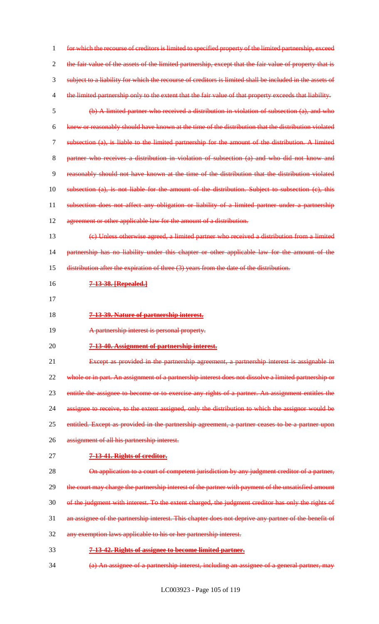1 for which the recourse of creditors is limited to specified property of the limited partnership, exceed 2 the fair value of the assets of the limited partnership, except that the fair value of property that is subject to a liability for which the recourse of creditors is limited shall be included in the assets of 4 the limited partnership only to the extent that the fair value of that property exceeds that liability. (b) A limited partner who received a distribution in violation of subsection (a), and who knew or reasonably should have known at the time of the distribution that the distribution violated subsection (a), is liable to the limited partnership for the amount of the distribution. A limited partner who receives a distribution in violation of subsection (a) and who did not know and reasonably should not have known at the time of the distribution that the distribution violated subsection (a), is not liable for the amount of the distribution. Subject to subsection (c), this 11 subsection does not affect any obligation or liability of a limited partner under a partnership 12 agreement or other applicable law for the amount of a distribution. (c) Unless otherwise agreed, a limited partner who received a distribution from a limited partnership has no liability under this chapter or other applicable law for the amount of the distribution after the expiration of three (3) years from the date of the distribution. **7-13-38. [Repealed.]** 

- **7-13-39. Nature of partnership interest.**
- **A partnership interest is personal property.**
- **7-13-40. Assignment of partnership interest.**

 Except as provided in the partnership agreement, a partnership interest is assignable in 22 whole or in part. An assignment of a partnership interest does not dissolve a limited partnership or 23 entitle the assignee to become or to exercise any rights of a partner. An assignment entitles the assignee to receive, to the extent assigned, only the distribution to which the assignor would be 25 entitled. Except as provided in the partnership agreement, a partner ceases to be a partner upon assignment of all his partnership interest.

**7-13-41. Rights of creditor.**

28 On application to a court of competent jurisdiction by any judgment creditor of a partner, 29 the court may charge the partnership interest of the partner with payment of the unsatisfied amount of the judgment with interest. To the extent charged, the judgment creditor has only the rights of an assignee of the partnership interest. This chapter does not deprive any partner of the benefit of

- any exemption laws applicable to his or her partnership interest.
- **7-13-42. Rights of assignee to become limited partner.**
- (a) An assignee of a partnership interest, including an assignee of a general partner, may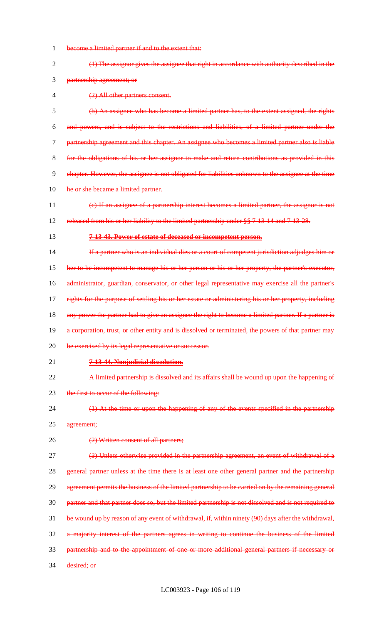1 become a limited partner if and to the extent that:

| $\overline{2}$ | (1) The assignor gives the assignee that right in accordance with authority described in the          |
|----------------|-------------------------------------------------------------------------------------------------------|
| 3              | partnership agreement; or                                                                             |
| 4              | (2) All other partners consent.                                                                       |
| 5              | (b) An assignee who has become a limited partner has, to the extent assigned, the rights              |
| 6              | and powers, and is subject to the restrictions and liabilities, of a limited partner under the        |
| 7              | partnership agreement and this chapter. An assignee who becomes a limited partner also is liable      |
| 8              | for the obligations of his or her assignor to make and return contributions as provided in this       |
| 9              | chapter. However, the assignee is not obligated for liabilities unknown to the assignee at the time   |
| 10             | he or she became a limited partner.                                                                   |
| 11             | (e) If an assignee of a partnership interest becomes a limited partner, the assignor is not           |
| 12             | released from his or her liability to the limited partnership under §§ 7-13-14 and 7-13-28.           |
| 13             | 7-13-43. Power of estate of deceased or incompetent person.                                           |
| 14             | If a partner who is an individual dies or a court of competent jurisdiction adjudges him or           |
| 15             | her to be incompetent to manage his or her person or his or her property, the partner's executor,     |
| 16             | administrator, guardian, conservator, or other legal representative may exercise all the partner's    |
| 17             | rights for the purpose of settling his or her estate or administering his or her property, including  |
| 18             | any power the partner had to give an assignee the right to become a limited partner. If a partner is  |
| 19             | a corporation, trust, or other entity and is dissolved or terminated, the powers of that partner may  |
| 20             | be exercised by its legal representative or successor.                                                |
| 21             | 7-13-44. Nonjudicial dissolution.                                                                     |
| 22             | A limited partnership is dissolved and its affairs shall be wound up upon the happening of            |
| 23             | the first to occur of the following:                                                                  |
| 24             | (1) At the time or upon the happening of any of the events specified in the partnership               |
| 25             | agreement;                                                                                            |
| 26             | (2) Written consent of all partners;                                                                  |
| 27             | (3) Unless otherwise provided in the partnership agreement, an event of withdrawal of a               |
| 28             | general partner unless at the time there is at least one other general partner and the partnership    |
| 29             | agreement permits the business of the limited partnership to be carried on by the remaining general   |
| 30             | partner and that partner does so, but the limited partnership is not dissolved and is not required to |
| 31             | be wound up by reason of any event of withdrawal, if, within ninety (90) days after the withdrawal,   |
| 32             | a majority interest of the partners agrees in writing to continue the business of the limited         |
| 33             | partnership and to the appointment of one or more additional general partners if necessary or         |
| 34             | desired; or                                                                                           |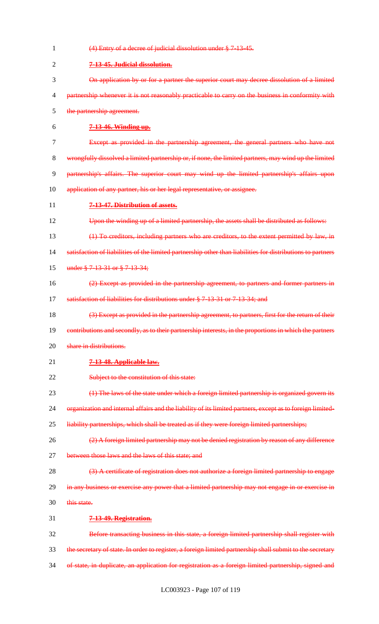| 1                        | (4) Entry of a decree of judicial dissolution under § 7-13-45.                                              |
|--------------------------|-------------------------------------------------------------------------------------------------------------|
| $\overline{2}$           | 7-13-45. Judicial dissolution.                                                                              |
| 3                        | On application by or for a partner the superior court may decree dissolution of a limited                   |
| $\overline{\mathcal{A}}$ | partnership whenever it is not reasonably practicable to carry on the business in conformity with           |
| 5                        | the partnership agreement.                                                                                  |
| 6                        | 7-13-46. Winding up.                                                                                        |
| 7                        | Except as provided in the partnership agreement, the general partners who have not                          |
| $8\,$                    | wrongfully dissolved a limited partnership or, if none, the limited partners, may wind up the limited       |
| 9                        | partnership's affairs. The superior court may wind up the limited partnership's affairs upon                |
| 10                       | application of any partner, his or her legal representative, or assignee.                                   |
| 11                       | 7-13-47. Distribution of assets.                                                                            |
| 12                       | Upon the winding up of a limited partnership, the assets shall be distributed as follows:                   |
| 13                       | (1) To creditors, including partners who are creditors, to the extent permitted by law, in                  |
| 14                       | satisfaction of liabilities of the limited partnership other than liabilities for distributions to partners |
| 15                       | under § 7-13-31 or § 7-13-34;                                                                               |
| 16                       | (2) Except as provided in the partnership agreement, to partners and former partners in                     |
| 17                       | satisfaction of liabilities for distributions under $\S$ 7-13-31 or 7-13-34; and                            |
| 18                       | (3) Except as provided in the partnership agreement, to partners, first for the return of their             |
| 19                       | contributions and secondly, as to their partnership interests, in the proportions in which the partners     |
| 20                       | share in distributions.                                                                                     |
| 21                       | 7-13-48. Applicable law.                                                                                    |
| 22                       | Subject to the constitution of this state:                                                                  |
| 23                       | (1) The laws of the state under which a foreign limited partnership is organized govern its                 |
| 24                       | organization and internal affairs and the liability of its limited partners, except as to foreign limited-  |
| 25                       | liability partnerships, which shall be treated as if they were foreign limited partnerships;                |
| 26                       | (2) A foreign limited partnership may not be denied registration by reason of any difference                |
| 27                       | between those laws and the laws of this state; and                                                          |
| 28                       | (3) A certificate of registration does not authorize a foreign limited partnership to engage                |
| 29                       | in any business or exercise any power that a limited partnership may not engage in or exercise in           |
| 30                       | this state.                                                                                                 |
| 31                       | 7-13-49. Registration.                                                                                      |
| 32                       | Before transacting business in this state, a foreign limited partnership shall register with                |
| 33                       | the secretary of state. In order to register, a foreign limited partnership shall submit to the secretary   |
| 34                       | of state, in duplicate, an application for registration as a foreign limited partnership, signed and        |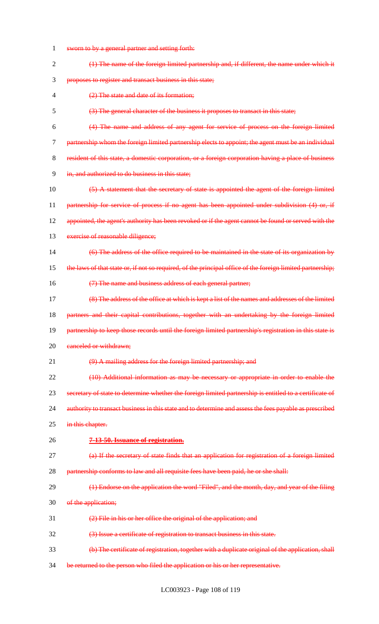1 sworn to by a general partner and setting forth: 2 (1) The name of the foreign limited partnership and, if different, the name under which it 3 proposes to register and transact business in this state; 4 (2) The state and date of its formation; 5 (3) The general character of the business it proposes to transact in this state; 6 (4) The name and address of any agent for service of process on the foreign limited 7 partnership whom the foreign limited partnership elects to appoint; the agent must be an individual 8 resident of this state, a domestic corporation, or a foreign corporation having a place of business 9 in, and authorized to do business in this state; 10 (5) A statement that the secretary of state is appointed the agent of the foreign limited 11 partnership for service of process if no agent has been appointed under subdivision (4) or, if 12 appointed, the agent's authority has been revoked or if the agent cannot be found or served with the 13 exercise of reasonable diligence; 14 (6) The address of the office required to be maintained in the state of its organization by 15 the laws of that state or, if not so required, of the principal office of the foreign limited partnership; 16 (7) The name and business address of each general partner; 17 (8) The address of the office at which is kept a list of the names and addresses of the limited 18 partners and their capital contributions, together with an undertaking by the foreign limited 19 partnership to keep those records until the foreign limited partnership's registration in this state is 20 eanceled or withdrawn; 21 (9) A mailing address for the foreign limited partnership; and 22 (10) Additional information as may be necessary or appropriate in order to enable the 23 secretary of state to determine whether the foreign limited partnership is entitled to a certificate of 24 authority to transact business in this state and to determine and assess the fees payable as prescribed 25 in this chapter. 26 **7-13-50. Issuance of registration.** 27 (a) If the secretary of state finds that an application for registration of a foreign limited 28 partnership conforms to law and all requisite fees have been paid, he or she shall: 29 (1) Endorse on the application the word "Filed", and the month, day, and year of the filing 30 of the application; 31 (2) File in his or her office the original of the application; and 32 (3) Issue a certificate of registration to transact business in this state. 33 (b) The certificate of registration, together with a duplicate original of the application, shall 34 be returned to the person who filed the application or his or her representative.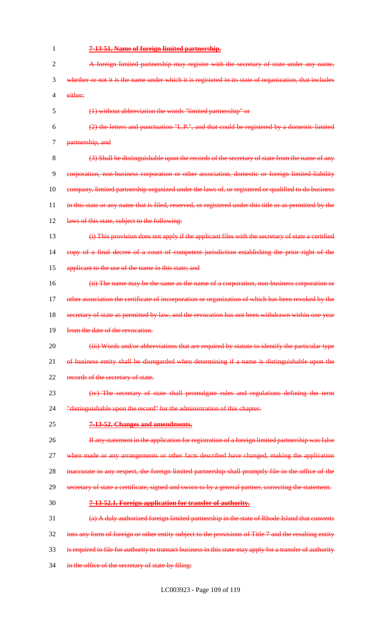| 1              | 7-13-51. Name of foreign limited partnership.                                                              |
|----------------|------------------------------------------------------------------------------------------------------------|
| $\overline{2}$ | A foreign limited partnership may register with the secretary of state under any name,                     |
| 3              | whether or not it is the name under which it is registered in its state of organization, that includes     |
| 4              | either:                                                                                                    |
| 5              | (1) without abbreviation the words "limited partnership" or                                                |
| 6              | (2) the letters and punctuation "L.P.", and that could be registered by a domestic limited                 |
| 7              | partnership, and                                                                                           |
| 8              | (3) Shall be distinguishable upon the records of the secretary of state from the name of any               |
| 9              | corporation, non-business corporation or other association, domestic or foreign limited-liability          |
| 10             | company, limited partnership organized under the laws of, or registered or qualified to do business        |
| 11             | in this state or any name that is filed, reserved, or registered under this title or as permitted by the   |
| 12             | laws of this state, subject to the following:                                                              |
| 13             | (i) This provision does not apply if the applicant files with the secretary of state a certified           |
| 14             | copy of a final decree of a court of competent jurisdiction establishing the prior right of the            |
| 15             | applicant to the use of the name in this state; and                                                        |
| 16             | (ii) The name may be the same as the name of a corporation, non-business corporation or                    |
| 17             | other association the certificate of incorporation or organization of which has been revoked by the        |
| 18             | secretary of state as permitted by law, and the revocation has not been withdrawn within one year          |
| 19             | from the date of the revocation.                                                                           |
| 20             | (iii) Words and/or abbreviations that are required by statute to identify the particular type              |
| 21             | of business entity shall be disregarded when determining if a name is distinguishable upon the             |
| 22             | records of the secretary of state.                                                                         |
| 23             | (iv) The secretary of state shall promulgate rules and regulations defining the term                       |
| 24             | "distinguishable upon the record" for the administration of this chapter.                                  |
| 25             | 7-13-52. Changes and amendments.                                                                           |
| 26             | If any statement in the application for registration of a foreign limited partnership was false            |
| 27             | when made or any arrangements or other facts described have changed, making the application                |
| 28             | inaccurate in any respect, the foreign limited partnership shall promptly file in the office of the        |
| 29             | secretary of state a certificate, signed and sworn to by a general partner, correcting the statement.      |
| 30             | 7-13-52.1. Foreign application for transfer of authority.                                                  |
| 31             | (a) A duly authorized foreign limited partnership in the state of Rhode Island that converts               |
| 32             | into any form of foreign or other entity subject to the provisions of Title 7 and the resulting entity     |
| 33             | is required to file for authority to transact business in this state may apply for a transfer of authority |
| 34             | in the office of the secretary of state by filing:                                                         |
|                |                                                                                                            |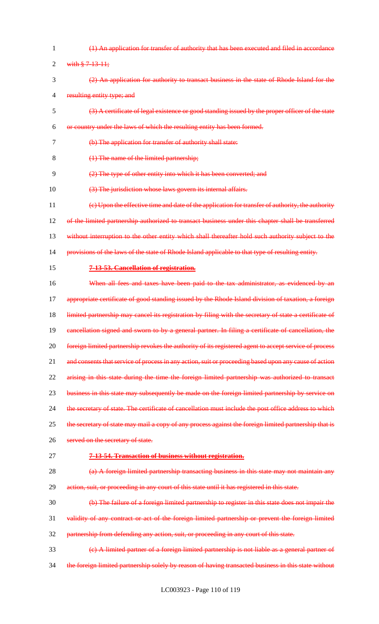1 (1) An application for transfer of authority that has been executed and filed in accordance 2 with  $\frac{8}{7}$  - 13 - 11; 3 (2) An application for authority to transact business in the state of Rhode Island for the 4 resulting entity type; and 5 (3) A certificate of legal existence or good standing issued by the proper officer of the state 6 or country under the laws of which the resulting entity has been formed. 7 (b) The application for transfer of authority shall state: 8 (1) The name of the limited partnership; 9 (2) The type of other entity into which it has been converted; and 10 (3) The jurisdiction whose laws govern its internal affairs. 11 (c) Upon the effective time and date of the application for transfer of authority, the authority 12 of the limited partnership authorized to transact business under this chapter shall be transferred 13 without interruption to the other entity which shall thereafter hold such authority subject to the 14 provisions of the laws of the state of Rhode Island applicable to that type of resulting entity. 15 **7-13-53. Cancellation of registration.** 16 When all fees and taxes have been paid to the tax administrator, as evidenced by an 17 appropriate certificate of good standing issued by the Rhode Island division of taxation, a foreign 18 limited partnership may cancel its registration by filing with the secretary of state a certificate of 19 cancellation signed and sworn to by a general partner. In filing a certificate of cancellation, the 20 foreign limited partnership revokes the authority of its registered agent to accept service of process 21 and consents that service of process in any action, suit or proceeding based upon any cause of action 22 arising in this state during the time the foreign limited partnership was authorized to transact 23 business in this state may subsequently be made on the foreign limited partnership by service on 24 the secretary of state. The certificate of cancellation must include the post office address to which 25 the secretary of state may mail a copy of any process against the foreign limited partnership that is 26 served on the secretary of state. 27 **7-13-54. Transaction of business without registration.** 28 (a) A foreign limited partnership transacting business in this state may not maintain any 29 action, suit, or proceeding in any court of this state until it has registered in this state. 30 (b) The failure of a foreign limited partnership to register in this state does not impair the 31 validity of any contract or act of the foreign limited partnership or prevent the foreign limited 32 partnership from defending any action, suit, or proceeding in any court of this state. 33 (c) A limited partner of a foreign limited partnership is not liable as a general partner of 34 the foreign limited partnership solely by reason of having transacted business in this state without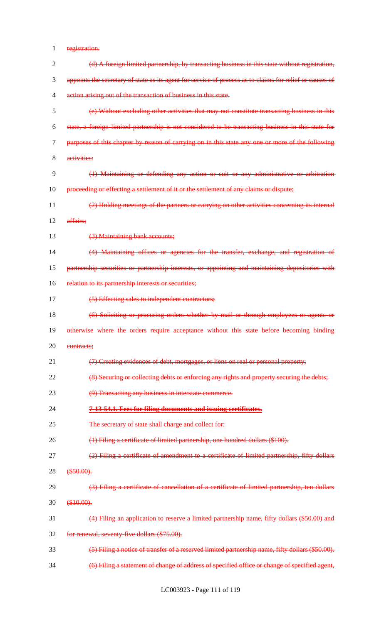1 registration.

| $\overline{2}$ | (d) A foreign limited partnership, by transacting business in this state without registration,           |
|----------------|----------------------------------------------------------------------------------------------------------|
| 3              | appoints the secretary of state as its agent for service of process as to claims for relief or causes of |
| $\overline{4}$ | action arising out of the transaction of business in this state.                                         |
| 5              | (e) Without excluding other activities that may not constitute transacting business in this              |
| 6              | state, a foreign limited partnership is not considered to be transacting business in this state for      |
| 7              | purposes of this chapter by reason of carrying on in this state any one or more of the following         |
| 8              | activities:                                                                                              |
| 9              | (1) Maintaining or defending any action or suit or any administrative or arbitration                     |
| 10             | proceeding or effecting a settlement of it or the settlement of any claims or dispute;                   |
| 11             | (2) Holding meetings of the partners or carrying on other activities concerning its internal             |
| 12             | affairs;                                                                                                 |
| 13             | (3) Maintaining bank accounts;                                                                           |
| 14             | (4) Maintaining offices or agencies for the transfer, exchange, and registration of                      |
| 15             | partnership securities or partnership interests, or appointing and maintaining depositories with         |
| 16             | relation to its partnership interests or securities;                                                     |
| 17             | (5) Effecting sales to independent contractors;                                                          |
| 18             | (6) Soliciting or procuring orders whether by mail or through employees or agents or                     |
| 19             | otherwise where the orders require acceptance without this state before becoming binding                 |
| 20             | contracts;                                                                                               |
| 21             | (7) Creating evidences of debt, mortgages, or liens on real or personal property;                        |
| 22             | (8) Securing or collecting debts or enforcing any rights and property securing the debts;                |
| 23             | (9) Transacting any business in interstate commerce.                                                     |
| 24             | 7-13-54.1. Fees for filing documents and issuing certificates.                                           |
| 25             | The secretary of state shall charge and collect for:                                                     |
| 26             | (1) Filing a certificate of limited partnership, one hundred dollars (\$100).                            |
| 27             | (2) Filing a certificate of amendment to a certificate of limited partnership, fifty dollars             |
| 28             | $$50.00$ .                                                                                               |
| 29             | (3) Filing a certificate of cancellation of a certificate of limited partnership, ten dollars            |
| 30             | $$10.00$ .                                                                                               |
| 31             | (4) Filing an application to reserve a limited partnership name, fifty dollars (\$50.00) and             |
| 32             | for renewal, seventy five dollars (\$75.00).                                                             |
| 33             | (5) Filing a notice of transfer of a reserved limited partnership name, fifty dollars (\$50.00).         |
| 34             | (6) Filing a statement of change of address of specified office or change of specified agent,            |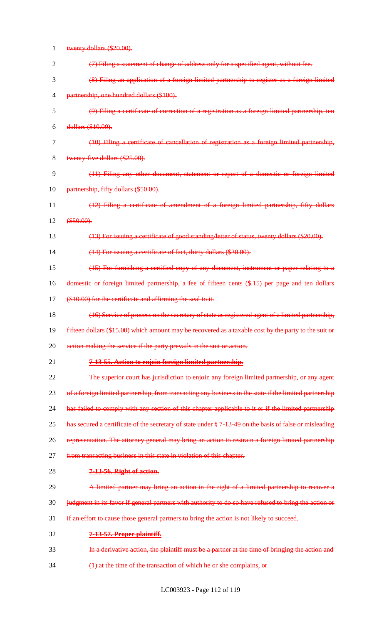| 1              | twenty dollars (\$20.00).                                                                               |
|----------------|---------------------------------------------------------------------------------------------------------|
| $\overline{2}$ | (7) Filing a statement of change of address only for a specified agent, without fee.                    |
| 3              | (8) Filing an application of a foreign limited partnership to register as a foreign limited             |
| $\overline{4}$ | partnership, one hundred dollars (\$100).                                                               |
| 5              | (9) Filing a certificate of correction of a registration as a foreign limited partnership, ten          |
| 6              | dollars (\$10.00).                                                                                      |
| 7              | (10) Filing a certificate of cancellation of registration as a foreign limited partnership,             |
| 8              | twenty-five dollars (\$25.00).                                                                          |
| 9              | (11) Filing any other document, statement or report of a domestic or foreign limited                    |
| 10             | partnership, fifty dollars (\$50.00).                                                                   |
| 11             | (12) Filing a certificate of amendment of a foreign limited partnership, fifty dollars                  |
| 12             | $$50.00$ .                                                                                              |
| 13             | (13) For issuing a certificate of good standing/letter of status, twenty dollars (\$20.00).             |
| 14             | (14) For issuing a certificate of fact, thirty dollars (\$30.00).                                       |
| 15             | (15) For furnishing a certified copy of any document, instrument or paper relating to a                 |
| 16             | domestic or foreign limited partnership, a fee of fifteen cents (\$.15) per page and ten dollars        |
| 17             | (\$10.00) for the certificate and affirming the seal to it.                                             |
| 18             | (16) Service of process on the secretary of state as registered agent of a limited partnership,         |
| 19             | fifteen dollars (\$15.00) which amount may be recovered as a taxable cost by the party to the suit or   |
| 20             | action making the service if the party prevails in the suit or action.                                  |
| 21             | 7-13-55. Action to enjoin foreign limited partnership.                                                  |
| 22             | The superior court has jurisdiction to enjoin any foreign limited partnership, or any agent             |
| 23             | of a foreign limited partnership, from transacting any business in the state if the limited partnership |
| 24             | has failed to comply with any section of this chapter applicable to it or if the limited partnership    |
| 25             | has secured a certificate of the secretary of state under § 7-13-49 on the basis of false or misleading |
| 26             | representation. The attorney general may bring an action to restrain a foreign limited partnership      |
| 27             | from transacting business in this state in violation of this chapter.                                   |
| 28             | 7-13-56. Right of action.                                                                               |
| 29             | A limited partner may bring an action in the right of a limited partnership to recover a                |
| 30             | judgment in its favor if general partners with authority to do so have refused to bring the action or   |
| 31             | if an effort to cause those general partners to bring the action is not likely to succeed.              |
| 32             | 7-13-57. Proper plaintiff.                                                                              |
| 33             | In a derivative action, the plaintiff must be a partner at the time of bringing the action and          |
| 34             | (1) at the time of the transaction of which he or she complains, or                                     |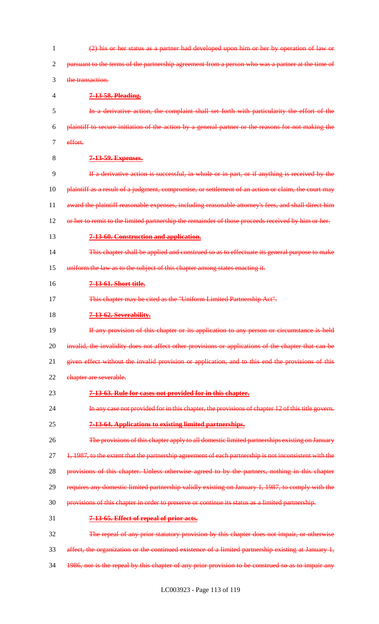| 1      | (2) his or her status as a partner had developed upon him or her by operation of law or                |
|--------|--------------------------------------------------------------------------------------------------------|
| 2      | pursuant to the terms of the partnership agreement from a person who was a partner at the time of      |
| 3      | the transaction.                                                                                       |
| 4      | 7-13-58. Pleading.                                                                                     |
| 5      | In a derivative action, the complaint shall set forth with particularity the effort of the             |
| 6      | plaintiff to secure initiation of the action by a general partner or the reasons for not making the    |
| $\tau$ | effort.                                                                                                |
| 8      | 7-13-59. Expenses.                                                                                     |
| 9      | If a derivative action is successful, in whole or in part, or if anything is received by the           |
| 10     | plaintiff as a result of a judgment, compromise, or settlement of an action or claim, the court may    |
| 11     | award the plaintiff reasonable expenses, including reasonable attorney's fees, and shall direct him    |
| 12     | or her to remit to the limited partnership the remainder of those proceeds received by him or her.     |
| 13     | 7-13-60. Construction and application.                                                                 |
| 14     | This chapter shall be applied and construed so as to effectuate its general purpose to make            |
| 15     | uniform the law as to the subject of this chapter among states enacting it.                            |
| 16     | 7-13-61. Short title.                                                                                  |
| 17     | This chapter may be cited as the "Uniform Limited Partnership Act".                                    |
| 18     | 7-13-62. Severability.                                                                                 |
| 19     | If any provision of this chapter or its application to any person or circumstance is held              |
| 20     | invalid, the invalidity does not affect other provisions or applications of the chapter that can be    |
| 21     | given effect without the invalid provision or application, and to this end the provisions of this      |
| 22     | chapter are severable.                                                                                 |
| 23     | 7-13-63. Rule for cases not provided for in this chapter.                                              |
| 24     | In any case not provided for in this chapter, the provisions of chapter 12 of this title govern.       |
| 25     | 7-13-64. Applications to existing limited partnerships.                                                |
| 26     | The provisions of this chapter apply to all domestic limited partnerships existing on January          |
| 27     | 1, 1987, to the extent that the partnership agreement of each partnership is not inconsistent with the |
| 28     | provisions of this chapter. Unless otherwise agreed to by the partners, nothing in this chapter        |
| 29     | requires any domestic limited partnership validly existing on January 1, 1987, to comply with the      |
| 30     | provisions of this chapter in order to preserve or continue its status as a limited partnership.       |
| 31     | 7-13-65. Effect of repeal of prior acts.                                                               |
| 32     | The repeal of any prior statutory provision by this chapter does not impair, or otherwise              |
| 33     | affect, the organization or the continued existence of a limited partnership existing at January 1,    |
|        | 1986, nor is the repeal by this chapter of any prior provision to be construed so as to impair any     |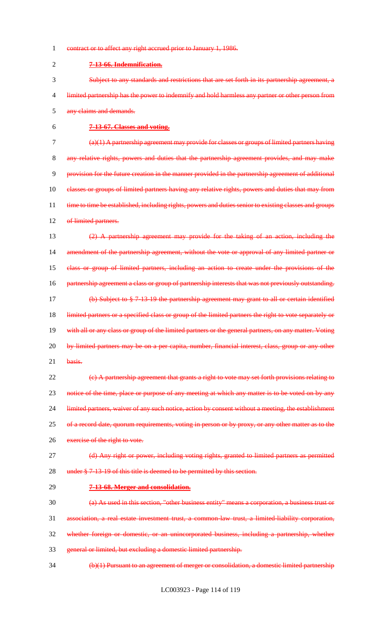| 1              | contract or to affect any right accrued prior to January 1, 1986.                                      |
|----------------|--------------------------------------------------------------------------------------------------------|
| $\overline{2}$ | 7-13-66. Indemnification.                                                                              |
| 3              | Subject to any standards and restrictions that are set forth in its partnership agreement, a           |
| 4              | limited partnership has the power to indemnify and hold harmless any partner or other person from      |
| 5              | any claims and demands.                                                                                |
| 6              | 7-13-67. Classes and voting.                                                                           |
| 7              | (a)(1) A partnership agreement may provide for classes or groups of limited partners having            |
| 8              | any relative rights, powers and duties that the partnership agreement provides, and may make           |
| 9              | provision for the future creation in the manner provided in the partnership agreement of additional    |
| 10             | classes or groups of limited partners having any relative rights, powers and duties that may from      |
| 11             | time to time be established, including rights, powers and duties senior to existing classes and groups |
| 12             | of limited partners.                                                                                   |
| 13             | (2) A partnership agreement may provide for the taking of an action, including the                     |
| 14             | amendment of the partnership agreement, without the vote or approval of any limited partner or         |
| 15             | group of limited partners, including an action to create under the provisions of the<br>$-\theta$ f    |
| 16             | partnership agreement a class or group of partnership interests that was not previously outstanding.   |
| 17             | (b) Subject to § 7-13-19 the partnership agreement may grant to all or certain identified              |
| 18             | limited partners or a specified class or group of the limited partners the right to vote separately or |
| 19             | with all or any class or group of the limited partners or the general partners, on any matter. Voting  |
| 20             | by limited partners may be on a per capita, number, financial interest, class, group or any other      |
| 21             | basis.                                                                                                 |
| 22             | (c) A partnership agreement that grants a right to vote may set forth provisions relating to           |
| 23             | notice of the time, place or purpose of any meeting at which any matter is to be voted on by any       |
| 24             | limited partners, waiver of any such notice, action by consent without a meeting, the establishment    |
| 25             | of a record date, quorum requirements, voting in person or by proxy, or any other matter as to the     |
| 26             | exercise of the right to vote.                                                                         |
| 27             | (d) Any right or power, including voting rights, granted to limited partners as permitted              |
| 28             | under § 7-13-19 of this title is deemed to be permitted by this section.                               |
| 29             | 7-13-68. Merger and consolidation.                                                                     |
| 30             | (a) As used in this section, "other business entity" means a corporation, a business trust or          |
| 31             | association, a real estate investment trust, a common-law trust, a limited-liability corporation,      |
| 32             | whether foreign or domestic, or an unincorporated business, including a partnership, whether           |
| 33             | general or limited, but excluding a domestic limited partnership.                                      |
| 34             | (b)(1) Pursuant to an agreement of merger or consolidation, a domestic limited partnership             |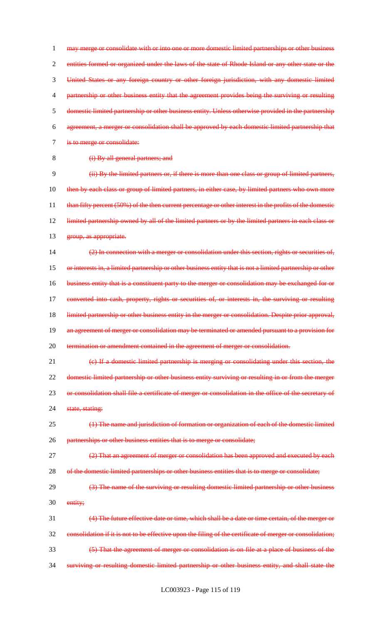1 may merge or consolidate with or into one or more domestic limited partnerships or other business 2 entities formed or organized under the laws of the state of Rhode Island or any other state or the 3 United States or any foreign country or other foreign jurisdiction, with any domestic limited 4 partnership or other business entity that the agreement provides being the surviving or resulting 5 domestic limited partnership or other business entity. Unless otherwise provided in the partnership 6 agreement, a merger or consolidation shall be approved by each domestic limited partnership that 7 is to merge or consolidate: 8 (i) By all general partners; and 9 (ii) By the limited partners or, if there is more than one class or group of limited partners,

10 then by each class or group of limited partners, in either case, by limited partners who own more 11 than fifty percent (50%) of the then current percentage or other interest in the profits of the domestic 12 limited partnership owned by all of the limited partners or by the limited partners in each class or 13 group, as appropriate.

14 (2) In connection with a merger or consolidation under this section, rights or securities of, 15 or interests in, a limited partnership or other business entity that is not a limited partnership or other 16 business entity that is a constituent party to the merger or consolidation may be exchanged for or 17 converted into cash, property, rights or securities of, or interests in, the surviving or resulting 18 limited partnership or other business entity in the merger or consolidation. Despite prior approval, 19 an agreement of merger or consolidation may be terminated or amended pursuant to a provision for 20 termination or amendment contained in the agreement of merger or consolidation.

21 (c) If a domestic limited partnership is merging or consolidating under this section, the 22 domestic limited partnership or other business entity surviving or resulting in or from the merger 23 or consolidation shall file a certificate of merger or consolidation in the office of the secretary of 24 state, stating:

25 (1) The name and jurisdiction of formation or organization of each of the domestic limited 26 partnerships or other business entities that is to merge or consolidate;

27 (2) That an agreement of merger or consolidation has been approved and executed by each 28 of the domestic limited partnerships or other business entities that is to merge or consolidate;

29 (3) The name of the surviving or resulting domestic limited partnership or other business 30 entity;

 (4) The future effective date or time, which shall be a date or time certain, of the merger or consolidation if it is not to be effective upon the filing of the certificate of merger or consolidation; (5) That the agreement of merger or consolidation is on file at a place of business of the surviving or resulting domestic limited partnership or other business entity, and shall state the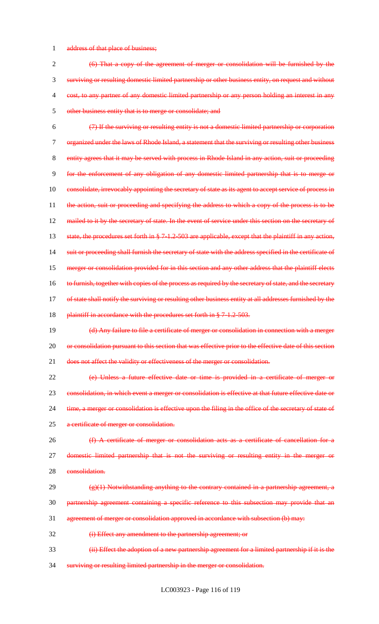# address of that place of business;

| $\overline{2}$ | (6) That a copy of the agreement of merger or consolidation will be furnished by the                       |
|----------------|------------------------------------------------------------------------------------------------------------|
| 3              | surviving or resulting domestic limited partnership or other business entity, on request and without       |
| 4              | cost, to any partner of any domestic limited partnership or any person holding an interest in any          |
| 5              | other business entity that is to merge or consolidate; and                                                 |
| 6              | (7) If the surviving or resulting entity is not a domestic limited partnership or corporation              |
| 7              | organized under the laws of Rhode Island, a statement that the surviving or resulting other business       |
| 8              | entity agrees that it may be served with process in Rhode Island in any action, suit or proceeding         |
| 9              | for the enforcement of any obligation of any domestic limited partnership that is to merge or              |
| 10             | consolidate, irrevocably appointing the secretary of state as its agent to accept service of process in    |
| 11             | the action, suit or proceeding and specifying the address to which a copy of the process is to be          |
| 12             | mailed to it by the secretary of state. In the event of service under this section on the secretary of     |
| 13             | state, the procedures set forth in $\S 7.1.2.503$ are applicable, except that the plaintiff in any action, |
| 14             | suit or proceeding shall furnish the secretary of state with the address specified in the certificate of   |
| 15             | merger or consolidation provided for in this section and any other address that the plaintiff elects       |
| 16             | to furnish, together with copies of the process as required by the secretary of state, and the secretary   |
| 17             | of state shall notify the surviving or resulting other business entity at all addresses furnished by the   |
| 18             | plaintiff in accordance with the procedures set forth in $\frac{8}{3}$ 7-1.2-503.                          |
| 19             | (d) Any failure to file a certificate of merger or consolidation in connection with a merger               |
| 20             | or consolidation pursuant to this section that was effective prior to the effective date of this section   |
| 21             | does not affect the validity or effectiveness of the merger or consolidation.                              |
| 22             | (e) Unless a future effective date or time is provided in a certificate of merger or                       |
| 23             | consolidation, in which event a merger or consolidation is effective at that future effective date or      |
| 24             | time, a merger or consolidation is effective upon the filing in the office of the secretary of state of    |
| 25             | a certificate of merger or consolidation.                                                                  |
| 26             | (f) A certificate of merger or consolidation acts as a certificate of cancellation for a                   |
| 27             | domestic limited partnership that is not the surviving or resulting entity in the merger or                |
| 28             | consolidation.                                                                                             |
| 29             | $(g)(1)$ Notwithstanding anything to the contrary contained in a partnership agreement, a                  |
| 30             | partnership agreement containing a specific reference to this subsection may provide that an               |
| 31             | agreement of merger or consolidation approved in accordance with subsection (b) may:                       |
| 32             | (i) Effect any amendment to the partnership agreement; or                                                  |
| 33             | (ii) Effect the adoption of a new partnership agreement for a limited partnership if it is the             |
| 34             | surviving or resulting limited partnership in the merger or consolidation.                                 |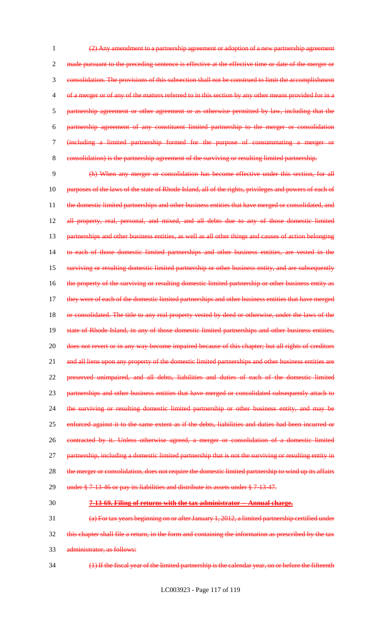(2) Any amendment to a partnership agreement or adoption of a new partnership agreement 2 made pursuant to the preceding sentence is effective at the effective time or date of the merger or consolidation. The provisions of this subsection shall not be construed to limit the accomplishment of a merger or of any of the matters referred to in this section by any other means provided for in a partnership agreement or other agreement or as otherwise permitted by law, including that the partnership agreement of any constituent limited partnership to the merger or consolidation (including a limited partnership formed for the purpose of consummating a merger or consolidation) is the partnership agreement of the surviving or resulting limited partnership.

9 (h) When any merger or consolidation has become effective under this section, for all 10 purposes of the laws of the state of Rhode Island, all of the rights, privileges and powers of each of 11 the domestic limited partnerships and other business entities that have merged or consolidated, and 12 all property, real, personal, and mixed, and all debts due to any of those domestic limited 13 partnerships and other business entities, as well as all other things and causes of action belonging 14 to each of those domestic limited partnerships and other business entities, are vested in the 15 surviving or resulting domestic limited partnership or other business entity, and are subsequently 16 the property of the surviving or resulting domestic limited partnership or other business entity as 17 they were of each of the domestic limited partnerships and other business entities that have merged 18 or consolidated. The title to any real property vested by deed or otherwise, under the laws of the 19 state of Rhode Island, in any of those domestic limited partnerships and other business entities, 20 does not revert or in any way become impaired because of this chapter; but all rights of creditors 21 and all liens upon any property of the domestic limited partnerships and other business entities are 22 preserved unimpaired, and all debts, liabilities and duties of each of the domestic limited 23 partnerships and other business entities that have merged or consolidated subsequently attach to 24 the surviving or resulting domestic limited partnership or other business entity, and may be 25 enforced against it to the same extent as if the debts, liabilities and duties had been incurred or 26 contracted by it. Unless otherwise agreed, a merger or consolidation of a domestic limited 27 partnership, including a domestic limited partnership that is not the surviving or resulting entity in 28 the merger or consolidation, does not require the domestic limited partnership to wind up its affairs 29 under § 7-13-46 or pay its liabilities and distribute its assets under § 7-13-47.

#### 30 **7-13-69. Filing of returns with the tax administrator -- Annual charge.**

31 (a) For tax years beginning on or after January 1, 2012, a limited partnership certified under 32 this chapter shall file a return, in the form and containing the information as prescribed by the tax 33 administrator, as follows:

34 (1) If the fiscal year of the limited partnership is the calendar year, on or before the fifteenth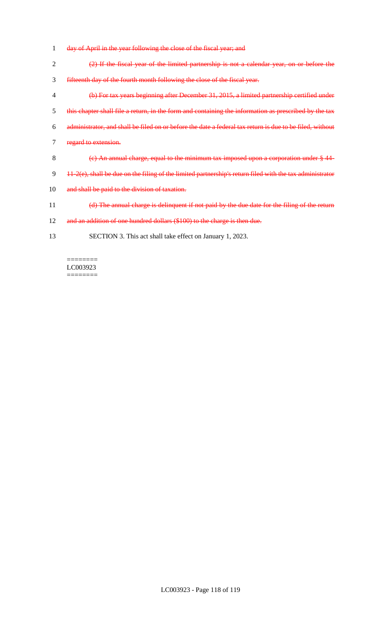- 1 day of April in the year following the close of the fiscal year; and
- 2 (2) If the fiscal year of the limited partnership is not a calendar year, on or before the 3 fifteenth day of the fourth month following the close of the fiscal year.
- 4 (b) For tax years beginning after December 31, 2015, a limited partnership certified under
- 5 this chapter shall file a return, in the form and containing the information as prescribed by the tax
- 6 administrator, and shall be filed on or before the date a federal tax return is due to be filed, without
- 7 regard to extension.
- 8 (c) An annual charge, equal to the minimum tax imposed upon a corporation under § 44-
- 9 11-2(e), shall be due on the filing of the limited partnership's return filed with the tax administrator
- 10 and shall be paid to the division of taxation.
- 11 (d) The annual charge is delinquent if not paid by the due date for the filing of the return
- 12 and an addition of one hundred dollars (\$100) to the charge is then due.
- 13 SECTION 3. This act shall take effect on January 1, 2023.

LC003923  $=$ 

========